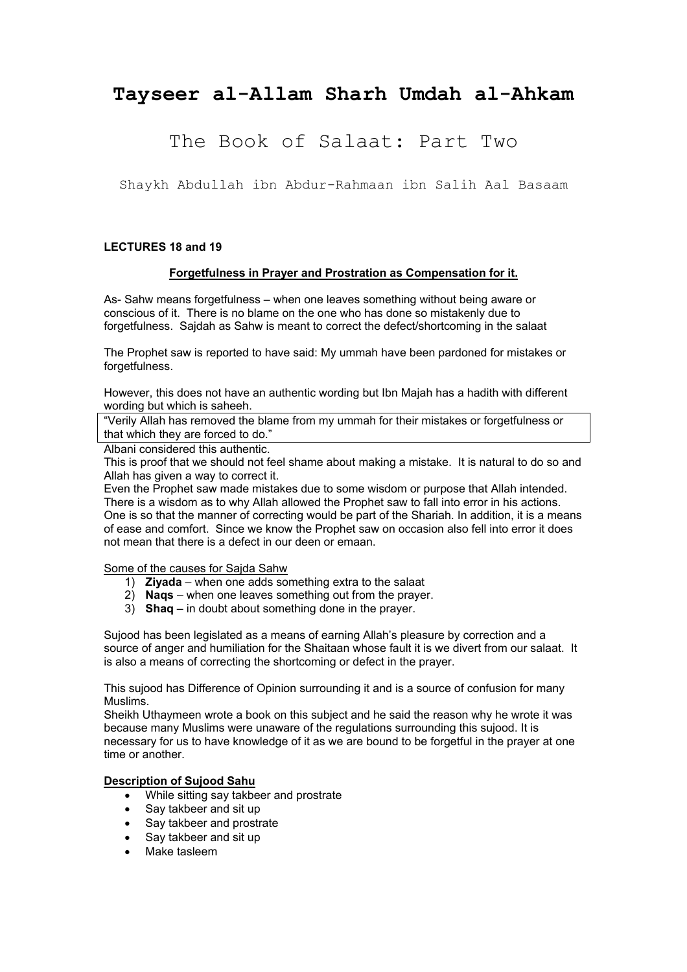# **Tayseer al-Allam Sharh Umdah al-Ahkam**

# The Book of Salaat: Part Two

Shaykh Abdullah ibn Abdur-Rahmaan ibn Salih Aal Basaam

### **LECTURES 18 and 19**

#### **Forgetfulness in Prayer and Prostration as Compensation for it.**

As- Sahw means forgetfulness – when one leaves something without being aware or conscious of it. There is no blame on the one who has done so mistakenly due to forgetfulness. Sajdah as Sahw is meant to correct the defect/shortcoming in the salaat

The Prophet saw is reported to have said: My ummah have been pardoned for mistakes or forgetfulness.

However, this does not have an authentic wording but Ibn Majah has a hadith with different wording but which is saheeh.

"Verily Allah has removed the blame from my ummah for their mistakes or forgetfulness or that which they are forced to do."

Albani considered this authentic.

This is proof that we should not feel shame about making a mistake. It is natural to do so and Allah has given a way to correct it.

Even the Prophet saw made mistakes due to some wisdom or purpose that Allah intended. There is a wisdom as to why Allah allowed the Prophet saw to fall into error in his actions. One is so that the manner of correcting would be part of the Shariah. In addition, it is a means of ease and comfort. Since we know the Prophet saw on occasion also fell into error it does not mean that there is a defect in our deen or emaan.

Some of the causes for Sajda Sahw

- 1) **Ziyada** when one adds something extra to the salaat
- 2) **Naqs** when one leaves something out from the prayer.
- 3) **Shaq** in doubt about something done in the prayer.

Sujood has been legislated as a means of earning Allah's pleasure by correction and a source of anger and humiliation for the Shaitaan whose fault it is we divert from our salaat. It is also a means of correcting the shortcoming or defect in the prayer.

This sujood has Difference of Opinion surrounding it and is a source of confusion for many Muslims.

Sheikh Uthaymeen wrote a book on this subject and he said the reason why he wrote it was because many Muslims were unaware of the regulations surrounding this sujood. It is necessary for us to have knowledge of it as we are bound to be forgetful in the prayer at one time or another.

#### **Description of Sujood Sahu**

- While sitting say takbeer and prostrate
- Say takbeer and sit up
- Say takbeer and prostrate
- Say takbeer and sit up
- Make tasleem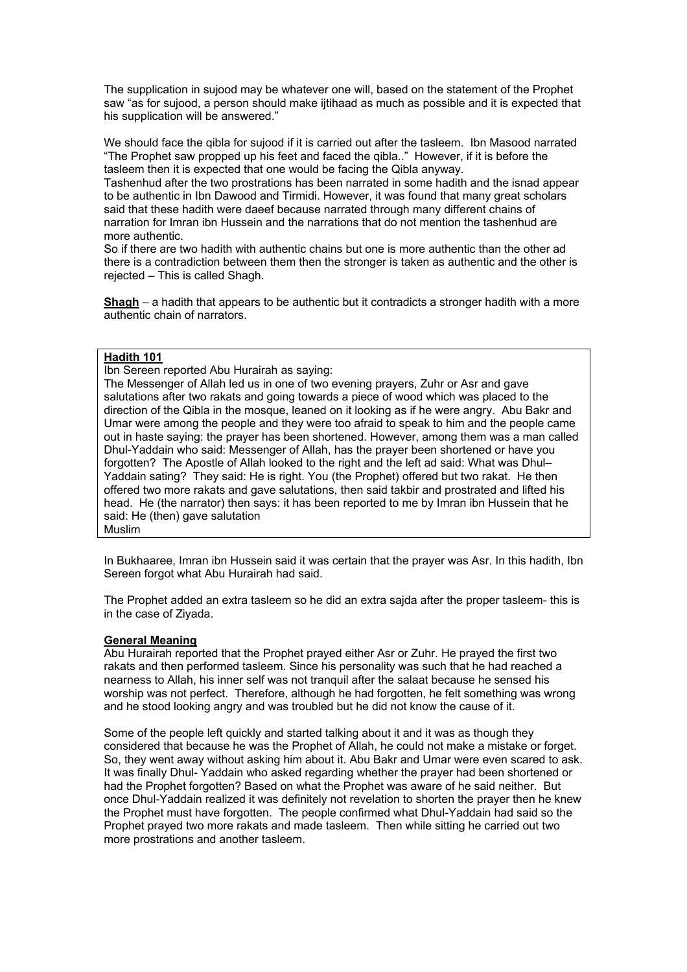The supplication in sujood may be whatever one will, based on the statement of the Prophet saw "as for sujood, a person should make ijtihaad as much as possible and it is expected that his supplication will be answered."

We should face the qibla for sujood if it is carried out after the tasleem. Ibn Masood narrated "The Prophet saw propped up his feet and faced the qibla.." However, if it is before the tasleem then it is expected that one would be facing the Qibla anyway.

Tashenhud after the two prostrations has been narrated in some hadith and the isnad appear to be authentic in Ibn Dawood and Tirmidi. However, it was found that many great scholars said that these hadith were daeef because narrated through many different chains of narration for Imran ibn Hussein and the narrations that do not mention the tashenhud are more authentic.

So if there are two hadith with authentic chains but one is more authentic than the other ad there is a contradiction between them then the stronger is taken as authentic and the other is rejected – This is called Shagh.

**Shagh** – a hadith that appears to be authentic but it contradicts a stronger hadith with a more authentic chain of narrators.

#### **Hadith 101**

Ibn Sereen reported Abu Hurairah as saying:

The Messenger of Allah led us in one of two evening prayers, Zuhr or Asr and gave salutations after two rakats and going towards a piece of wood which was placed to the direction of the Qibla in the mosque, leaned on it looking as if he were angry. Abu Bakr and Umar were among the people and they were too afraid to speak to him and the people came out in haste saying: the prayer has been shortened. However, among them was a man called Dhul-Yaddain who said: Messenger of Allah, has the prayer been shortened or have you forgotten? The Apostle of Allah looked to the right and the left ad said: What was Dhul– Yaddain sating? They said: He is right. You (the Prophet) offered but two rakat. He then offered two more rakats and gave salutations, then said takbir and prostrated and lifted his head. He (the narrator) then says: it has been reported to me by Imran ibn Hussein that he said: He (then) gave salutation Muslim

In Bukhaaree, Imran ibn Hussein said it was certain that the prayer was Asr. In this hadith, Ibn Sereen forgot what Abu Hurairah had said.

The Prophet added an extra tasleem so he did an extra sajda after the proper tasleem- this is in the case of Ziyada.

#### **General Meaning**

Abu Hurairah reported that the Prophet prayed either Asr or Zuhr. He prayed the first two rakats and then performed tasleem. Since his personality was such that he had reached a nearness to Allah, his inner self was not tranquil after the salaat because he sensed his worship was not perfect. Therefore, although he had forgotten, he felt something was wrong and he stood looking angry and was troubled but he did not know the cause of it.

Some of the people left quickly and started talking about it and it was as though they considered that because he was the Prophet of Allah, he could not make a mistake or forget. So, they went away without asking him about it. Abu Bakr and Umar were even scared to ask. It was finally Dhul- Yaddain who asked regarding whether the prayer had been shortened or had the Prophet forgotten? Based on what the Prophet was aware of he said neither. But once Dhul-Yaddain realized it was definitely not revelation to shorten the prayer then he knew the Prophet must have forgotten. The people confirmed what Dhul-Yaddain had said so the Prophet prayed two more rakats and made tasleem. Then while sitting he carried out two more prostrations and another tasleem.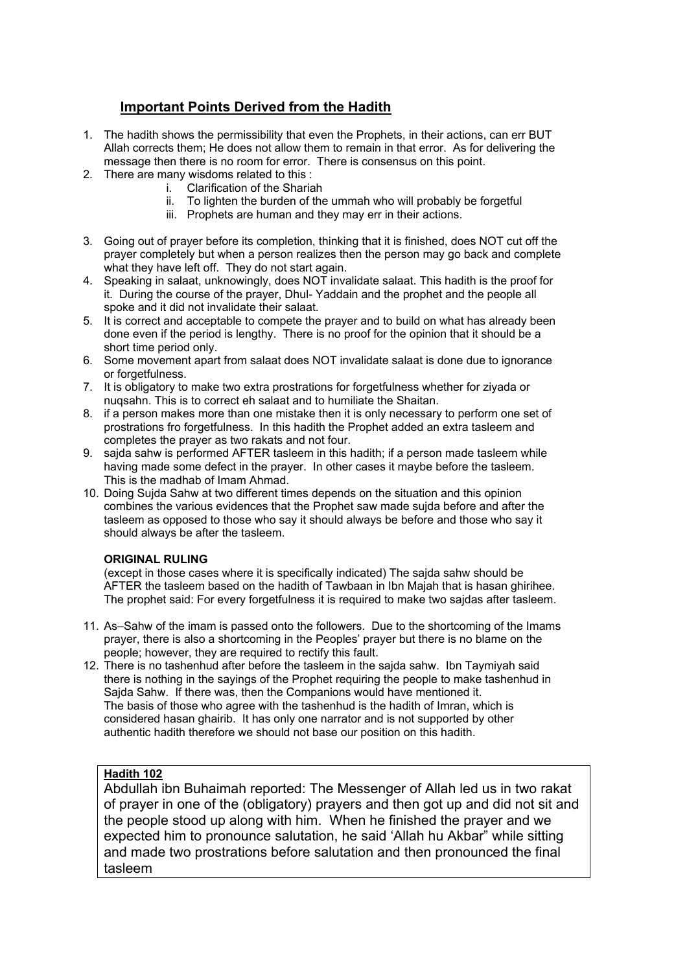# **Important Points Derived from the Hadith**

- 1. The hadith shows the permissibility that even the Prophets, in their actions, can err BUT Allah corrects them; He does not allow them to remain in that error. As for delivering the message then there is no room for error. There is consensus on this point.
- 2. There are many wisdoms related to this :
	- i. Clarification of the Shariah
	- ii. To lighten the burden of the ummah who will probably be forgetful
	- iii. Prophets are human and they may err in their actions.
- 3. Going out of prayer before its completion, thinking that it is finished, does NOT cut off the prayer completely but when a person realizes then the person may go back and complete what they have left off. They do not start again.
- 4. Speaking in salaat, unknowingly, does NOT invalidate salaat. This hadith is the proof for it. During the course of the prayer, Dhul- Yaddain and the prophet and the people all spoke and it did not invalidate their salaat.
- 5. It is correct and acceptable to compete the prayer and to build on what has already been done even if the period is lengthy. There is no proof for the opinion that it should be a short time period only.
- 6. Some movement apart from salaat does NOT invalidate salaat is done due to ignorance or forgetfulness.
- 7. It is obligatory to make two extra prostrations for forgetfulness whether for ziyada or nuqsahn. This is to correct eh salaat and to humiliate the Shaitan.
- 8. if a person makes more than one mistake then it is only necessary to perform one set of prostrations fro forgetfulness. In this hadith the Prophet added an extra tasleem and completes the prayer as two rakats and not four.
- 9. sajda sahw is performed AFTER tasleem in this hadith; if a person made tasleem while having made some defect in the prayer. In other cases it maybe before the tasleem. This is the madhab of Imam Ahmad.
- 10. Doing Sujda Sahw at two different times depends on the situation and this opinion combines the various evidences that the Prophet saw made sujda before and after the tasleem as opposed to those who say it should always be before and those who say it should always be after the tasleem.

### **ORIGINAL RULING**

(except in those cases where it is specifically indicated) The sajda sahw should be AFTER the tasleem based on the hadith of Tawbaan in Ibn Majah that is hasan ghirihee. The prophet said: For every forgetfulness it is required to make two sajdas after tasleem.

- 11. As–Sahw of the imam is passed onto the followers. Due to the shortcoming of the Imams prayer, there is also a shortcoming in the Peoples' prayer but there is no blame on the people; however, they are required to rectify this fault.
- 12. There is no tashenhud after before the tasleem in the sajda sahw. Ibn Taymiyah said there is nothing in the sayings of the Prophet requiring the people to make tashenhud in Sajda Sahw. If there was, then the Companions would have mentioned it. The basis of those who agree with the tashenhud is the hadith of Imran, which is considered hasan ghairib. It has only one narrator and is not supported by other authentic hadith therefore we should not base our position on this hadith.

# **Hadith 102**

Abdullah ibn Buhaimah reported: The Messenger of Allah led us in two rakat of prayer in one of the (obligatory) prayers and then got up and did not sit and the people stood up along with him. When he finished the prayer and we expected him to pronounce salutation, he said 'Allah hu Akbar" while sitting and made two prostrations before salutation and then pronounced the final tasleem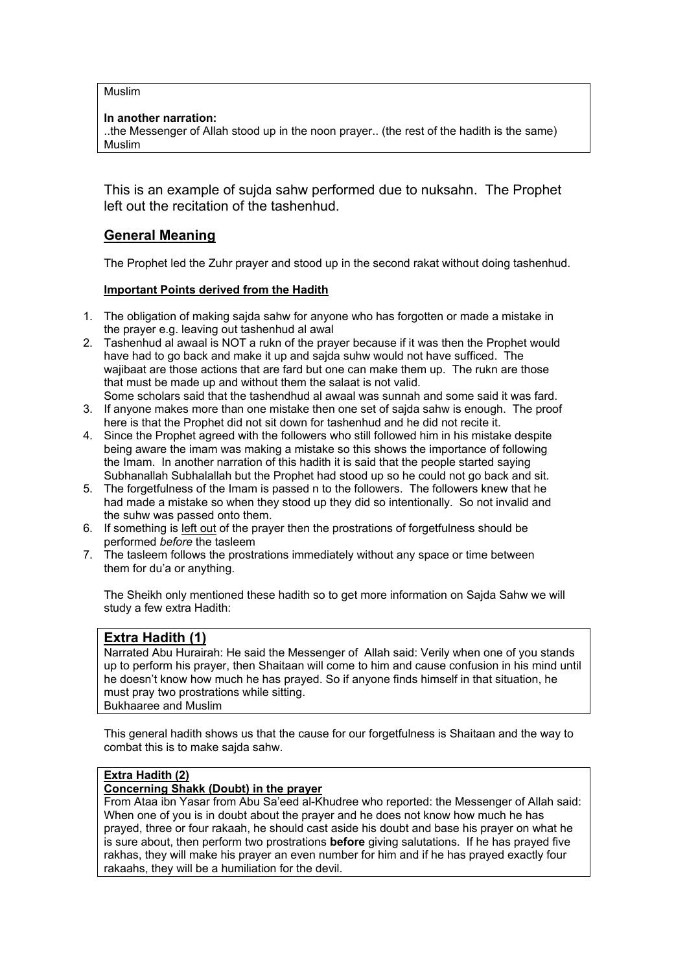Muslim

### **In another narration:**

..the Messenger of Allah stood up in the noon prayer.. (the rest of the hadith is the same) Muslim

This is an example of sujda sahw performed due to nuksahn. The Prophet left out the recitation of the tashenhud.

# **General Meaning**

The Prophet led the Zuhr prayer and stood up in the second rakat without doing tashenhud.

### **Important Points derived from the Hadith**

- 1. The obligation of making sajda sahw for anyone who has forgotten or made a mistake in the prayer e.g. leaving out tashenhud al awal
- 2. Tashenhud al awaal is NOT a rukn of the prayer because if it was then the Prophet would have had to go back and make it up and sajda suhw would not have sufficed. The wajibaat are those actions that are fard but one can make them up. The rukn are those that must be made up and without them the salaat is not valid. Some scholars said that the tashendhud al awaal was sunnah and some said it was fard.
- 3. If anyone makes more than one mistake then one set of sajda sahw is enough. The proof here is that the Prophet did not sit down for tashenhud and he did not recite it.
- 4. Since the Prophet agreed with the followers who still followed him in his mistake despite being aware the imam was making a mistake so this shows the importance of following the Imam. In another narration of this hadith it is said that the people started saying Subhanallah Subhalallah but the Prophet had stood up so he could not go back and sit.
- 5. The forgetfulness of the Imam is passed n to the followers. The followers knew that he had made a mistake so when they stood up they did so intentionally. So not invalid and the suhw was passed onto them.
- 6. If something is left out of the prayer then the prostrations of forgetfulness should be performed *before* the tasleem
- 7. The tasleem follows the prostrations immediately without any space or time between them for du'a or anything.

The Sheikh only mentioned these hadith so to get more information on Sajda Sahw we will study a few extra Hadith:

# **Extra Hadith (1)**

Narrated Abu Hurairah: He said the Messenger of Allah said: Verily when one of you stands up to perform his prayer, then Shaitaan will come to him and cause confusion in his mind until he doesn't know how much he has prayed. So if anyone finds himself in that situation, he must pray two prostrations while sitting. Bukhaaree and Muslim

This general hadith shows us that the cause for our forgetfulness is Shaitaan and the way to combat this is to make sajda sahw.

### **Extra Hadith (2)**

### **Concerning Shakk (Doubt) in the prayer**

From Ataa ibn Yasar from Abu Sa'eed al-Khudree who reported: the Messenger of Allah said: When one of you is in doubt about the prayer and he does not know how much he has prayed, three or four rakaah, he should cast aside his doubt and base his prayer on what he is sure about, then perform two prostrations **before** giving salutations. If he has prayed five rakhas, they will make his prayer an even number for him and if he has prayed exactly four rakaahs, they will be a humiliation for the devil.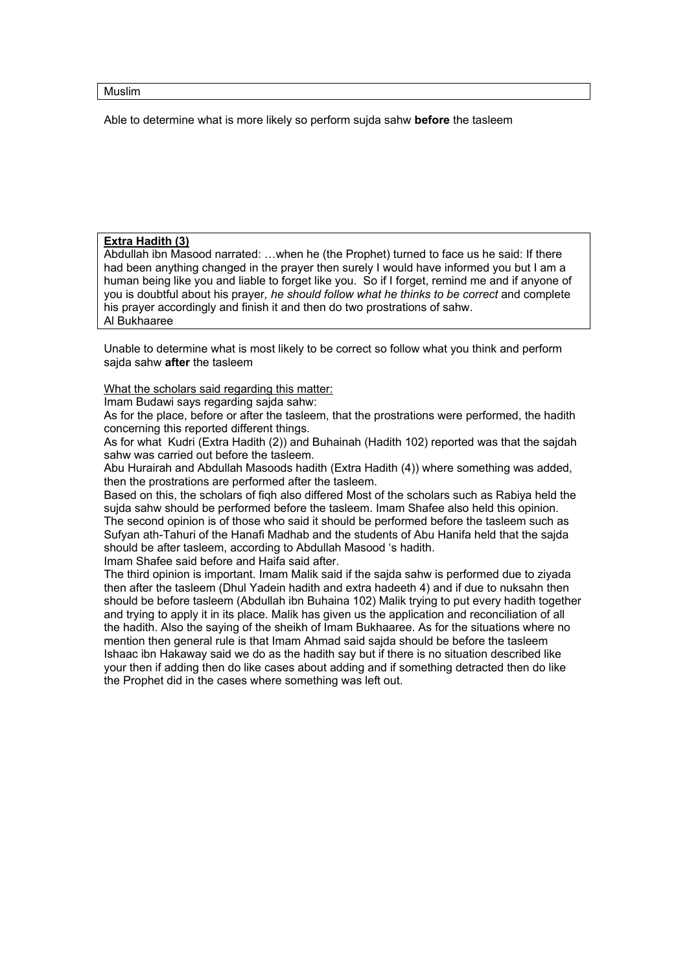#### Muslim

Able to determine what is more likely so perform sujda sahw **before** the tasleem

#### **Extra Hadith (3)**

Abdullah ibn Masood narrated: …when he (the Prophet) turned to face us he said: If there had been anything changed in the prayer then surely I would have informed you but I am a human being like you and liable to forget like you. So if I forget, remind me and if anyone of you is doubtful about his prayer*, he should follow what he thinks to be correct* and complete his prayer accordingly and finish it and then do two prostrations of sahw. Al Bukhaaree

Unable to determine what is most likely to be correct so follow what you think and perform sajda sahw **after** the tasleem

What the scholars said regarding this matter:

Imam Budawi says regarding sajda sahw:

As for the place, before or after the tasleem, that the prostrations were performed, the hadith concerning this reported different things.

As for what Kudri (Extra Hadith (2)) and Buhainah (Hadith 102) reported was that the sajdah sahw was carried out before the tasleem.

Abu Hurairah and Abdullah Masoods hadith (Extra Hadith (4)) where something was added, then the prostrations are performed after the tasleem.

Based on this, the scholars of fiqh also differed Most of the scholars such as Rabiya held the sujda sahw should be performed before the tasleem. Imam Shafee also held this opinion. The second opinion is of those who said it should be performed before the tasleem such as Sufyan ath-Tahuri of the Hanafi Madhab and the students of Abu Hanifa held that the sajda should be after tasleem, according to Abdullah Masood 's hadith.

Imam Shafee said before and Haifa said after.

The third opinion is important. Imam Malik said if the sajda sahw is performed due to ziyada then after the tasleem (Dhul Yadein hadith and extra hadeeth 4) and if due to nuksahn then should be before tasleem (Abdullah ibn Buhaina 102) Malik trying to put every hadith together and trying to apply it in its place. Malik has given us the application and reconciliation of all the hadith. Also the saying of the sheikh of Imam Bukhaaree. As for the situations where no mention then general rule is that Imam Ahmad said sajda should be before the tasleem Ishaac ibn Hakaway said we do as the hadith say but if there is no situation described like your then if adding then do like cases about adding and if something detracted then do like the Prophet did in the cases where something was left out.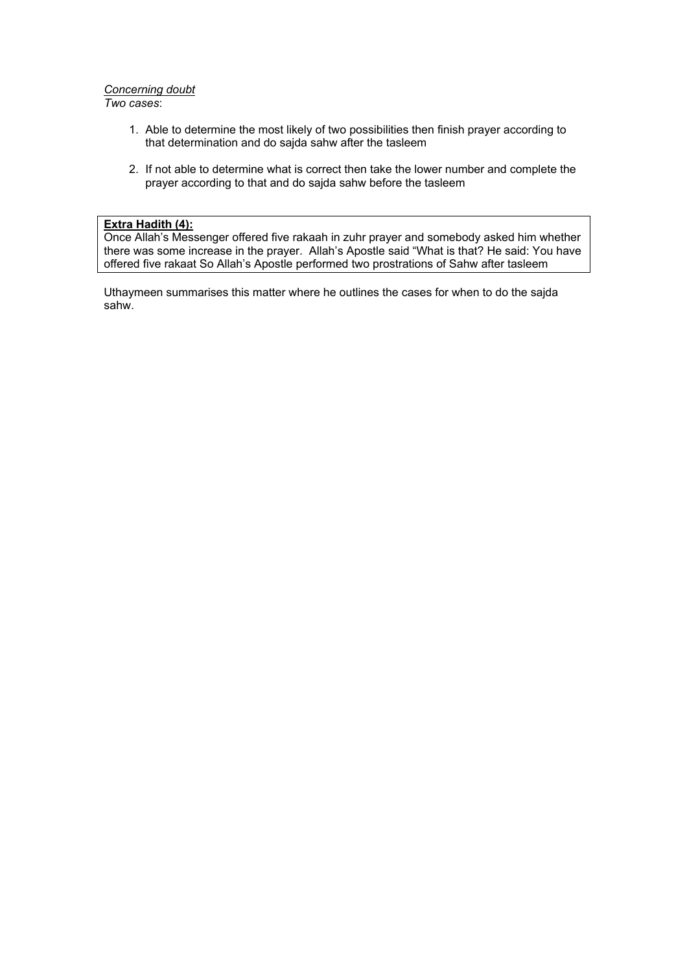#### *Concerning doubt*

*Two cases*:

- 1. Able to determine the most likely of two possibilities then finish prayer according to that determination and do sajda sahw after the tasleem
- 2. If not able to determine what is correct then take the lower number and complete the prayer according to that and do sajda sahw before the tasleem

#### **Extra Hadith (4):**

Once Allah's Messenger offered five rakaah in zuhr prayer and somebody asked him whether there was some increase in the prayer. Allah's Apostle said "What is that? He said: You have offered five rakaat So Allah's Apostle performed two prostrations of Sahw after tasleem

Uthaymeen summarises this matter where he outlines the cases for when to do the sajda sahw.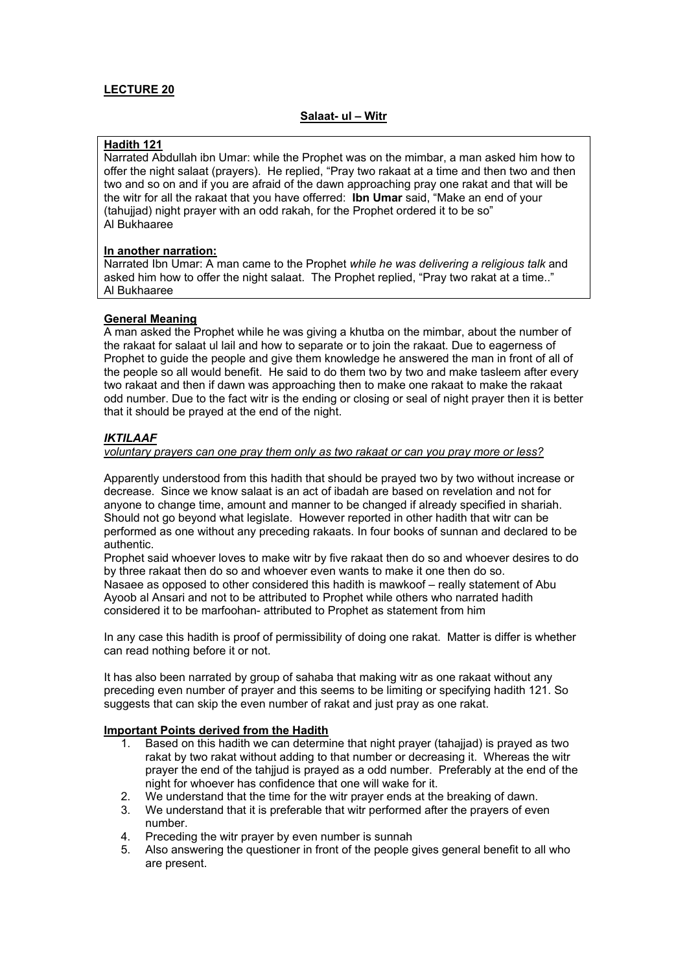#### **Salaat- ul – Witr**

### **Hadith 121**

Narrated Abdullah ibn Umar: while the Prophet was on the mimbar, a man asked him how to offer the night salaat (prayers). He replied, "Pray two rakaat at a time and then two and then two and so on and if you are afraid of the dawn approaching pray one rakat and that will be the witr for all the rakaat that you have offerred: **Ibn Umar** said, "Make an end of your (tahujiad) night prayer with an odd rakah, for the Prophet ordered it to be so" Al Bukhaaree

#### **In another narration:**

Narrated Ibn Umar: A man came to the Prophet *while he was delivering a religious talk* and asked him how to offer the night salaat. The Prophet replied, "Pray two rakat at a time.." Al Bukhaaree

### **General Meaning**

A man asked the Prophet while he was giving a khutba on the mimbar, about the number of the rakaat for salaat ul lail and how to separate or to join the rakaat. Due to eagerness of Prophet to guide the people and give them knowledge he answered the man in front of all of the people so all would benefit. He said to do them two by two and make tasleem after every two rakaat and then if dawn was approaching then to make one rakaat to make the rakaat odd number. Due to the fact witr is the ending or closing or seal of night prayer then it is better that it should be prayed at the end of the night.

### *IKTILAAF*

#### *voluntary prayers can one pray them only as two rakaat or can you pray more or less?*

Apparently understood from this hadith that should be prayed two by two without increase or decrease. Since we know salaat is an act of ibadah are based on revelation and not for anyone to change time, amount and manner to be changed if already specified in shariah. Should not go beyond what legislate. However reported in other hadith that witr can be performed as one without any preceding rakaats. In four books of sunnan and declared to be authentic.

Prophet said whoever loves to make witr by five rakaat then do so and whoever desires to do by three rakaat then do so and whoever even wants to make it one then do so. Nasaee as opposed to other considered this hadith is mawkoof – really statement of Abu Ayoob al Ansari and not to be attributed to Prophet while others who narrated hadith considered it to be marfoohan- attributed to Prophet as statement from him

In any case this hadith is proof of permissibility of doing one rakat. Matter is differ is whether can read nothing before it or not.

It has also been narrated by group of sahaba that making witr as one rakaat without any preceding even number of prayer and this seems to be limiting or specifying hadith 121. So suggests that can skip the even number of rakat and just pray as one rakat.

#### **Important Points derived from the Hadith**

- 1. Based on this hadith we can determine that night prayer (tahajjad) is prayed as two rakat by two rakat without adding to that number or decreasing it. Whereas the witr prayer the end of the tahjjud is prayed as a odd number. Preferably at the end of the night for whoever has confidence that one will wake for it.
- 2. We understand that the time for the witr prayer ends at the breaking of dawn.
- 3. We understand that it is preferable that witr performed after the prayers of even number.
- 4. Preceding the witr prayer by even number is sunnah
- 5. Also answering the questioner in front of the people gives general benefit to all who are present.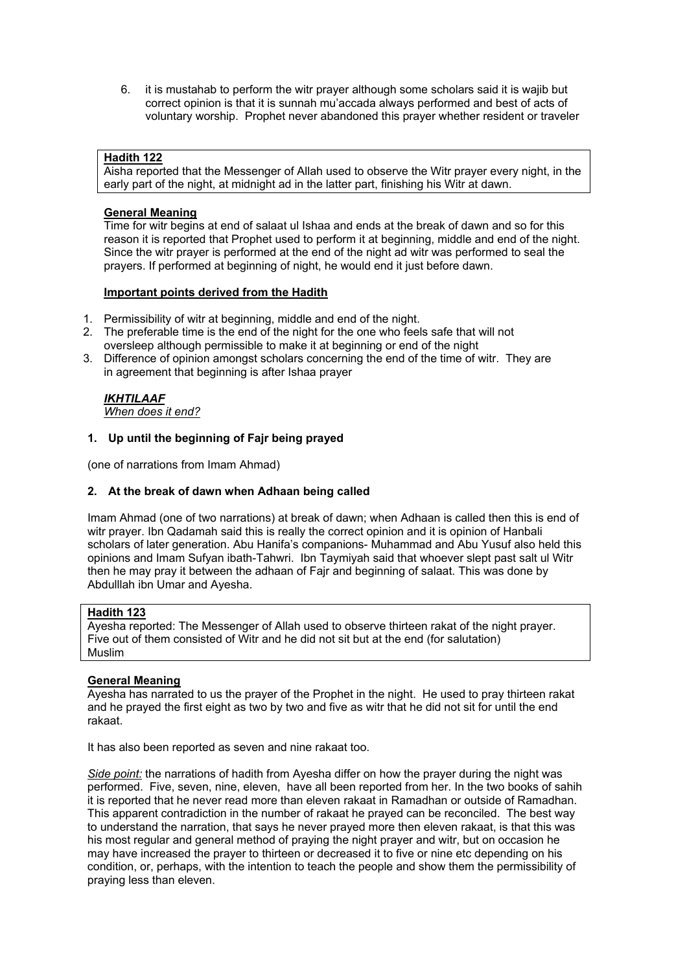6. it is mustahab to perform the witr prayer although some scholars said it is wajib but correct opinion is that it is sunnah mu'accada always performed and best of acts of voluntary worship. Prophet never abandoned this prayer whether resident or traveler

### **Hadith 122**

Aisha reported that the Messenger of Allah used to observe the Witr prayer every night, in the early part of the night, at midnight ad in the latter part, finishing his Witr at dawn.

#### **General Meaning**

Time for witr begins at end of salaat ul Ishaa and ends at the break of dawn and so for this reason it is reported that Prophet used to perform it at beginning, middle and end of the night. Since the witr prayer is performed at the end of the night ad witr was performed to seal the prayers. If performed at beginning of night, he would end it just before dawn.

#### **Important points derived from the Hadith**

- 1. Permissibility of witr at beginning, middle and end of the night.
- 2. The preferable time is the end of the night for the one who feels safe that will not oversleep although permissible to make it at beginning or end of the night
- 3. Difference of opinion amongst scholars concerning the end of the time of witr. They are in agreement that beginning is after Ishaa prayer

# *IKHTILAAF*

*When does it end?*

#### **1. Up until the beginning of Fajr being prayed**

(one of narrations from Imam Ahmad)

### **2. At the break of dawn when Adhaan being called**

Imam Ahmad (one of two narrations) at break of dawn; when Adhaan is called then this is end of witr prayer. Ibn Qadamah said this is really the correct opinion and it is opinion of Hanbali scholars of later generation. Abu Hanifa's companions- Muhammad and Abu Yusuf also held this opinions and Imam Sufyan ibath-Tahwri. Ibn Taymiyah said that whoever slept past salt ul Witr then he may pray it between the adhaan of Fajr and beginning of salaat. This was done by Abdulllah ibn Umar and Ayesha.

### **Hadith 123**

Ayesha reported: The Messenger of Allah used to observe thirteen rakat of the night prayer. Five out of them consisted of Witr and he did not sit but at the end (for salutation) Muslim

#### **General Meaning**

Ayesha has narrated to us the prayer of the Prophet in the night. He used to pray thirteen rakat and he prayed the first eight as two by two and five as witr that he did not sit for until the end rakaat.

It has also been reported as seven and nine rakaat too.

*Side point:* the narrations of hadith from Ayesha differ on how the prayer during the night was performed. Five, seven, nine, eleven, have all been reported from her. In the two books of sahih it is reported that he never read more than eleven rakaat in Ramadhan or outside of Ramadhan. This apparent contradiction in the number of rakaat he prayed can be reconciled. The best way to understand the narration, that says he never prayed more then eleven rakaat, is that this was his most regular and general method of praying the night prayer and witr, but on occasion he may have increased the prayer to thirteen or decreased it to five or nine etc depending on his condition, or, perhaps, with the intention to teach the people and show them the permissibility of praying less than eleven.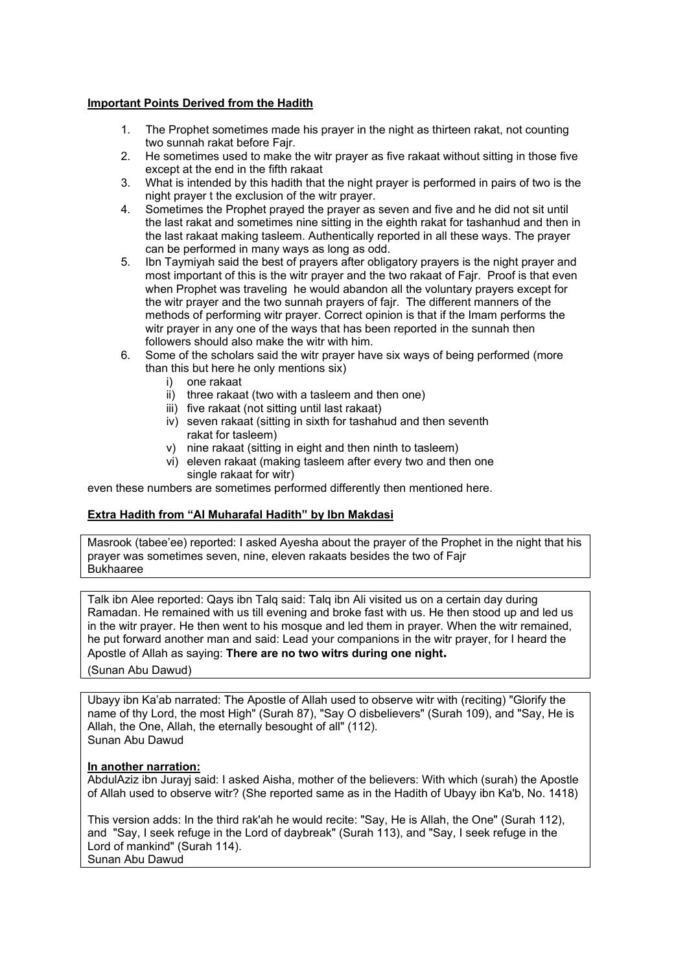### **Important Points Derived from the Hadith**

- 1. The Prophet sometimes made his prayer in the night as thirteen rakat, not counting two sunnah rakat before Fajr.
- 2. He sometimes used to make the witr prayer as five rakaat without sitting in those five except at the end in the fifth rakaat
- 3. What is intended by this hadith that the night prayer is performed in pairs of two is the night prayer t the exclusion of the witr prayer.
- 4. Sometimes the Prophet prayed the prayer as seven and five and he did not sit until the last rakat and sometimes nine sitting in the eighth rakat for tashanhud and then in the last rakaat making tasleem. Authentically reported in all these ways. The prayer can be performed in many ways as long as odd.
- 5. Ibn Taymiyah said the best of prayers after obligatory prayers is the night prayer and most important of this is the witr prayer and the two rakaat of Fajr. Proof is that even when Prophet was traveling he would abandon all the voluntary prayers except for the witr prayer and the two sunnah prayers of fajr. The different manners of the methods of performing witr prayer. Correct opinion is that if the Imam performs the witr prayer in any one of the ways that has been reported in the sunnah then followers should also make the witr with him.
- 6. Some of the scholars said the witr prayer have six ways of being performed (more than this but here he only mentions six)
	- i) one rakaat
	- ii) three rakaat (two with a tasleem and then one)
	- iii) five rakaat (not sitting until last rakaat)
	- iv) seven rakaat (sitting in sixth for tashahud and then seventh rakat for tasleem)
	- v) nine rakaat (sitting in eight and then ninth to tasleem)
	- vi) eleven rakaat (making tasleem after every two and then one single rakaat for witr)

even these numbers are sometimes performed differently then mentioned here.

### **Extra Hadith from "Al Muharafal Hadith" by Ibn Makdasi**

Masrook (tabee'ee) reported: I asked Ayesha about the prayer of the Prophet in the night that his prayer was sometimes seven, nine, eleven rakaats besides the two of Fajr Bukhaaree

Talk ibn Alee reported: Qays ibn Talq said: Talq ibn Ali visited us on a certain day during Ramadan. He remained with us till evening and broke fast with us. He then stood up and led us in the witr prayer. He then went to his mosque and led them in prayer. When the witr remained, he put forward another man and said: Lead your companions in the witr prayer, for I heard the Apostle of Allah as saying: **There are no two witrs during one night.**  (Sunan Abu Dawud)

Ubayy ibn Ka'ab narrated: The Apostle of Allah used to observe witr with (reciting) "Glorify the name of thy Lord, the most High" (Surah 87), "Say O disbelievers" (Surah 109), and "Say, He is Allah, the One, Allah, the eternally besought of all" (112). Sunan Abu Dawud

#### **In another narration:**

AbdulAziz ibn Jurayj said: I asked Aisha, mother of the believers: With which (surah) the Apostle of Allah used to observe witr? (She reported same as in the Hadith of Ubayy ibn Ka'b, No. 1418)

This version adds: In the third rak'ah he would recite: "Say, He is Allah, the One" (Surah 112), and "Say, I seek refuge in the Lord of daybreak" (Surah 113), and "Say, I seek refuge in the Lord of mankind" (Surah 114). Sunan Abu Dawud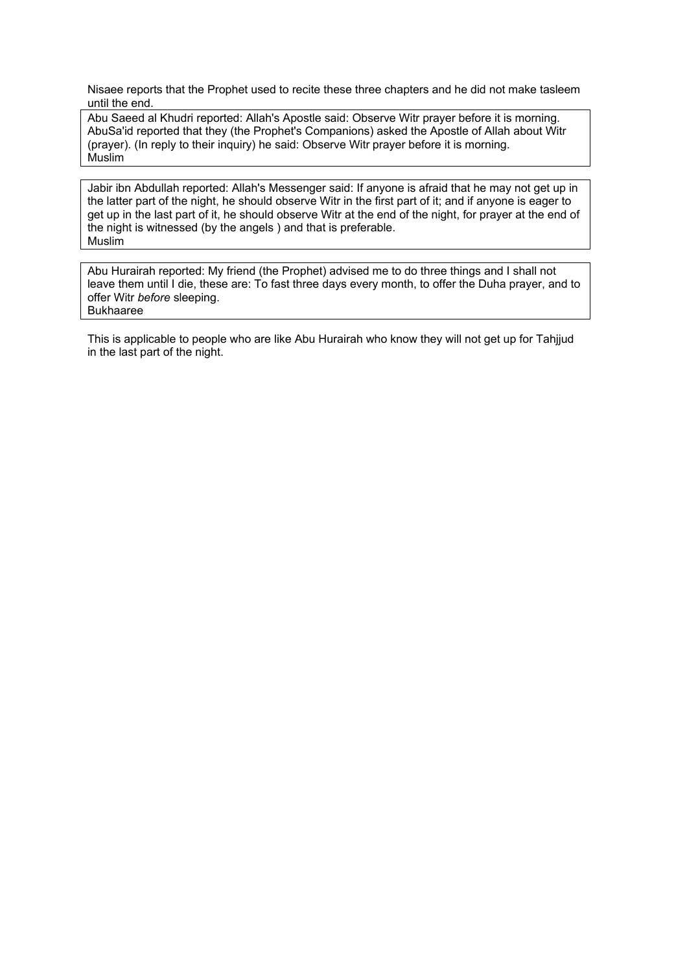Nisaee reports that the Prophet used to recite these three chapters and he did not make tasleem until the end.

Abu Saeed al Khudri reported: Allah's Apostle said: Observe Witr prayer before it is morning. AbuSa'id reported that they (the Prophet's Companions) asked the Apostle of Allah about Witr (prayer). (In reply to their inquiry) he said: Observe Witr prayer before it is morning. **Muslim** 

Jabir ibn Abdullah reported: Allah's Messenger said: If anyone is afraid that he may not get up in the latter part of the night, he should observe Witr in the first part of it; and if anyone is eager to get up in the last part of it, he should observe Witr at the end of the night, for prayer at the end of the night is witnessed (by the angels ) and that is preferable. Muslim

Abu Hurairah reported: My friend (the Prophet) advised me to do three things and I shall not leave them until I die, these are: To fast three days every month, to offer the Duha prayer, and to offer Witr *before* sleeping. Bukhaaree

This is applicable to people who are like Abu Hurairah who know they will not get up for Tahjjud in the last part of the night.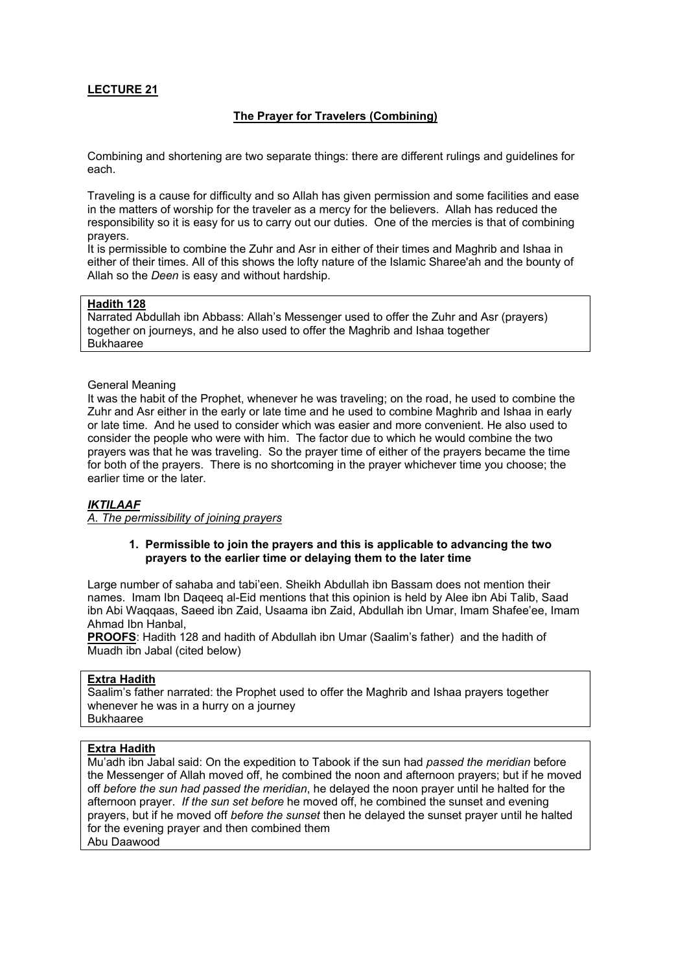### **The Prayer for Travelers (Combining)**

Combining and shortening are two separate things: there are different rulings and guidelines for each.

Traveling is a cause for difficulty and so Allah has given permission and some facilities and ease in the matters of worship for the traveler as a mercy for the believers. Allah has reduced the responsibility so it is easy for us to carry out our duties. One of the mercies is that of combining prayers.

It is permissible to combine the Zuhr and Asr in either of their times and Maghrib and Ishaa in either of their times. All of this shows the lofty nature of the Islamic Sharee'ah and the bounty of Allah so the *Deen* is easy and without hardship.

#### **Hadith 128**

Narrated Abdullah ibn Abbass: Allah's Messenger used to offer the Zuhr and Asr (prayers) together on journeys, and he also used to offer the Maghrib and Ishaa together Bukhaaree

#### General Meaning

It was the habit of the Prophet, whenever he was traveling; on the road, he used to combine the Zuhr and Asr either in the early or late time and he used to combine Maghrib and Ishaa in early or late time. And he used to consider which was easier and more convenient. He also used to consider the people who were with him. The factor due to which he would combine the two prayers was that he was traveling. So the prayer time of either of the prayers became the time for both of the prayers. There is no shortcoming in the prayer whichever time you choose; the earlier time or the later.

#### *IKTILAAF*

*A. The permissibility of joining prayers*

#### **1. Permissible to join the prayers and this is applicable to advancing the two prayers to the earlier time or delaying them to the later time**

 Large number of sahaba and tabi'een. Sheikh Abdullah ibn Bassam does not mention their names. Imam Ibn Daqeeq al-Eid mentions that this opinion is held by Alee ibn Abi Talib, Saad ibn Abi Waqqaas, Saeed ibn Zaid, Usaama ibn Zaid, Abdullah ibn Umar, Imam Shafee'ee, Imam Ahmad Ibn Hanbal,

**PROOFS**: Hadith 128 and hadith of Abdullah ibn Umar (Saalim's father) and the hadith of Muadh ibn Jabal (cited below)

#### **Extra Hadith**

Saalim's father narrated: the Prophet used to offer the Maghrib and Ishaa prayers together whenever he was in a hurry on a journey Bukhaaree

#### **Extra Hadith**

Mu'adh ibn Jabal said: On the expedition to Tabook if the sun had *passed the meridian* before the Messenger of Allah moved off, he combined the noon and afternoon prayers; but if he moved off *before the sun had passed the meridian*, he delayed the noon prayer until he halted for the afternoon prayer. *If the sun set before* he moved off, he combined the sunset and evening prayers, but if he moved off *before the sunset* then he delayed the sunset prayer until he halted for the evening prayer and then combined them Abu Daawood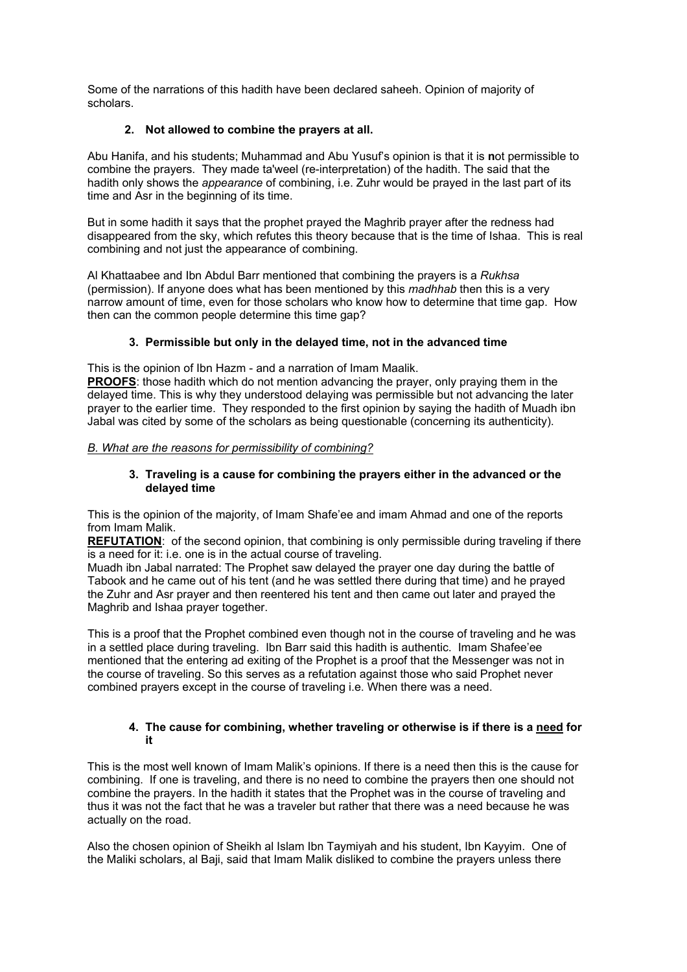Some of the narrations of this hadith have been declared saheeh. Opinion of majority of scholars.

### **2. Not allowed to combine the prayers at all.**

Abu Hanifa, and his students; Muhammad and Abu Yusuf's opinion is that it is **n**ot permissible to combine the prayers. They made ta'weel (re-interpretation) of the hadith. The said that the hadith only shows the *appearance* of combining, i.e. Zuhr would be prayed in the last part of its time and Asr in the beginning of its time.

But in some hadith it says that the prophet prayed the Maghrib prayer after the redness had disappeared from the sky, which refutes this theory because that is the time of Ishaa. This is real combining and not just the appearance of combining.

Al Khattaabee and Ibn Abdul Barr mentioned that combining the prayers is a *Rukhsa* (permission). If anyone does what has been mentioned by this *madhhab* then this is a very narrow amount of time, even for those scholars who know how to determine that time gap. How then can the common people determine this time gap?

# **3. Permissible but only in the delayed time, not in the advanced time**

This is the opinion of Ibn Hazm - and a narration of Imam Maalik.

**PROOFS**: those hadith which do not mention advancing the prayer, only praying them in the delayed time. This is why they understood delaying was permissible but not advancing the later prayer to the earlier time. They responded to the first opinion by saying the hadith of Muadh ibn Jabal was cited by some of the scholars as being questionable (concerning its authenticity).

### *B. What are the reasons for permissibility of combining?*

### **3. Traveling is a cause for combining the prayers either in the advanced or the delayed time**

This is the opinion of the majority, of Imam Shafe'ee and imam Ahmad and one of the reports from Imam Malik.

**REFUTATION**: of the second opinion, that combining is only permissible during traveling if there is a need for it: i.e. one is in the actual course of traveling.

Muadh ibn Jabal narrated: The Prophet saw delayed the prayer one day during the battle of Tabook and he came out of his tent (and he was settled there during that time) and he prayed the Zuhr and Asr prayer and then reentered his tent and then came out later and prayed the Maghrib and Ishaa prayer together.

This is a proof that the Prophet combined even though not in the course of traveling and he was in a settled place during traveling. Ibn Barr said this hadith is authentic. Imam Shafee'ee mentioned that the entering ad exiting of the Prophet is a proof that the Messenger was not in the course of traveling. So this serves as a refutation against those who said Prophet never combined prayers except in the course of traveling i.e. When there was a need.

### **4. The cause for combining, whether traveling or otherwise is if there is a need for it**

This is the most well known of Imam Malik's opinions. If there is a need then this is the cause for combining. If one is traveling, and there is no need to combine the prayers then one should not combine the prayers. In the hadith it states that the Prophet was in the course of traveling and thus it was not the fact that he was a traveler but rather that there was a need because he was actually on the road.

Also the chosen opinion of Sheikh al Islam Ibn Taymiyah and his student, Ibn Kayyim. One of the Maliki scholars, al Baji, said that Imam Malik disliked to combine the prayers unless there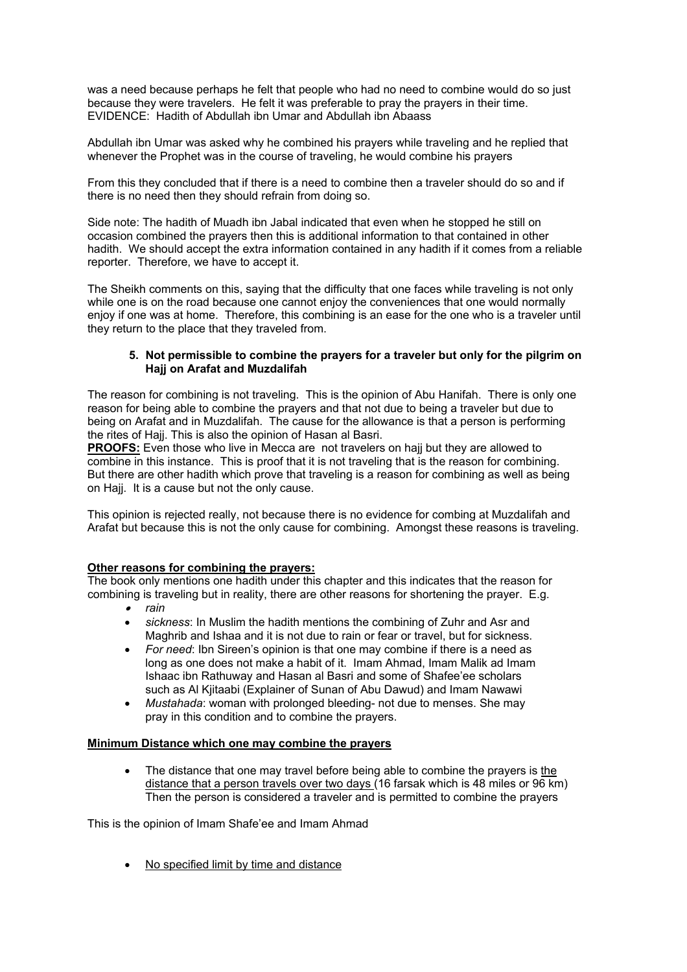was a need because perhaps he felt that people who had no need to combine would do so just because they were travelers. He felt it was preferable to pray the prayers in their time. EVIDENCE: Hadith of Abdullah ibn Umar and Abdullah ibn Abaass

Abdullah ibn Umar was asked why he combined his prayers while traveling and he replied that whenever the Prophet was in the course of traveling, he would combine his prayers

From this they concluded that if there is a need to combine then a traveler should do so and if there is no need then they should refrain from doing so.

Side note: The hadith of Muadh ibn Jabal indicated that even when he stopped he still on occasion combined the prayers then this is additional information to that contained in other hadith. We should accept the extra information contained in any hadith if it comes from a reliable reporter. Therefore, we have to accept it.

The Sheikh comments on this, saying that the difficulty that one faces while traveling is not only while one is on the road because one cannot enjoy the conveniences that one would normally enjoy if one was at home. Therefore, this combining is an ease for the one who is a traveler until they return to the place that they traveled from.

### **5. Not permissible to combine the prayers for a traveler but only for the pilgrim on Hajj on Arafat and Muzdalifah**

The reason for combining is not traveling. This is the opinion of Abu Hanifah. There is only one reason for being able to combine the prayers and that not due to being a traveler but due to being on Arafat and in Muzdalifah. The cause for the allowance is that a person is performing the rites of Hajj. This is also the opinion of Hasan al Basri.

**PROOFS:** Even those who live in Mecca are not travelers on hajj but they are allowed to combine in this instance. This is proof that it is not traveling that is the reason for combining. But there are other hadith which prove that traveling is a reason for combining as well as being on Haij. It is a cause but not the only cause.

This opinion is rejected really, not because there is no evidence for combing at Muzdalifah and Arafat but because this is not the only cause for combining. Amongst these reasons is traveling.

### **Other reasons for combining the prayers:**

The book only mentions one hadith under this chapter and this indicates that the reason for combining is traveling but in reality, there are other reasons for shortening the prayer. E.g.

- • *rain*
- *sickness*: In Muslim the hadith mentions the combining of Zuhr and Asr and Maghrib and Ishaa and it is not due to rain or fear or travel, but for sickness.
- *For need*: Ibn Sireen's opinion is that one may combine if there is a need as long as one does not make a habit of it. Imam Ahmad, Imam Malik ad Imam Ishaac ibn Rathuway and Hasan al Basri and some of Shafee'ee scholars such as Al Kjitaabi (Explainer of Sunan of Abu Dawud) and Imam Nawawi
- *Mustahada*: woman with prolonged bleeding- not due to menses. She may pray in this condition and to combine the prayers.

### **Minimum Distance which one may combine the prayers**

The distance that one may travel before being able to combine the prayers is the distance that a person travels over two days (16 farsak which is 48 miles or 96 km) Then the person is considered a traveler and is permitted to combine the prayers

This is the opinion of Imam Shafe'ee and Imam Ahmad

• No specified limit by time and distance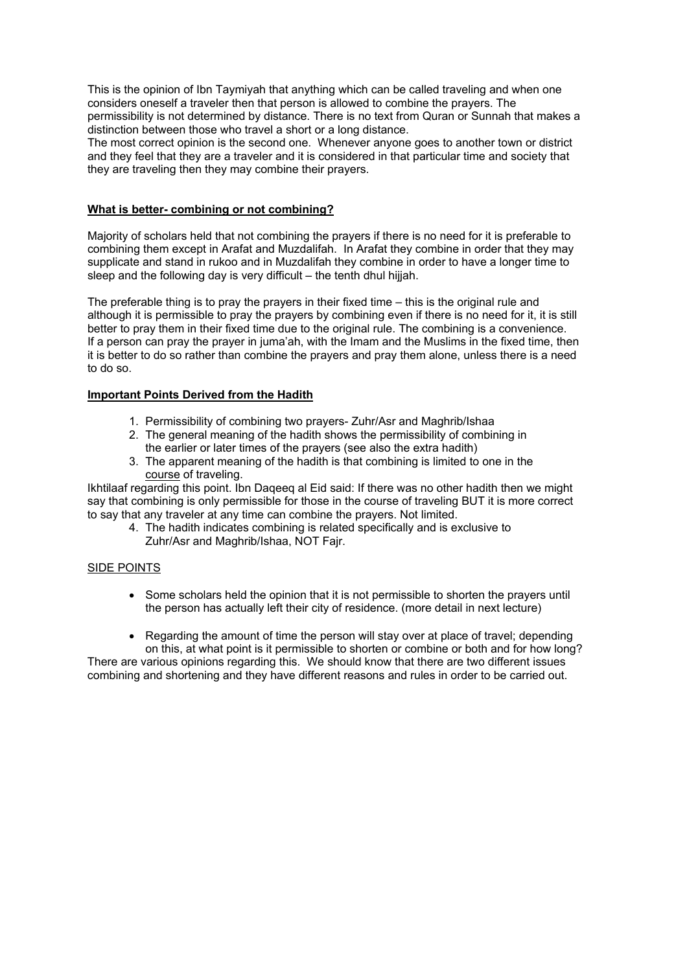This is the opinion of Ibn Taymiyah that anything which can be called traveling and when one considers oneself a traveler then that person is allowed to combine the prayers. The permissibility is not determined by distance. There is no text from Quran or Sunnah that makes a distinction between those who travel a short or a long distance.

The most correct opinion is the second one. Whenever anyone goes to another town or district and they feel that they are a traveler and it is considered in that particular time and society that they are traveling then they may combine their prayers.

### **What is better- combining or not combining?**

Majority of scholars held that not combining the prayers if there is no need for it is preferable to combining them except in Arafat and Muzdalifah. In Arafat they combine in order that they may supplicate and stand in rukoo and in Muzdalifah they combine in order to have a longer time to sleep and the following day is very difficult – the tenth dhul hijjah.

The preferable thing is to pray the prayers in their fixed time – this is the original rule and although it is permissible to pray the prayers by combining even if there is no need for it, it is still better to pray them in their fixed time due to the original rule. The combining is a convenience. If a person can pray the prayer in juma'ah, with the Imam and the Muslims in the fixed time, then it is better to do so rather than combine the prayers and pray them alone, unless there is a need to do so.

#### **Important Points Derived from the Hadith**

- 1. Permissibility of combining two prayers- Zuhr/Asr and Maghrib/Ishaa
- 2. The general meaning of the hadith shows the permissibility of combining in the earlier or later times of the prayers (see also the extra hadith)
- 3. The apparent meaning of the hadith is that combining is limited to one in the course of traveling.

Ikhtilaaf regarding this point. Ibn Daqeeq al Eid said: If there was no other hadith then we might say that combining is only permissible for those in the course of traveling BUT it is more correct to say that any traveler at any time can combine the prayers. Not limited.

4. The hadith indicates combining is related specifically and is exclusive to Zuhr/Asr and Maghrib/Ishaa, NOT Fajr.

#### SIDE POINTS

- Some scholars held the opinion that it is not permissible to shorten the prayers until the person has actually left their city of residence. (more detail in next lecture)
- Regarding the amount of time the person will stay over at place of travel; depending on this, at what point is it permissible to shorten or combine or both and for how long?

There are various opinions regarding this. We should know that there are two different issues combining and shortening and they have different reasons and rules in order to be carried out.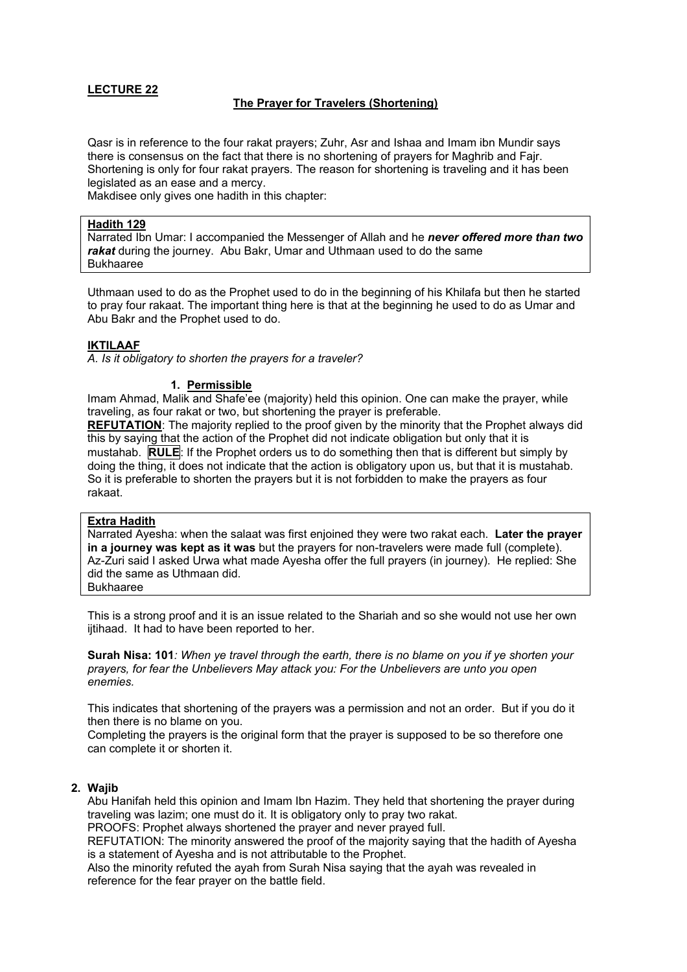### **The Prayer for Travelers (Shortening)**

Qasr is in reference to the four rakat prayers; Zuhr, Asr and Ishaa and Imam ibn Mundir says there is consensus on the fact that there is no shortening of prayers for Maghrib and Fajr. Shortening is only for four rakat prayers. The reason for shortening is traveling and it has been legislated as an ease and a mercy.

Makdisee only gives one hadith in this chapter:

#### **Hadith 129**

Narrated Ibn Umar: I accompanied the Messenger of Allah and he *never offered more than two rakat* during the journey. Abu Bakr, Umar and Uthmaan used to do the same Bukhaaree

Uthmaan used to do as the Prophet used to do in the beginning of his Khilafa but then he started to pray four rakaat. The important thing here is that at the beginning he used to do as Umar and Abu Bakr and the Prophet used to do.

#### **IKTILAAF**

*A. Is it obligatory to shorten the prayers for a traveler?* 

#### **1. Permissible**

Imam Ahmad, Malik and Shafe'ee (majority) held this opinion. One can make the prayer, while traveling, as four rakat or two, but shortening the prayer is preferable.

**REFUTATION**: The majority replied to the proof given by the minority that the Prophet always did this by saying that the action of the Prophet did not indicate obligation but only that it is mustahab. **RULE**: If the Prophet orders us to do something then that is different but simply by doing the thing, it does not indicate that the action is obligatory upon us, but that it is mustahab. So it is preferable to shorten the prayers but it is not forbidden to make the prayers as four rakaat.

#### **Extra Hadith**

Narrated Ayesha: when the salaat was first enjoined they were two rakat each. **Later the prayer in a journey was kept as it was** but the prayers for non-travelers were made full (complete). Az-Zuri said I asked Urwa what made Ayesha offer the full prayers (in journey). He replied: She did the same as Uthmaan did. Bukhaaree

This is a strong proof and it is an issue related to the Shariah and so she would not use her own ijtihaad. It had to have been reported to her.

**Surah Nisa: 101***: When ye travel through the earth, there is no blame on you if ye shorten your prayers, for fear the Unbelievers May attack you: For the Unbelievers are unto you open enemies.* 

This indicates that shortening of the prayers was a permission and not an order. But if you do it then there is no blame on you.

Completing the prayers is the original form that the prayer is supposed to be so therefore one can complete it or shorten it.

#### **2. Wajib**

Abu Hanifah held this opinion and Imam Ibn Hazim. They held that shortening the prayer during traveling was lazim; one must do it. It is obligatory only to pray two rakat.

PROOFS: Prophet always shortened the prayer and never prayed full.

REFUTATION: The minority answered the proof of the majority saying that the hadith of Ayesha is a statement of Ayesha and is not attributable to the Prophet.

Also the minority refuted the ayah from Surah Nisa saying that the ayah was revealed in reference for the fear prayer on the battle field.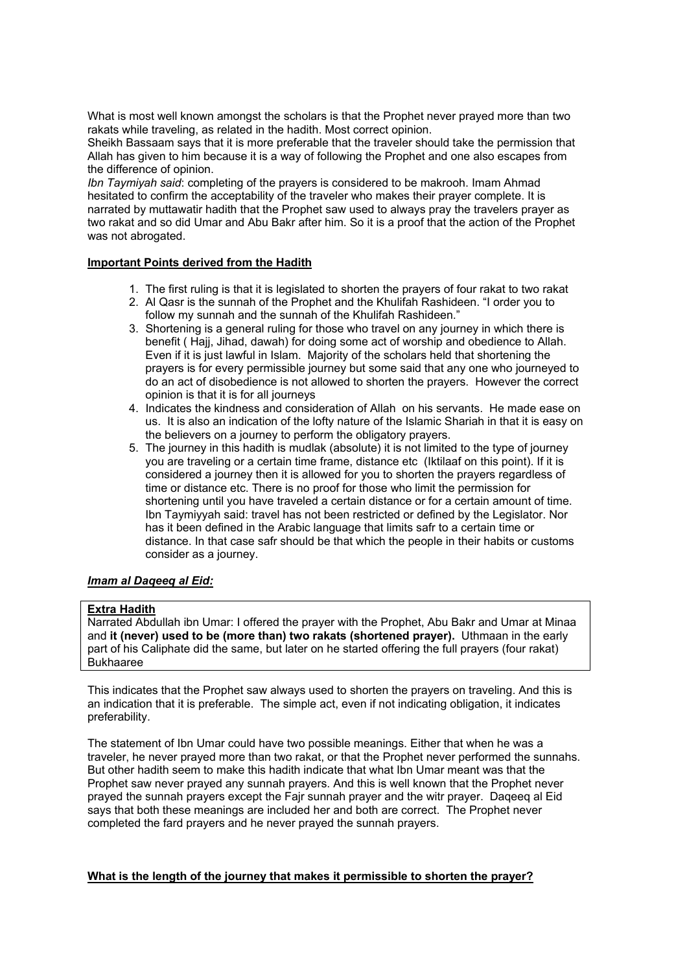What is most well known amongst the scholars is that the Prophet never prayed more than two rakats while traveling, as related in the hadith. Most correct opinion.

Sheikh Bassaam says that it is more preferable that the traveler should take the permission that Allah has given to him because it is a way of following the Prophet and one also escapes from the difference of opinion.

*Ibn Taymiyah said*: completing of the prayers is considered to be makrooh. Imam Ahmad hesitated to confirm the acceptability of the traveler who makes their prayer complete. It is narrated by muttawatir hadith that the Prophet saw used to always pray the travelers prayer as two rakat and so did Umar and Abu Bakr after him. So it is a proof that the action of the Prophet was not abrogated.

#### **Important Points derived from the Hadith**

- 1. The first ruling is that it is legislated to shorten the prayers of four rakat to two rakat
- 2. Al Qasr is the sunnah of the Prophet and the Khulifah Rashideen. "I order you to follow my sunnah and the sunnah of the Khulifah Rashideen."
- 3. Shortening is a general ruling for those who travel on any journey in which there is benefit ( Hajj, Jihad, dawah) for doing some act of worship and obedience to Allah. Even if it is just lawful in Islam. Majority of the scholars held that shortening the prayers is for every permissible journey but some said that any one who journeyed to do an act of disobedience is not allowed to shorten the prayers. However the correct opinion is that it is for all journeys
- 4. Indicates the kindness and consideration of Allah on his servants. He made ease on us. It is also an indication of the lofty nature of the Islamic Shariah in that it is easy on the believers on a journey to perform the obligatory prayers.
- 5. The journey in this hadith is mudlak (absolute) it is not limited to the type of journey you are traveling or a certain time frame, distance etc (Iktilaaf on this point). If it is considered a journey then it is allowed for you to shorten the prayers regardless of time or distance etc. There is no proof for those who limit the permission for shortening until you have traveled a certain distance or for a certain amount of time. Ibn Taymiyyah said: travel has not been restricted or defined by the Legislator. Nor has it been defined in the Arabic language that limits safr to a certain time or distance. In that case safr should be that which the people in their habits or customs consider as a journey.

### *Imam al Daqeeq al Eid:*

### **Extra Hadith**

Narrated Abdullah ibn Umar: I offered the prayer with the Prophet, Abu Bakr and Umar at Minaa and **it (never) used to be (more than) two rakats (shortened prayer).** Uthmaan in the early part of his Caliphate did the same, but later on he started offering the full prayers (four rakat) Bukhaaree

This indicates that the Prophet saw always used to shorten the prayers on traveling. And this is an indication that it is preferable. The simple act, even if not indicating obligation, it indicates preferability.

The statement of Ibn Umar could have two possible meanings. Either that when he was a traveler, he never prayed more than two rakat, or that the Prophet never performed the sunnahs. But other hadith seem to make this hadith indicate that what Ibn Umar meant was that the Prophet saw never prayed any sunnah prayers. And this is well known that the Prophet never prayed the sunnah prayers except the Fajr sunnah prayer and the witr prayer. Daqeeq al Eid says that both these meanings are included her and both are correct. The Prophet never completed the fard prayers and he never prayed the sunnah prayers.

#### **What is the length of the journey that makes it permissible to shorten the prayer?**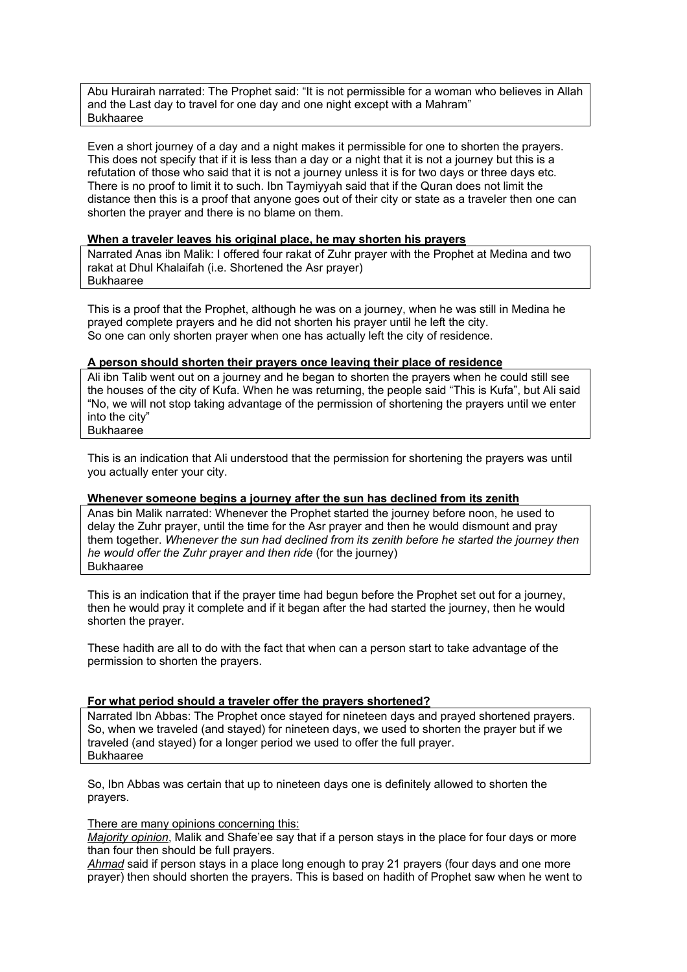Abu Hurairah narrated: The Prophet said: "It is not permissible for a woman who believes in Allah and the Last day to travel for one day and one night except with a Mahram" Bukhaaree

Even a short journey of a day and a night makes it permissible for one to shorten the prayers. This does not specify that if it is less than a day or a night that it is not a journey but this is a refutation of those who said that it is not a journey unless it is for two days or three days etc. There is no proof to limit it to such. Ibn Taymiyyah said that if the Quran does not limit the distance then this is a proof that anyone goes out of their city or state as a traveler then one can shorten the prayer and there is no blame on them.

#### **When a traveler leaves his original place, he may shorten his prayers**

Narrated Anas ibn Malik: I offered four rakat of Zuhr prayer with the Prophet at Medina and two rakat at Dhul Khalaifah (i.e. Shortened the Asr prayer) Bukhaaree

This is a proof that the Prophet, although he was on a journey, when he was still in Medina he prayed complete prayers and he did not shorten his prayer until he left the city. So one can only shorten prayer when one has actually left the city of residence.

#### **A person should shorten their prayers once leaving their place of residence**

Ali ibn Talib went out on a journey and he began to shorten the prayers when he could still see the houses of the city of Kufa. When he was returning, the people said "This is Kufa", but Ali said "No, we will not stop taking advantage of the permission of shortening the prayers until we enter into the city" Bukhaaree

This is an indication that Ali understood that the permission for shortening the prayers was until you actually enter your city.

#### **Whenever someone begins a journey after the sun has declined from its zenith**

Anas bin Malik narrated: Whenever the Prophet started the journey before noon, he used to delay the Zuhr prayer, until the time for the Asr prayer and then he would dismount and pray them together. *Whenever the sun had declined from its zenith before he started the journey then he would offer the Zuhr prayer and then ride* (for the journey) Bukhaaree

This is an indication that if the prayer time had begun before the Prophet set out for a journey, then he would pray it complete and if it began after the had started the journey, then he would shorten the prayer.

These hadith are all to do with the fact that when can a person start to take advantage of the permission to shorten the prayers.

#### **For what period should a traveler offer the prayers shortened?**

Narrated Ibn Abbas: The Prophet once stayed for nineteen days and prayed shortened prayers. So, when we traveled (and stayed) for nineteen days, we used to shorten the prayer but if we traveled (and stayed) for a longer period we used to offer the full prayer. Bukhaaree

So, Ibn Abbas was certain that up to nineteen days one is definitely allowed to shorten the prayers.

#### There are many opinions concerning this:

*Majority opinion*, Malik and Shafe'ee say that if a person stays in the place for four days or more than four then should be full prayers.

*Ahmad* said if person stays in a place long enough to pray 21 prayers (four days and one more prayer) then should shorten the prayers. This is based on hadith of Prophet saw when he went to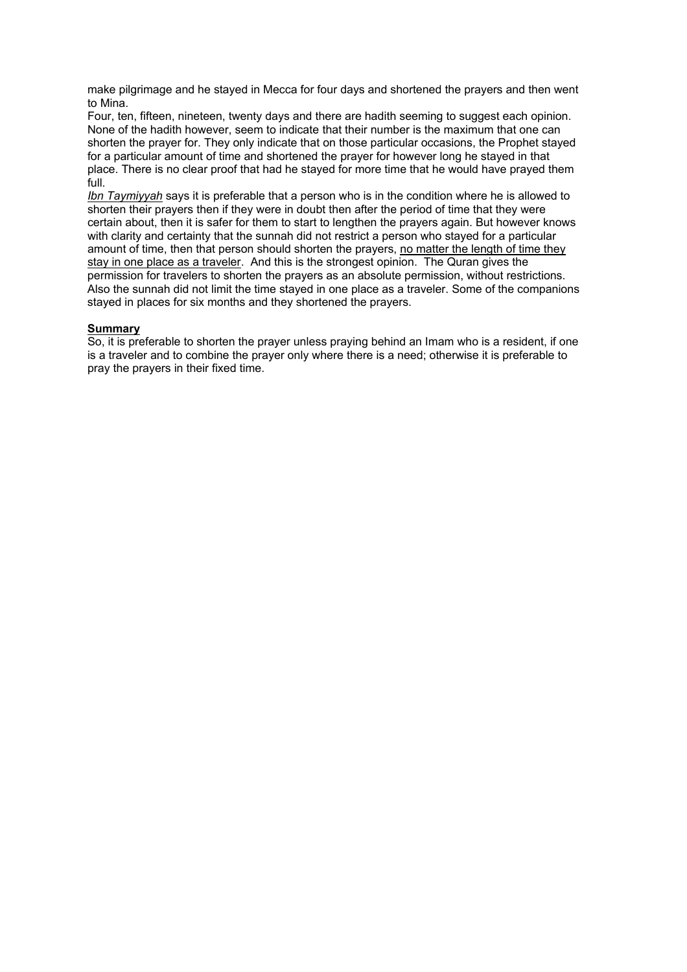make pilgrimage and he stayed in Mecca for four days and shortened the prayers and then went to Mina.

Four, ten, fifteen, nineteen, twenty days and there are hadith seeming to suggest each opinion. None of the hadith however, seem to indicate that their number is the maximum that one can shorten the prayer for. They only indicate that on those particular occasions, the Prophet stayed for a particular amount of time and shortened the prayer for however long he stayed in that place. There is no clear proof that had he stayed for more time that he would have prayed them full.

*Ibn Taymiyyah* says it is preferable that a person who is in the condition where he is allowed to shorten their prayers then if they were in doubt then after the period of time that they were certain about, then it is safer for them to start to lengthen the prayers again. But however knows with clarity and certainty that the sunnah did not restrict a person who stayed for a particular amount of time, then that person should shorten the prayers, no matter the length of time they stay in one place as a traveler. And this is the strongest opinion. The Quran gives the permission for travelers to shorten the prayers as an absolute permission, without restrictions. Also the sunnah did not limit the time stayed in one place as a traveler. Some of the companions stayed in places for six months and they shortened the prayers.

#### **Summary**

So, it is preferable to shorten the prayer unless praying behind an Imam who is a resident, if one is a traveler and to combine the prayer only where there is a need; otherwise it is preferable to pray the prayers in their fixed time.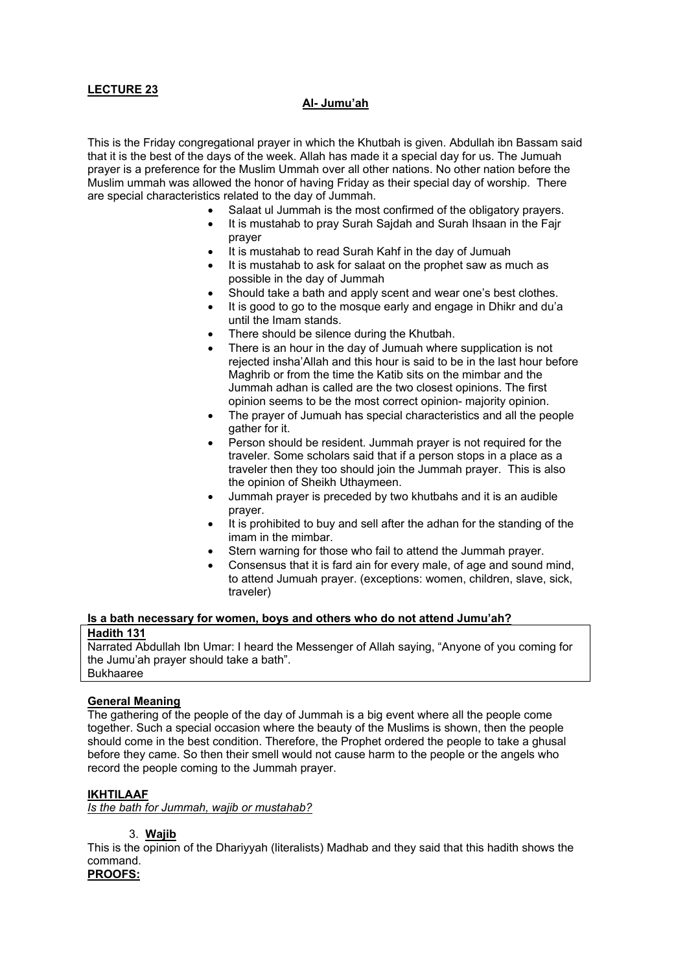# **Al- Jumu'ah**

This is the Friday congregational prayer in which the Khutbah is given. Abdullah ibn Bassam said that it is the best of the days of the week. Allah has made it a special day for us. The Jumuah prayer is a preference for the Muslim Ummah over all other nations. No other nation before the Muslim ummah was allowed the honor of having Friday as their special day of worship. There are special characteristics related to the day of Jummah.

- Salaat ul Jummah is the most confirmed of the obligatory prayers.
- It is mustahab to pray Surah Sajdah and Surah Ihsaan in the Fajr prayer
- It is mustahab to read Surah Kahf in the day of Jumuah
- It is mustahab to ask for salaat on the prophet saw as much as possible in the day of Jummah
- Should take a bath and apply scent and wear one's best clothes.
- It is good to go to the mosque early and engage in Dhikr and du'a until the Imam stands.
- There should be silence during the Khutbah.
- There is an hour in the day of Jumuah where supplication is not rejected insha'Allah and this hour is said to be in the last hour before Maghrib or from the time the Katib sits on the mimbar and the Jummah adhan is called are the two closest opinions. The first opinion seems to be the most correct opinion- majority opinion.
- The prayer of Jumuah has special characteristics and all the people gather for it.
- Person should be resident. Jummah prayer is not required for the traveler. Some scholars said that if a person stops in a place as a traveler then they too should join the Jummah prayer. This is also the opinion of Sheikh Uthaymeen.
- Jummah prayer is preceded by two khutbahs and it is an audible prayer.
- It is prohibited to buy and sell after the adhan for the standing of the imam in the mimbar.
- Stern warning for those who fail to attend the Jummah prayer.
- Consensus that it is fard ain for every male, of age and sound mind, to attend Jumuah prayer. (exceptions: women, children, slave, sick, traveler)

# **Is a bath necessary for women, boys and others who do not attend Jumu'ah?**

#### **Hadith 131**

Narrated Abdullah Ibn Umar: I heard the Messenger of Allah saying, "Anyone of you coming for the Jumu'ah prayer should take a bath". Bukhaaree

### **General Meaning**

The gathering of the people of the day of Jummah is a big event where all the people come together. Such a special occasion where the beauty of the Muslims is shown, then the people should come in the best condition. Therefore, the Prophet ordered the people to take a ghusal before they came. So then their smell would not cause harm to the people or the angels who record the people coming to the Jummah prayer.

### **IKHTILAAF**

*Is the bath for Jummah, wajib or mustahab?*

#### 3. **Wajib**

This is the opinion of the Dhariyyah (literalists) Madhab and they said that this hadith shows the command. **PROOFS:**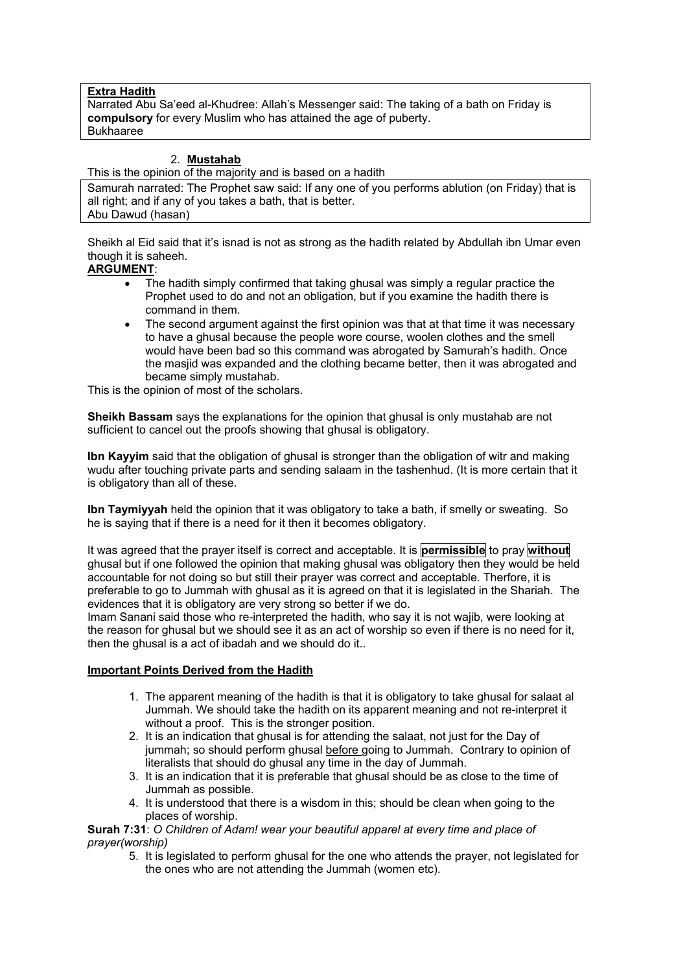#### **Extra Hadith**

Narrated Abu Sa'eed al-Khudree: Allah's Messenger said: The taking of a bath on Friday is **compulsory** for every Muslim who has attained the age of puberty. Bukhaaree

### 2. **Mustahab**

This is the opinion of the majority and is based on a hadith

Samurah narrated: The Prophet saw said: If any one of you performs ablution (on Friday) that is all right; and if any of you takes a bath, that is better. Abu Dawud (hasan)

Sheikh al Eid said that it's isnad is not as strong as the hadith related by Abdullah ibn Umar even though it is saheeh.

### **ARGUMENT**:

- The hadith simply confirmed that taking ghusal was simply a regular practice the Prophet used to do and not an obligation, but if you examine the hadith there is command in them.
- The second argument against the first opinion was that at that time it was necessary to have a ghusal because the people wore course, woolen clothes and the smell would have been bad so this command was abrogated by Samurah's hadith. Once the masjid was expanded and the clothing became better, then it was abrogated and became simply mustahab.

This is the opinion of most of the scholars.

**Sheikh Bassam** says the explanations for the opinion that ghusal is only mustahab are not sufficient to cancel out the proofs showing that ghusal is obligatory.

**Ibn Kayyim** said that the obligation of ghusal is stronger than the obligation of witr and making wudu after touching private parts and sending salaam in the tashenhud. (It is more certain that it is obligatory than all of these.

**Ibn Taymiyyah** held the opinion that it was obligatory to take a bath, if smelly or sweating. So he is saying that if there is a need for it then it becomes obligatory.

It was agreed that the prayer itself is correct and acceptable. It is **permissible** to pray **without** ghusal but if one followed the opinion that making ghusal was obligatory then they would be held accountable for not doing so but still their prayer was correct and acceptable. Therfore, it is preferable to go to Jummah with ghusal as it is agreed on that it is legislated in the Shariah. The evidences that it is obligatory are very strong so better if we do.

Imam Sanani said those who re-interpreted the hadith, who say it is not wajib, were looking at the reason for ghusal but we should see it as an act of worship so even if there is no need for it, then the ghusal is a act of ibadah and we should do it..

#### **Important Points Derived from the Hadith**

- 1. The apparent meaning of the hadith is that it is obligatory to take ghusal for salaat al Jummah. We should take the hadith on its apparent meaning and not re-interpret it without a proof. This is the stronger position.
- 2. It is an indication that ghusal is for attending the salaat, not just for the Day of jummah; so should perform ghusal before going to Jummah. Contrary to opinion of literalists that should do ghusal any time in the day of Jummah.
- 3. It is an indication that it is preferable that ghusal should be as close to the time of Jummah as possible.
- 4. It is understood that there is a wisdom in this; should be clean when going to the places of worship.

**Surah 7:31**: *O Children of Adam! wear your beautiful apparel at every time and place of prayer(worship)* 

5. It is legislated to perform ghusal for the one who attends the prayer, not legislated for the ones who are not attending the Jummah (women etc).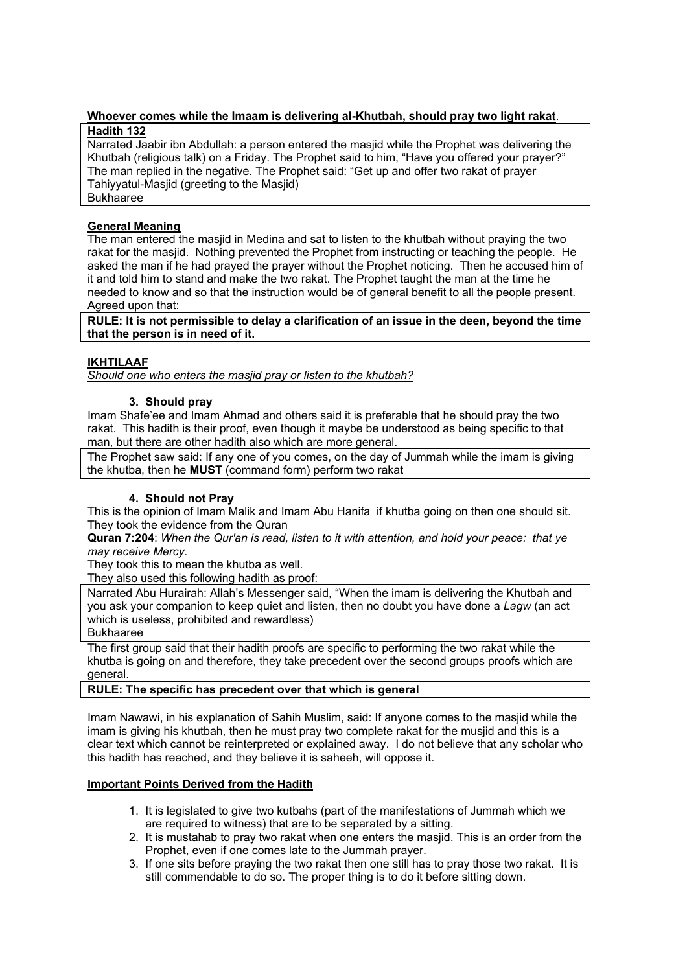# **Whoever comes while the Imaam is delivering al-Khutbah, should pray two light rakat**.

## **Hadith 132**

Narrated Jaabir ibn Abdullah: a person entered the masjid while the Prophet was delivering the Khutbah (religious talk) on a Friday. The Prophet said to him, "Have you offered your prayer?" The man replied in the negative. The Prophet said: "Get up and offer two rakat of prayer Tahiyyatul-Masjid (greeting to the Masjid) Bukhaaree

# **General Meaning**

The man entered the masjid in Medina and sat to listen to the khutbah without praying the two rakat for the masjid. Nothing prevented the Prophet from instructing or teaching the people. He asked the man if he had prayed the prayer without the Prophet noticing. Then he accused him of it and told him to stand and make the two rakat. The Prophet taught the man at the time he needed to know and so that the instruction would be of general benefit to all the people present. Agreed upon that:

**RULE: It is not permissible to delay a clarification of an issue in the deen, beyond the time that the person is in need of it.** 

# **IKHTILAAF**

*Should one who enters the masjid pray or listen to the khutbah?*

### **3. Should pray**

Imam Shafe'ee and Imam Ahmad and others said it is preferable that he should pray the two rakat. This hadith is their proof, even though it maybe be understood as being specific to that man, but there are other hadith also which are more general.

The Prophet saw said: If any one of you comes, on the day of Jummah while the imam is giving the khutba, then he **MUST** (command form) perform two rakat

### **4. Should not Pray**

This is the opinion of Imam Malik and Imam Abu Hanifa if khutba going on then one should sit. They took the evidence from the Quran

**Quran 7:204**: *When the Qur'an is read, listen to it with attention, and hold your peace: that ye may receive Mercy.*

They took this to mean the khutba as well.

They also used this following hadith as proof:

Narrated Abu Hurairah: Allah's Messenger said, "When the imam is delivering the Khutbah and you ask your companion to keep quiet and listen, then no doubt you have done a *Lagw* (an act which is useless, prohibited and rewardless)

Bukhaaree

The first group said that their hadith proofs are specific to performing the two rakat while the khutba is going on and therefore, they take precedent over the second groups proofs which are general.

### **RULE: The specific has precedent over that which is general**

Imam Nawawi, in his explanation of Sahih Muslim, said: If anyone comes to the masjid while the imam is giving his khutbah, then he must pray two complete rakat for the musjid and this is a clear text which cannot be reinterpreted or explained away. I do not believe that any scholar who this hadith has reached, and they believe it is saheeh, will oppose it.

### **Important Points Derived from the Hadith**

- 1. It is legislated to give two kutbahs (part of the manifestations of Jummah which we are required to witness) that are to be separated by a sitting.
- 2. It is mustahab to pray two rakat when one enters the masjid. This is an order from the Prophet, even if one comes late to the Jummah prayer.
- 3. If one sits before praying the two rakat then one still has to pray those two rakat. It is still commendable to do so. The proper thing is to do it before sitting down.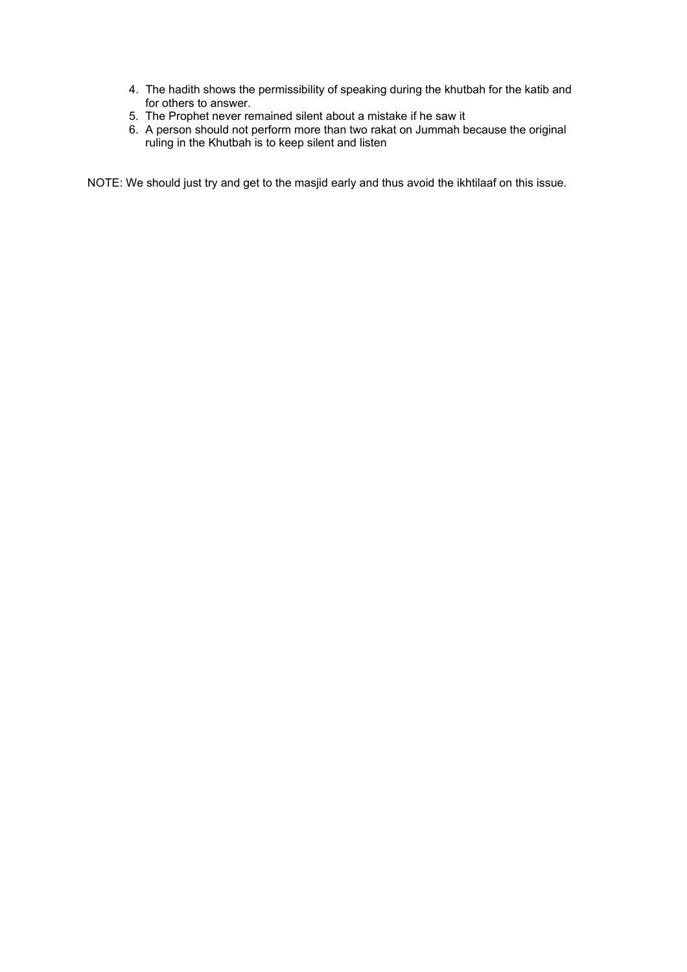- 4. The hadith shows the permissibility of speaking during the khutbah for the katib and for others to answer.
- 5. The Prophet never remained silent about a mistake if he saw it
- 6. A person should not perform more than two rakat on Jummah because the original ruling in the Khutbah is to keep silent and listen

NOTE: We should just try and get to the masjid early and thus avoid the ikhtilaaf on this issue.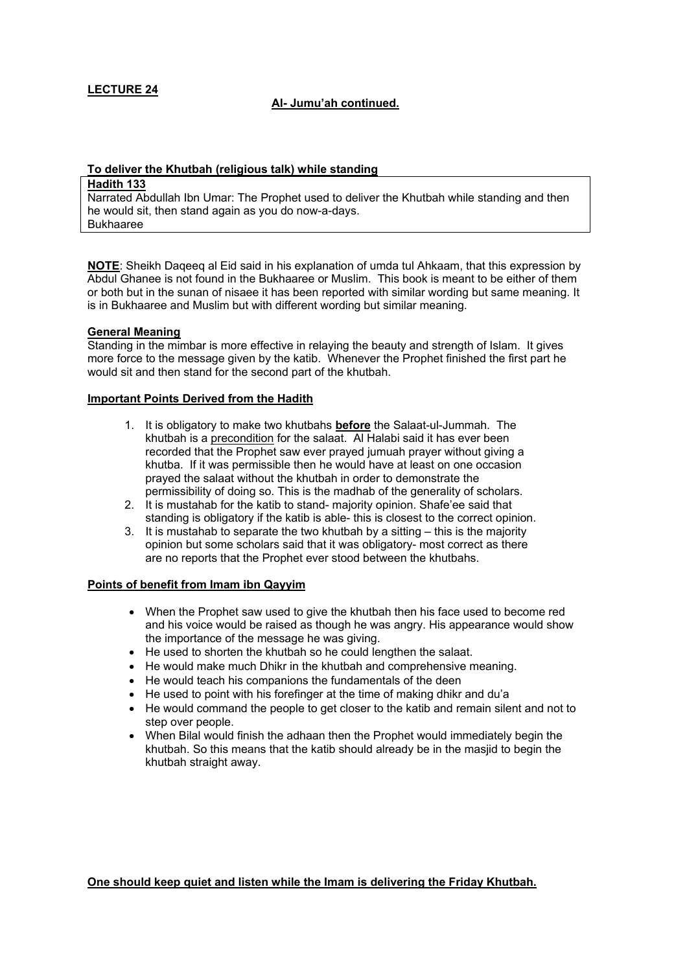### **Al- Jumu'ah continued.**

### **To deliver the Khutbah (religious talk) while standing**

#### **Hadith 133**

Narrated Abdullah Ibn Umar: The Prophet used to deliver the Khutbah while standing and then he would sit, then stand again as you do now-a-days. Bukhaaree

**NOTE**: Sheikh Daqeeq al Eid said in his explanation of umda tul Ahkaam, that this expression by Abdul Ghanee is not found in the Bukhaaree or Muslim. This book is meant to be either of them or both but in the sunan of nisaee it has been reported with similar wording but same meaning. It is in Bukhaaree and Muslim but with different wording but similar meaning.

#### **General Meaning**

Standing in the mimbar is more effective in relaying the beauty and strength of Islam. It gives more force to the message given by the katib. Whenever the Prophet finished the first part he would sit and then stand for the second part of the khutbah.

#### **Important Points Derived from the Hadith**

- 1. It is obligatory to make two khutbahs **before** the Salaat-ul-Jummah. The khutbah is a precondition for the salaat. Al Halabi said it has ever been recorded that the Prophet saw ever prayed jumuah prayer without giving a khutba. If it was permissible then he would have at least on one occasion prayed the salaat without the khutbah in order to demonstrate the permissibility of doing so. This is the madhab of the generality of scholars.
- 2. It is mustahab for the katib to stand- majority opinion. Shafe'ee said that standing is obligatory if the katib is able- this is closest to the correct opinion.
- 3. It is mustahab to separate the two khutbah by a sitting this is the majority opinion but some scholars said that it was obligatory- most correct as there are no reports that the Prophet ever stood between the khutbahs.

### **Points of benefit from Imam ibn Qayyim**

- When the Prophet saw used to give the khutbah then his face used to become red and his voice would be raised as though he was angry. His appearance would show the importance of the message he was giving.
- He used to shorten the khutbah so he could lengthen the salaat.
- He would make much Dhikr in the khutbah and comprehensive meaning.
- He would teach his companions the fundamentals of the deen
- He used to point with his forefinger at the time of making dhikr and du'a
- He would command the people to get closer to the katib and remain silent and not to step over people.
- When Bilal would finish the adhaan then the Prophet would immediately begin the khutbah. So this means that the katib should already be in the masjid to begin the khutbah straight away.

**One should keep quiet and listen while the Imam is delivering the Friday Khutbah.**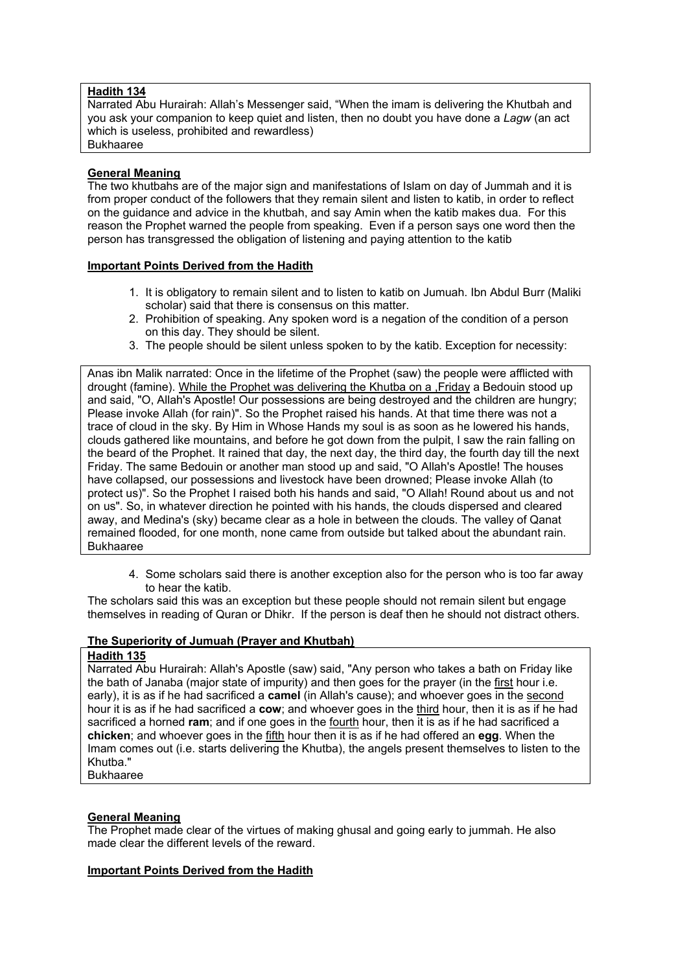### **Hadith 134**

Narrated Abu Hurairah: Allah's Messenger said, "When the imam is delivering the Khutbah and you ask your companion to keep quiet and listen, then no doubt you have done a *Lagw* (an act which is useless, prohibited and rewardless) Bukhaaree

### **General Meaning**

The two khutbahs are of the major sign and manifestations of Islam on day of Jummah and it is from proper conduct of the followers that they remain silent and listen to katib, in order to reflect on the guidance and advice in the khutbah, and say Amin when the katib makes dua. For this reason the Prophet warned the people from speaking. Even if a person says one word then the person has transgressed the obligation of listening and paying attention to the katib

#### **Important Points Derived from the Hadith**

- 1. It is obligatory to remain silent and to listen to katib on Jumuah. Ibn Abdul Burr (Maliki scholar) said that there is consensus on this matter.
- 2. Prohibition of speaking. Any spoken word is a negation of the condition of a person on this day. They should be silent.
- 3. The people should be silent unless spoken to by the katib. Exception for necessity:

Anas ibn Malik narrated: Once in the lifetime of the Prophet (saw) the people were afflicted with drought (famine). While the Prophet was delivering the Khutba on a ,Friday a Bedouin stood up and said, "O, Allah's Apostle! Our possessions are being destroyed and the children are hungry; Please invoke Allah (for rain)". So the Prophet raised his hands. At that time there was not a trace of cloud in the sky. By Him in Whose Hands my soul is as soon as he lowered his hands, clouds gathered like mountains, and before he got down from the pulpit, I saw the rain falling on the beard of the Prophet. It rained that day, the next day, the third day, the fourth day till the next Friday. The same Bedouin or another man stood up and said, "O Allah's Apostle! The houses have collapsed, our possessions and livestock have been drowned; Please invoke Allah (to protect us)". So the Prophet I raised both his hands and said, "O Allah! Round about us and not on us". So, in whatever direction he pointed with his hands, the clouds dispersed and cleared away, and Medina's (sky) became clear as a hole in between the clouds. The valley of Qanat remained flooded, for one month, none came from outside but talked about the abundant rain. Bukhaaree

4. Some scholars said there is another exception also for the person who is too far away to hear the katib.

The scholars said this was an exception but these people should not remain silent but engage themselves in reading of Quran or Dhikr. If the person is deaf then he should not distract others.

#### **The Superiority of Jumuah (Prayer and Khutbah)**

#### **Hadith 135**

Narrated Abu Hurairah: Allah's Apostle (saw) said, "Any person who takes a bath on Friday like the bath of Janaba (major state of impurity) and then goes for the prayer (in the first hour i.e. early), it is as if he had sacrificed a **camel** (in Allah's cause); and whoever goes in the second hour it is as if he had sacrificed a **cow**; and whoever goes in the third hour, then it is as if he had sacrificed a horned **ram**; and if one goes in the fourth hour, then it is as if he had sacrificed a **chicken**; and whoever goes in the fifth hour then it is as if he had offered an **egg**. When the Imam comes out (i.e. starts delivering the Khutba), the angels present themselves to listen to the Khutba."

Bukhaaree

# **General Meaning**

The Prophet made clear of the virtues of making ghusal and going early to jummah. He also made clear the different levels of the reward.

#### **Important Points Derived from the Hadith**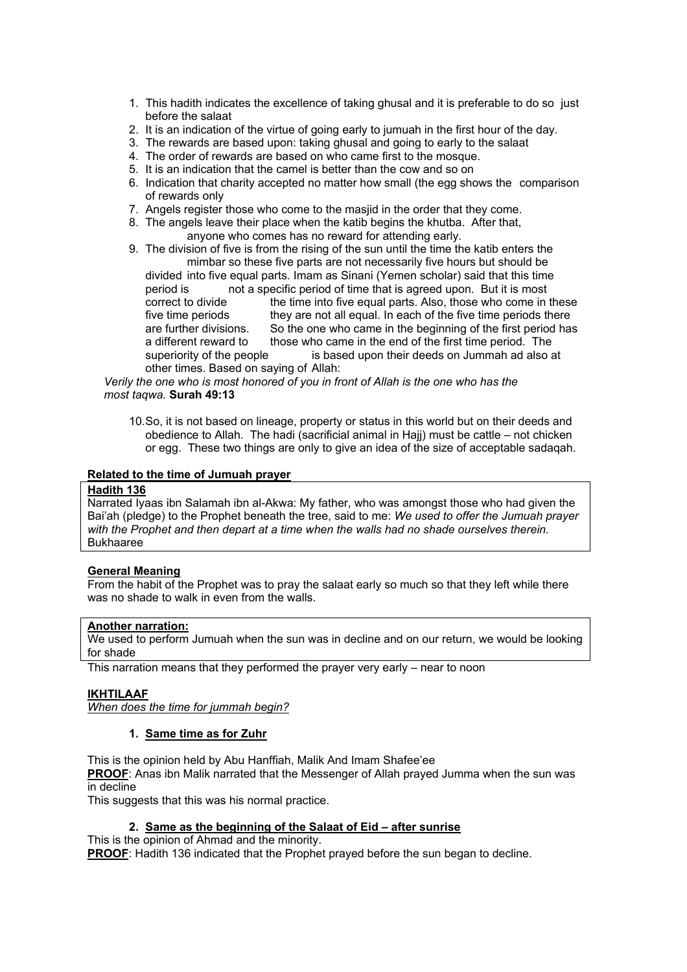- 1. This hadith indicates the excellence of taking ghusal and it is preferable to do so just before the salaat
- 2. It is an indication of the virtue of going early to jumuah in the first hour of the day.
- 3. The rewards are based upon: taking ghusal and going to early to the salaat
- 4. The order of rewards are based on who came first to the mosque.
- 5. It is an indication that the camel is better than the cow and so on
- 6. Indication that charity accepted no matter how small (the egg shows the comparison of rewards only
- 7. Angels register those who come to the masjid in the order that they come.
- 8. The angels leave their place when the katib begins the khutba. After that, anyone who comes has no reward for attending early.
- 9. The division of five is from the rising of the sun until the time the katib enters the mimbar so these five parts are not necessarily five hours but should be divided into five equal parts. Imam as Sinani (Yemen scholar) said that this time period is not a specific period of time that is agreed upon. But it is most correct to divide the time into five equal parts. Also, those who come in these five time periods they are not all equal. In each of the five time periods there are further divisions. So the one who came in the beginning of the first period has So the one who came in the beginning of the first period has a different reward to those who came in the end of the first time period. The superiority of the people is based upon their deeds on Jummah ad also at other times. Based on saying of Allah:

 *Verily the one who is most honored of you in front of Allah is the one who has the most taqwa.* **Surah 49:13** 

10. So, it is not based on lineage, property or status in this world but on their deeds and obedience to Allah. The hadi (sacrificial animal in Hajj) must be cattle – not chicken or egg. These two things are only to give an idea of the size of acceptable sadaqah.

#### **Related to the time of Jumuah prayer**

### **Hadith 136**

Narrated Iyaas ibn Salamah ibn al-Akwa: My father, who was amongst those who had given the Bai'ah (pledge) to the Prophet beneath the tree, said to me: *We used to offer the Jumuah prayer with the Prophet and then depart at a time when the walls had no shade ourselves therein.* Bukhaaree

#### **General Meaning**

From the habit of the Prophet was to pray the salaat early so much so that they left while there was no shade to walk in even from the walls.

#### **Another narration:**

We used to perform Jumuah when the sun was in decline and on our return, we would be looking for shade

This narration means that they performed the prayer very early – near to noon

#### **IKHTILAAF**

*When does the time for jummah begin?*

#### **1. Same time as for Zuhr**

This is the opinion held by Abu Hanffiah, Malik And Imam Shafee'ee

**PROOF**: Anas ibn Malik narrated that the Messenger of Allah prayed Jumma when the sun was in decline

This suggests that this was his normal practice.

#### **2. Same as the beginning of the Salaat of Eid – after sunrise**

This is the opinion of Ahmad and the minority. **PROOF**: Hadith 136 indicated that the Prophet prayed before the sun began to decline.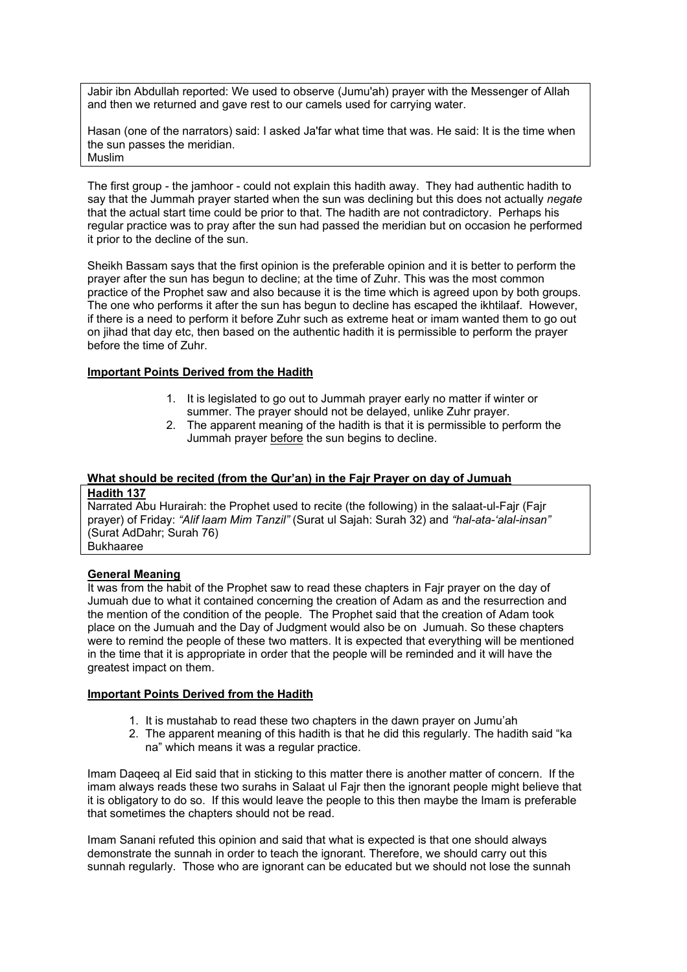Jabir ibn Abdullah reported: We used to observe (Jumu'ah) prayer with the Messenger of Allah and then we returned and gave rest to our camels used for carrying water.

Hasan (one of the narrators) said: I asked Ja'far what time that was. He said: It is the time when the sun passes the meridian. Muslim

The first group - the jamhoor - could not explain this hadith away. They had authentic hadith to say that the Jummah prayer started when the sun was declining but this does not actually *negate* that the actual start time could be prior to that. The hadith are not contradictory. Perhaps his regular practice was to pray after the sun had passed the meridian but on occasion he performed it prior to the decline of the sun.

Sheikh Bassam says that the first opinion is the preferable opinion and it is better to perform the prayer after the sun has begun to decline; at the time of Zuhr. This was the most common practice of the Prophet saw and also because it is the time which is agreed upon by both groups. The one who performs it after the sun has begun to decline has escaped the ikhtilaaf. However, if there is a need to perform it before Zuhr such as extreme heat or imam wanted them to go out on jihad that day etc, then based on the authentic hadith it is permissible to perform the prayer before the time of Zuhr.

#### **Important Points Derived from the Hadith**

- 1. It is legislated to go out to Jummah prayer early no matter if winter or summer. The prayer should not be delayed, unlike Zuhr prayer.
- 2. The apparent meaning of the hadith is that it is permissible to perform the Jummah prayer before the sun begins to decline.

# **What should be recited (from the Qur'an) in the Fajr Prayer on day of Jumuah**

#### **Hadith 137**

Narrated Abu Hurairah: the Prophet used to recite (the following) in the salaat-ul-Fajr (Fajr prayer) of Friday: *"Alif laam Mim Tanzil"* (Surat ul Sajah: Surah 32) and *"hal-ata-'alal-insan"*  (Surat AdDahr; Surah 76) Bukhaaree

#### **General Meaning**

It was from the habit of the Prophet saw to read these chapters in Fajr prayer on the day of Jumuah due to what it contained concerning the creation of Adam as and the resurrection and the mention of the condition of the people. The Prophet said that the creation of Adam took place on the Jumuah and the Day of Judgment would also be on Jumuah. So these chapters were to remind the people of these two matters. It is expected that everything will be mentioned in the time that it is appropriate in order that the people will be reminded and it will have the greatest impact on them.

#### **Important Points Derived from the Hadith**

- 1. It is mustahab to read these two chapters in the dawn prayer on Jumu'ah
- 2. The apparent meaning of this hadith is that he did this regularly. The hadith said "ka na" which means it was a regular practice.

Imam Daqeeq al Eid said that in sticking to this matter there is another matter of concern. If the imam always reads these two surahs in Salaat ul Fajr then the ignorant people might believe that it is obligatory to do so. If this would leave the people to this then maybe the Imam is preferable that sometimes the chapters should not be read.

Imam Sanani refuted this opinion and said that what is expected is that one should always demonstrate the sunnah in order to teach the ignorant. Therefore, we should carry out this sunnah regularly. Those who are ignorant can be educated but we should not lose the sunnah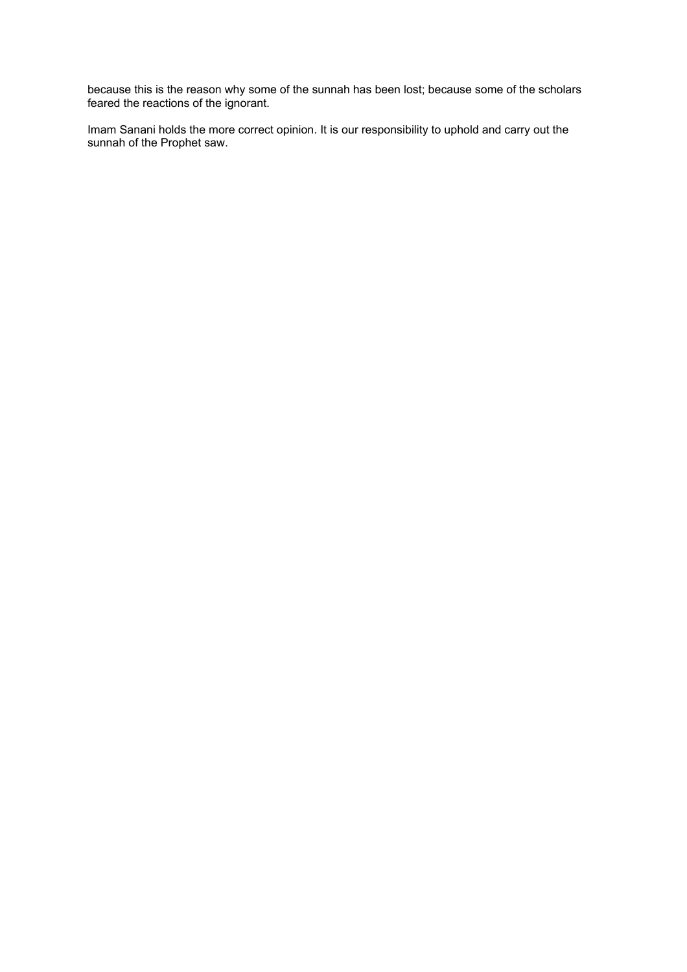because this is the reason why some of the sunnah has been lost; because some of the scholars feared the reactions of the ignorant.

Imam Sanani holds the more correct opinion. It is our responsibility to uphold and carry out the sunnah of the Prophet saw.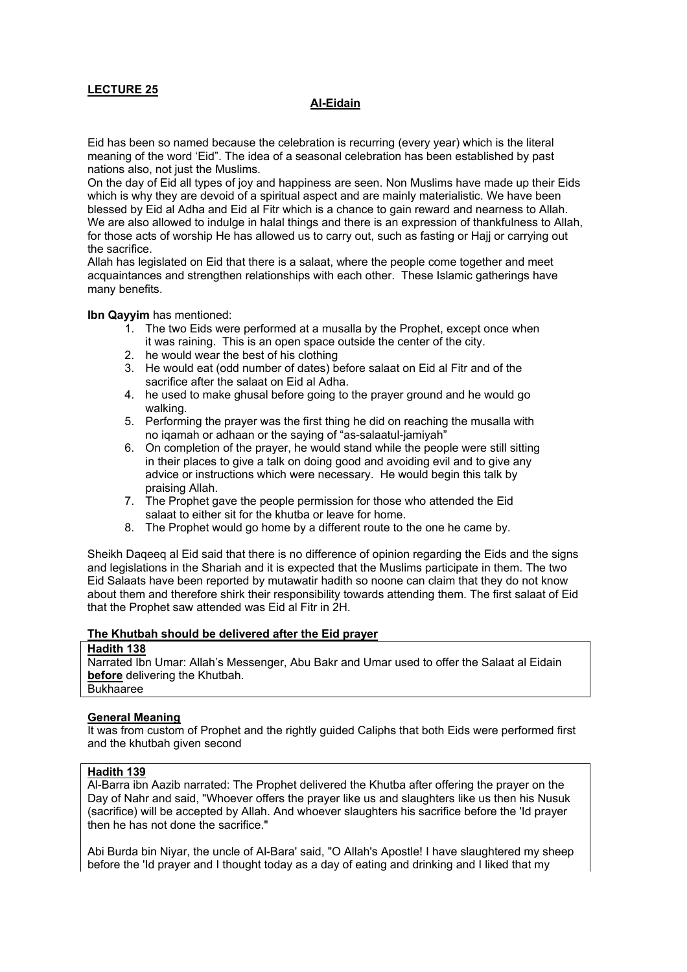#### **Al-Eidain**

Eid has been so named because the celebration is recurring (every year) which is the literal meaning of the word 'Eid". The idea of a seasonal celebration has been established by past nations also, not just the Muslims.

On the day of Eid all types of joy and happiness are seen. Non Muslims have made up their Eids which is why they are devoid of a spiritual aspect and are mainly materialistic. We have been blessed by Eid al Adha and Eid al Fitr which is a chance to gain reward and nearness to Allah. We are also allowed to indulge in halal things and there is an expression of thankfulness to Allah, for those acts of worship He has allowed us to carry out, such as fasting or Hajj or carrying out the sacrifice.

Allah has legislated on Eid that there is a salaat, where the people come together and meet acquaintances and strengthen relationships with each other. These Islamic gatherings have many benefits.

**Ibn Qayyim** has mentioned:

- 1. The two Eids were performed at a musalla by the Prophet, except once when it was raining. This is an open space outside the center of the city.
- 2. he would wear the best of his clothing
- 3. He would eat (odd number of dates) before salaat on Eid al Fitr and of the sacrifice after the salaat on Eid al Adha.
- 4. he used to make ghusal before going to the prayer ground and he would go walking.
- 5. Performing the prayer was the first thing he did on reaching the musalla with no iqamah or adhaan or the saying of "as-salaatul-jamiyah"
- 6. On completion of the prayer, he would stand while the people were still sitting in their places to give a talk on doing good and avoiding evil and to give any advice or instructions which were necessary. He would begin this talk by praising Allah.
- 7. The Prophet gave the people permission for those who attended the Eid salaat to either sit for the khutba or leave for home.
- 8. The Prophet would go home by a different route to the one he came by.

Sheikh Daqeeq al Eid said that there is no difference of opinion regarding the Eids and the signs and legislations in the Shariah and it is expected that the Muslims participate in them. The two Eid Salaats have been reported by mutawatir hadith so noone can claim that they do not know about them and therefore shirk their responsibility towards attending them. The first salaat of Eid that the Prophet saw attended was Eid al Fitr in 2H.

#### **The Khutbah should be delivered after the Eid prayer**

### **Hadith 138**

Narrated Ibn Umar: Allah's Messenger, Abu Bakr and Umar used to offer the Salaat al Eidain **before** delivering the Khutbah. Bukhaaree

### **General Meaning**

It was from custom of Prophet and the rightly guided Caliphs that both Eids were performed first and the khutbah given second

#### **Hadith 139**

Al-Barra ibn Aazib narrated: The Prophet delivered the Khutba after offering the prayer on the Day of Nahr and said, "Whoever offers the prayer like us and slaughters like us then his Nusuk (sacrifice) will be accepted by Allah. And whoever slaughters his sacrifice before the 'Id prayer then he has not done the sacrifice."

Abi Burda bin Niyar, the uncle of Al-Bara' said, "O Allah's Apostle! I have slaughtered my sheep before the 'Id prayer and I thought today as a day of eating and drinking and I liked that my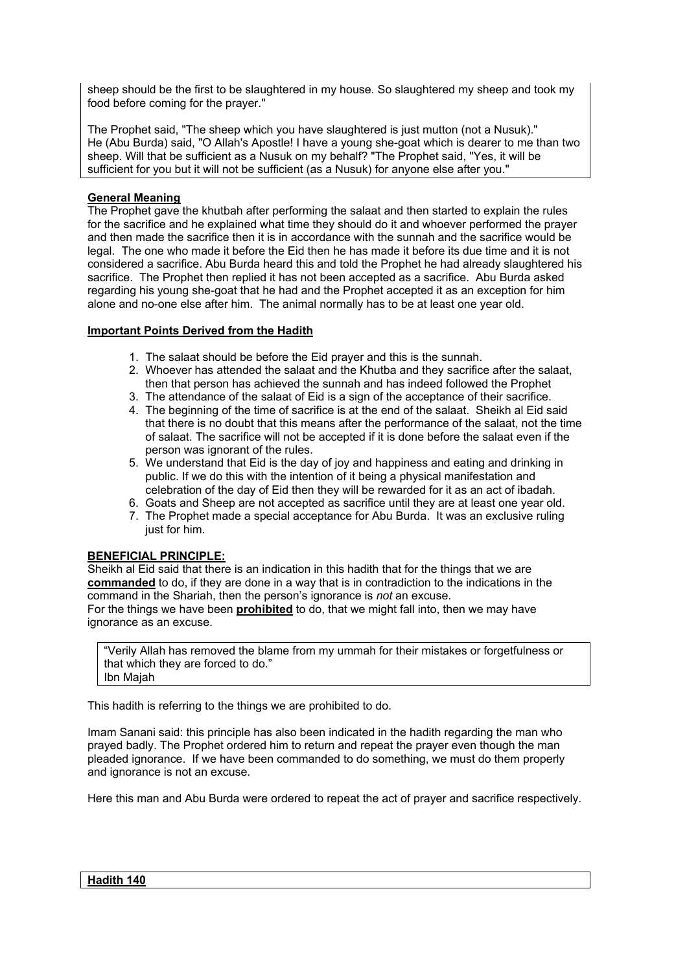sheep should be the first to be slaughtered in my house. So slaughtered my sheep and took my food before coming for the prayer."

The Prophet said, "The sheep which you have slaughtered is just mutton (not a Nusuk)." He (Abu Burda) said, "O Allah's Apostle! I have a young she-goat which is dearer to me than two sheep. Will that be sufficient as a Nusuk on my behalf? "The Prophet said, "Yes, it will be sufficient for you but it will not be sufficient (as a Nusuk) for anyone else after you."

### **General Meaning**

The Prophet gave the khutbah after performing the salaat and then started to explain the rules for the sacrifice and he explained what time they should do it and whoever performed the prayer and then made the sacrifice then it is in accordance with the sunnah and the sacrifice would be legal. The one who made it before the Eid then he has made it before its due time and it is not considered a sacrifice. Abu Burda heard this and told the Prophet he had already slaughtered his sacrifice. The Prophet then replied it has not been accepted as a sacrifice. Abu Burda asked regarding his young she-goat that he had and the Prophet accepted it as an exception for him alone and no-one else after him. The animal normally has to be at least one year old.

# **Important Points Derived from the Hadith**

- 1. The salaat should be before the Eid prayer and this is the sunnah.
- 2. Whoever has attended the salaat and the Khutba and they sacrifice after the salaat, then that person has achieved the sunnah and has indeed followed the Prophet
- 3. The attendance of the salaat of Eid is a sign of the acceptance of their sacrifice.
- 4. The beginning of the time of sacrifice is at the end of the salaat. Sheikh al Eid said that there is no doubt that this means after the performance of the salaat, not the time of salaat. The sacrifice will not be accepted if it is done before the salaat even if the person was ignorant of the rules.
- 5. We understand that Eid is the day of joy and happiness and eating and drinking in public. If we do this with the intention of it being a physical manifestation and celebration of the day of Eid then they will be rewarded for it as an act of ibadah.
- 6. Goats and Sheep are not accepted as sacrifice until they are at least one year old.
- 7. The Prophet made a special acceptance for Abu Burda. It was an exclusive ruling just for him.

### **BENEFICIAL PRINCIPLE:**

and ignorance is not an excuse.

Sheikh al Eid said that there is an indication in this hadith that for the things that we are **commanded** to do, if they are done in a way that is in contradiction to the indications in the command in the Shariah, then the person's ignorance is *not* an excuse. For the things we have been **prohibited** to do, that we might fall into, then we may have ignorance as an excuse.

"Verily Allah has removed the blame from my ummah for their mistakes or forgetfulness or that which they are forced to do." Ibn Majah

This hadith is referring to the things we are prohibited to do.

Imam Sanani said: this principle has also been indicated in the hadith regarding the man who prayed badly. The Prophet ordered him to return and repeat the prayer even though the man pleaded ignorance. If we have been commanded to do something, we must do them properly

Here this man and Abu Burda were ordered to repeat the act of prayer and sacrifice respectively.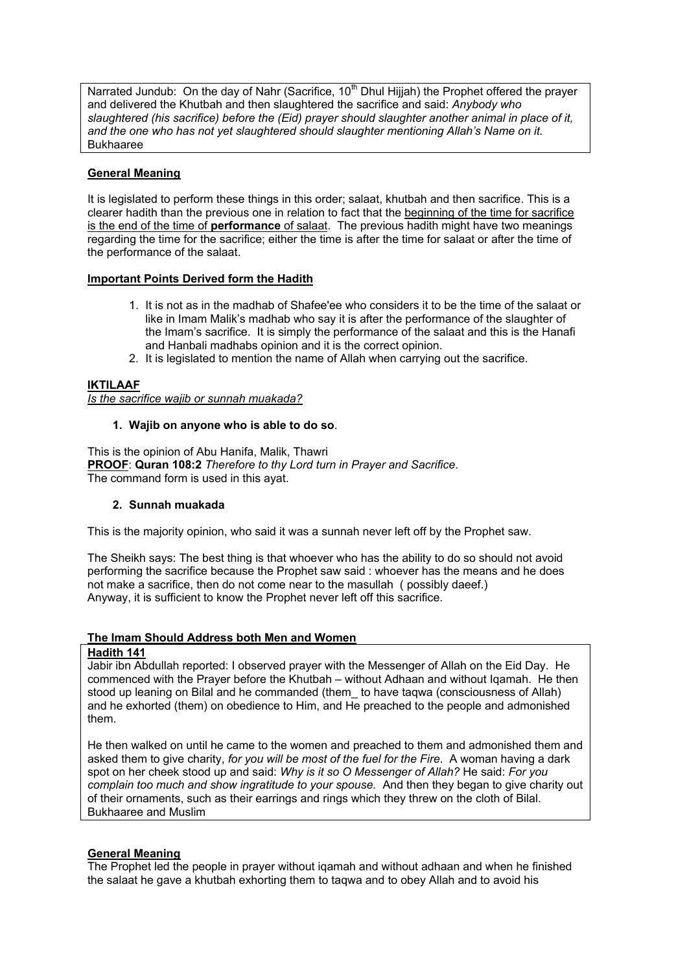Narrated Jundub: On the day of Nahr (Sacrifice,  $10<sup>th</sup>$  Dhul Hijjah) the Prophet offered the prayer and delivered the Khutbah and then slaughtered the sacrifice and said: *Anybody who slaughtered (his sacrifice) before the (Eid) prayer should slaughter another animal in place of it, and the one who has not yet slaughtered should slaughter mentioning Allah's Name on it.*  Bukhaaree

### **General Meaning**

It is legislated to perform these things in this order; salaat, khutbah and then sacrifice. This is a clearer hadith than the previous one in relation to fact that the beginning of the time for sacrifice is the end of the time of **performance** of salaat. The previous hadith might have two meanings regarding the time for the sacrifice; either the time is after the time for salaat or after the time of the performance of the salaat.

### **Important Points Derived form the Hadith**

- 1. It is not as in the madhab of Shafee'ee who considers it to be the time of the salaat or like in Imam Malik's madhab who say it is after the performance of the slaughter of the Imam's sacrifice. It is simply the performance of the salaat and this is the Hanafi and Hanbali madhabs opinion and it is the correct opinion.
- 2. It is legislated to mention the name of Allah when carrying out the sacrifice.

# **IKTILAAF**

*Is the sacrifice wajib or sunnah muakada?*

### **1. Wajib on anyone who is able to do so**.

This is the opinion of Abu Hanifa, Malik, Thawri **PROOF**: **Quran 108:2** *Therefore to thy Lord turn in Prayer and Sacrifice*. The command form is used in this ayat.

### **2. Sunnah muakada**

This is the majority opinion, who said it was a sunnah never left off by the Prophet saw.

The Sheikh says: The best thing is that whoever who has the ability to do so should not avoid performing the sacrifice because the Prophet saw said : whoever has the means and he does not make a sacrifice, then do not come near to the masullah ( possibly daeef.) Anyway, it is sufficient to know the Prophet never left off this sacrifice.

### **The Imam Should Address both Men and Women**

### **Hadith 141**

Jabir ibn Abdullah reported: I observed prayer with the Messenger of Allah on the Eid Day. He commenced with the Prayer before the Khutbah – without Adhaan and without Iqamah. He then stood up leaning on Bilal and he commanded (them to have taqwa (consciousness of Allah) and he exhorted (them) on obedience to Him, and He preached to the people and admonished them.

He then walked on until he came to the women and preached to them and admonished them and asked them to give charity, *for you will be most of the fuel for the Fire*. A woman having a dark spot on her cheek stood up and said: *Why is it so O Messenger of Allah?* He said: *For you complain too much and show ingratitude to your spouse.* And then they began to give charity out of their ornaments, such as their earrings and rings which they threw on the cloth of Bilal. Bukhaaree and Muslim

### **General Meaning**

The Prophet led the people in prayer without iqamah and without adhaan and when he finished the salaat he gave a khutbah exhorting them to taqwa and to obey Allah and to avoid his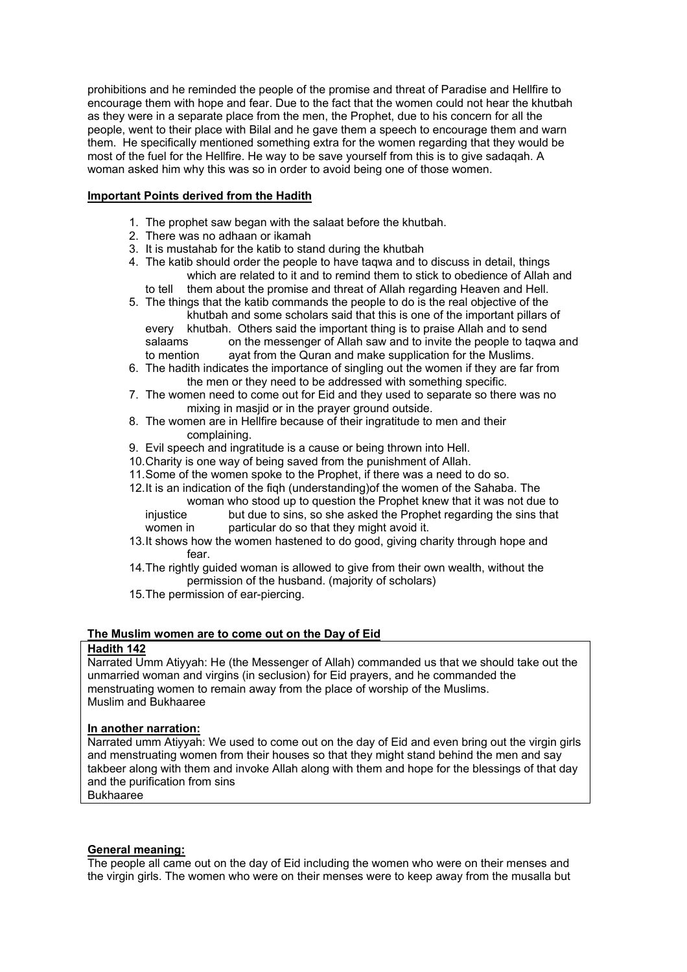prohibitions and he reminded the people of the promise and threat of Paradise and Hellfire to encourage them with hope and fear. Due to the fact that the women could not hear the khutbah as they were in a separate place from the men, the Prophet, due to his concern for all the people, went to their place with Bilal and he gave them a speech to encourage them and warn them. He specifically mentioned something extra for the women regarding that they would be most of the fuel for the Hellfire. He way to be save yourself from this is to give sadaqah. A woman asked him why this was so in order to avoid being one of those women.

### **Important Points derived from the Hadith**

- 1. The prophet saw began with the salaat before the khutbah.
- 2. There was no adhaan or ikamah
- 3. It is mustahab for the katib to stand during the khutbah
- 4. The katib should order the people to have taqwa and to discuss in detail, things which are related to it and to remind them to stick to obedience of Allah and
	- to tell them about the promise and threat of Allah regarding Heaven and Hell.
- 5. The things that the katib commands the people to do is the real objective of the khutbah and some scholars said that this is one of the important pillars of every khutbah. Others said the important thing is to praise Allah and to send salaams on the messenger of Allah saw and to invite the people to taqwa and to mention ayat from the Quran and make supplication for the Muslims.
- 6. The hadith indicates the importance of singling out the women if they are far from the men or they need to be addressed with something specific.
- 7. The women need to come out for Eid and they used to separate so there was no mixing in masjid or in the prayer ground outside.
- 8. The women are in Hellfire because of their ingratitude to men and their complaining.
- 9. Evil speech and ingratitude is a cause or being thrown into Hell.
- 10. Charity is one way of being saved from the punishment of Allah.
- 11. Some of the women spoke to the Prophet, if there was a need to do so.
- 12. It is an indication of the fiqh (understanding)of the women of the Sahaba. The woman who stood up to question the Prophet knew that it was not due to injustice but due to sins, so she asked the Prophet regarding the sins that
	- women in particular do so that they might avoid it.
- 13. It shows how the women hastened to do good, giving charity through hope and fear.
- 14. The rightly guided woman is allowed to give from their own wealth, without the permission of the husband. (majority of scholars)
- 15. The permission of ear-piercing.

#### **The Muslim women are to come out on the Day of Eid**

### **Hadith 142**

Narrated Umm Atiyyah: He (the Messenger of Allah) commanded us that we should take out the unmarried woman and virgins (in seclusion) for Eid prayers, and he commanded the menstruating women to remain away from the place of worship of the Muslims. Muslim and Bukhaaree

#### **In another narration:**

Narrated umm Ativyah: We used to come out on the day of Eid and even bring out the virgin girls and menstruating women from their houses so that they might stand behind the men and say takbeer along with them and invoke Allah along with them and hope for the blessings of that day and the purification from sins Bukhaaree

#### **General meaning:**

The people all came out on the day of Eid including the women who were on their menses and the virgin girls. The women who were on their menses were to keep away from the musalla but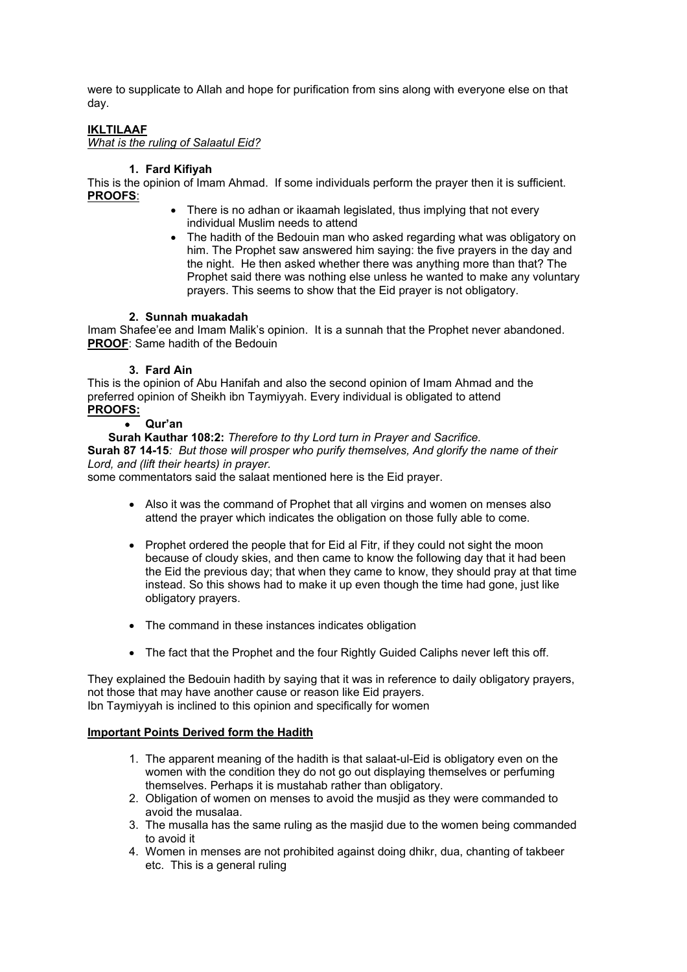were to supplicate to Allah and hope for purification from sins along with everyone else on that day.

### **IKLTILAAF**

*What is the ruling of Salaatul Eid?* 

### **1. Fard Kifiyah**

This is the opinion of Imam Ahmad. If some individuals perform the prayer then it is sufficient. **PROOFS**:

- There is no adhan or ikaamah legislated, thus implying that not every individual Muslim needs to attend
- The hadith of the Bedouin man who asked regarding what was obligatory on him. The Prophet saw answered him saying: the five prayers in the day and the night. He then asked whether there was anything more than that? The Prophet said there was nothing else unless he wanted to make any voluntary prayers. This seems to show that the Eid prayer is not obligatory.

#### **2. Sunnah muakadah**

Imam Shafee'ee and Imam Malik's opinion. It is a sunnah that the Prophet never abandoned. **PROOF**: Same hadith of the Bedouin

#### **3. Fard Ain**

This is the opinion of Abu Hanifah and also the second opinion of Imam Ahmad and the preferred opinion of Sheikh ibn Taymiyyah. Every individual is obligated to attend **PROOFS:**

#### • **Qur'an**

**Surah Kauthar 108:2:** *Therefore to thy Lord turn in Prayer and Sacrifice.* **Surah 87 14-15***: But those will prosper who purify themselves, And glorify the name of their Lord, and (lift their hearts) in prayer.*  some commentators said the salaat mentioned here is the Eid prayer.

- Also it was the command of Prophet that all virgins and women on menses also attend the prayer which indicates the obligation on those fully able to come.
- Prophet ordered the people that for Eid al Fitr, if they could not sight the moon because of cloudy skies, and then came to know the following day that it had been the Eid the previous day; that when they came to know, they should pray at that time instead. So this shows had to make it up even though the time had gone, just like obligatory prayers.
- The command in these instances indicates obligation
- The fact that the Prophet and the four Rightly Guided Caliphs never left this off.

They explained the Bedouin hadith by saying that it was in reference to daily obligatory prayers, not those that may have another cause or reason like Eid prayers. Ibn Taymiyyah is inclined to this opinion and specifically for women

### **Important Points Derived form the Hadith**

- 1. The apparent meaning of the hadith is that salaat-ul-Eid is obligatory even on the women with the condition they do not go out displaying themselves or perfuming themselves. Perhaps it is mustahab rather than obligatory.
- 2. Obligation of women on menses to avoid the musjid as they were commanded to avoid the musalaa.
- 3. The musalla has the same ruling as the masjid due to the women being commanded to avoid it
- 4. Women in menses are not prohibited against doing dhikr, dua, chanting of takbeer etc. This is a general ruling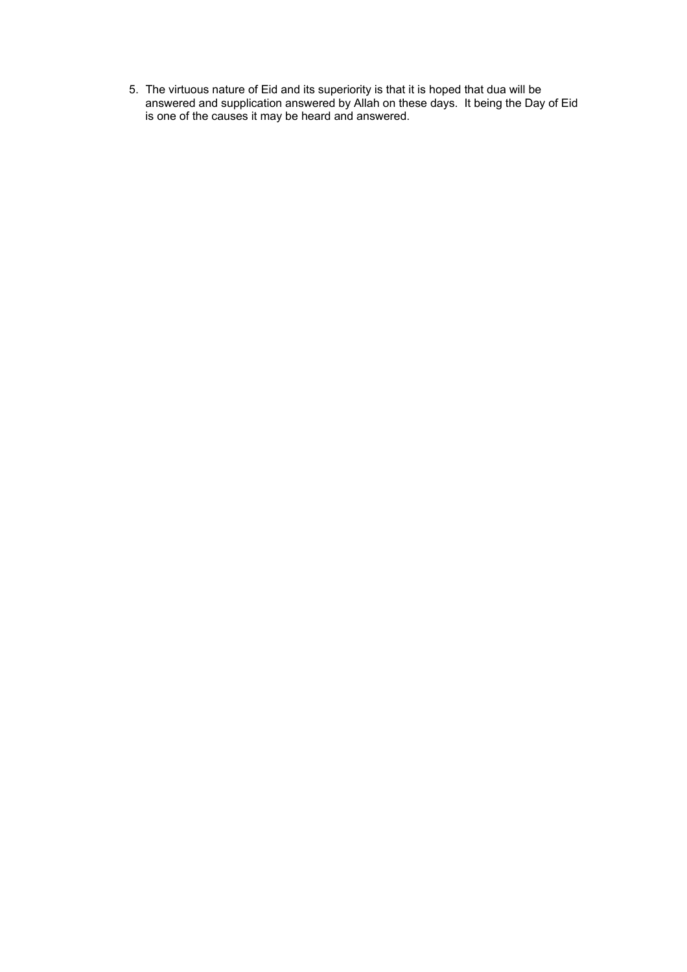5. The virtuous nature of Eid and its superiority is that it is hoped that dua will be answered and supplication answered by Allah on these days. It being the Day of Eid is one of the causes it may be heard and answered.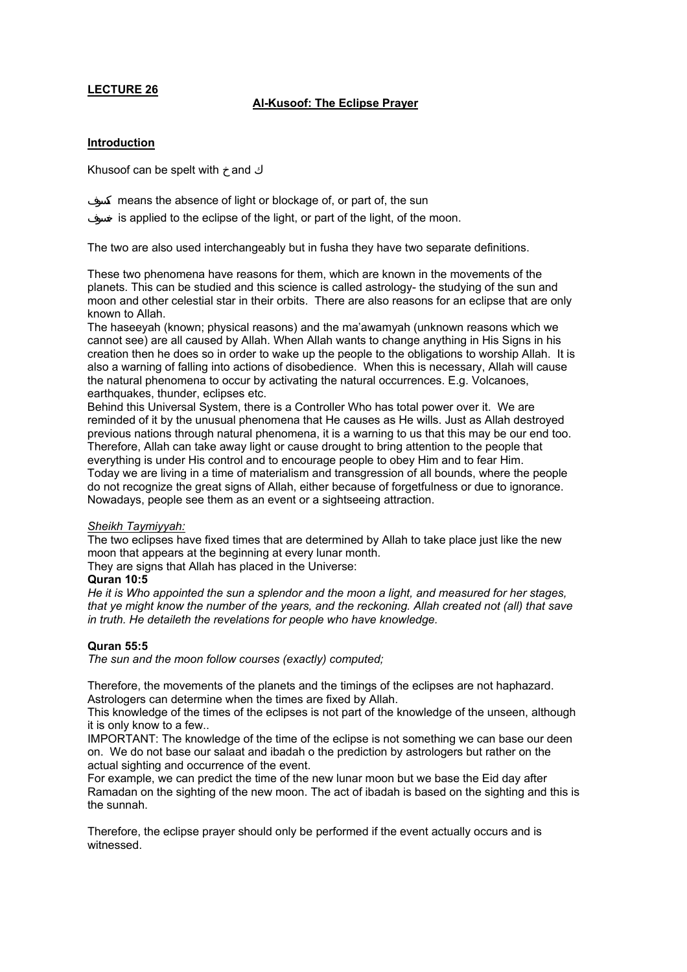### **Al-Kusoof: The Eclipse Prayer**

#### **Introduction**

Khusoof can be spelt with and

means the absence of light or blockage of, or part of, the sun is applied to the eclipse of the light, or part of the light, of the moon.

The two are also used interchangeably but in fusha they have two separate definitions.

These two phenomena have reasons for them, which are known in the movements of the planets. This can be studied and this science is called astrology- the studying of the sun and moon and other celestial star in their orbits. There are also reasons for an eclipse that are only known to Allah.

The haseeyah (known; physical reasons) and the ma'awamyah (unknown reasons which we cannot see) are all caused by Allah. When Allah wants to change anything in His Signs in his creation then he does so in order to wake up the people to the obligations to worship Allah. It is also a warning of falling into actions of disobedience. When this is necessary, Allah will cause the natural phenomena to occur by activating the natural occurrences. E.g. Volcanoes, earthquakes, thunder, eclipses etc.

Behind this Universal System, there is a Controller Who has total power over it. We are reminded of it by the unusual phenomena that He causes as He wills. Just as Allah destroyed previous nations through natural phenomena, it is a warning to us that this may be our end too. Therefore, Allah can take away light or cause drought to bring attention to the people that everything is under His control and to encourage people to obey Him and to fear Him. Today we are living in a time of materialism and transgression of all bounds, where the people do not recognize the great signs of Allah, either because of forgetfulness or due to ignorance. Nowadays, people see them as an event or a sightseeing attraction.

#### *Sheikh Taymiyyah:*

The two eclipses have fixed times that are determined by Allah to take place just like the new moon that appears at the beginning at every lunar month.

They are signs that Allah has placed in the Universe:

#### **Quran 10:5**

*He it is Who appointed the sun a splendor and the moon a light, and measured for her stages, that ye might know the number of the years, and the reckoning. Allah created not (all) that save in truth. He detaileth the revelations for people who have knowledge.* 

#### **Quran 55:5**

*The sun and the moon follow courses (exactly) computed;* 

Therefore, the movements of the planets and the timings of the eclipses are not haphazard. Astrologers can determine when the times are fixed by Allah.

This knowledge of the times of the eclipses is not part of the knowledge of the unseen, although it is only know to a few..

IMPORTANT: The knowledge of the time of the eclipse is not something we can base our deen on. We do not base our salaat and ibadah o the prediction by astrologers but rather on the actual sighting and occurrence of the event.

For example, we can predict the time of the new lunar moon but we base the Eid day after Ramadan on the sighting of the new moon. The act of ibadah is based on the sighting and this is the sunnah.

Therefore, the eclipse prayer should only be performed if the event actually occurs and is witnessed.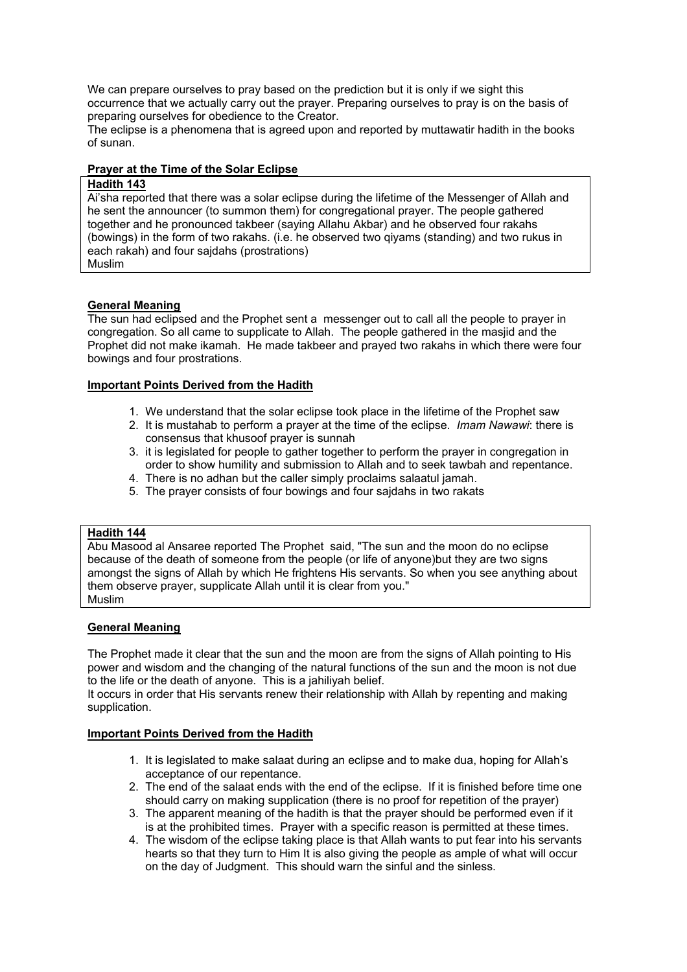We can prepare ourselves to pray based on the prediction but it is only if we sight this occurrence that we actually carry out the prayer. Preparing ourselves to pray is on the basis of preparing ourselves for obedience to the Creator.

The eclipse is a phenomena that is agreed upon and reported by muttawatir hadith in the books of sunan.

### **Prayer at the Time of the Solar Eclipse**

#### **Hadith 143**

Ai'sha reported that there was a solar eclipse during the lifetime of the Messenger of Allah and he sent the announcer (to summon them) for congregational prayer. The people gathered together and he pronounced takbeer (saying Allahu Akbar) and he observed four rakahs (bowings) in the form of two rakahs. (i.e. he observed two qiyams (standing) and two rukus in each rakah) and four sajdahs (prostrations) Muslim

# **General Meaning**

The sun had eclipsed and the Prophet sent a messenger out to call all the people to prayer in congregation. So all came to supplicate to Allah. The people gathered in the masjid and the Prophet did not make ikamah. He made takbeer and prayed two rakahs in which there were four bowings and four prostrations.

#### **Important Points Derived from the Hadith**

- 1. We understand that the solar eclipse took place in the lifetime of the Prophet saw
- 2. It is mustahab to perform a prayer at the time of the eclipse. *Imam Nawawi*: there is consensus that khusoof prayer is sunnah
- 3. it is legislated for people to gather together to perform the prayer in congregation in order to show humility and submission to Allah and to seek tawbah and repentance.
- 4. There is no adhan but the caller simply proclaims salaatul jamah.
- 5. The prayer consists of four bowings and four sajdahs in two rakats

#### **Hadith 144**

Abu Masood al Ansaree reported The Prophet said, "The sun and the moon do no eclipse because of the death of someone from the people (or life of anyone)but they are two signs amongst the signs of Allah by which He frightens His servants. So when you see anything about them observe prayer, supplicate Allah until it is clear from you." Muslim

#### **General Meaning**

The Prophet made it clear that the sun and the moon are from the signs of Allah pointing to His power and wisdom and the changing of the natural functions of the sun and the moon is not due to the life or the death of anyone. This is a jahiliyah belief.

It occurs in order that His servants renew their relationship with Allah by repenting and making supplication.

#### **Important Points Derived from the Hadith**

- 1. It is legislated to make salaat during an eclipse and to make dua, hoping for Allah's acceptance of our repentance.
- 2. The end of the salaat ends with the end of the eclipse. If it is finished before time one should carry on making supplication (there is no proof for repetition of the prayer)
- 3. The apparent meaning of the hadith is that the prayer should be performed even if it is at the prohibited times. Prayer with a specific reason is permitted at these times.
- 4. The wisdom of the eclipse taking place is that Allah wants to put fear into his servants hearts so that they turn to Him It is also giving the people as ample of what will occur on the day of Judgment. This should warn the sinful and the sinless.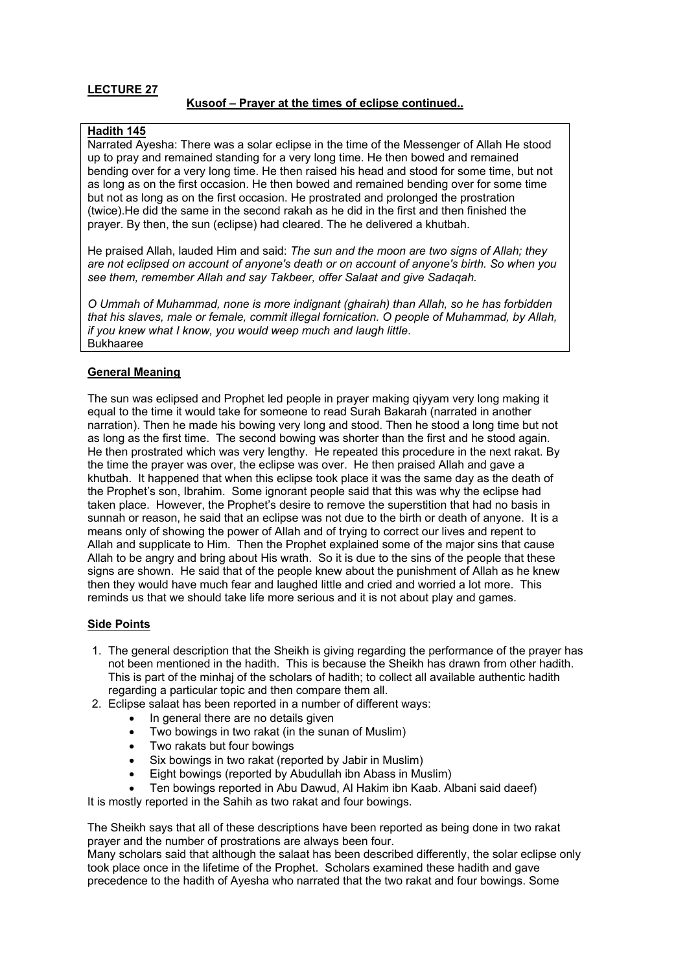### **Kusoof – Prayer at the times of eclipse continued..**

### **Hadith 145**

Narrated Ayesha: There was a solar eclipse in the time of the Messenger of Allah He stood up to pray and remained standing for a very long time. He then bowed and remained bending over for a very long time. He then raised his head and stood for some time, but not as long as on the first occasion. He then bowed and remained bending over for some time but not as long as on the first occasion. He prostrated and prolonged the prostration (twice).He did the same in the second rakah as he did in the first and then finished the prayer. By then, the sun (eclipse) had cleared. The he delivered a khutbah.

He praised Allah, lauded Him and said: *The sun and the moon are two signs of Allah; they are not eclipsed on account of anyone's death or on account of anyone's birth. So when you see them, remember Allah and say Takbeer, offer Salaat and give Sadaqah.* 

*O Ummah of Muhammad, none is more indignant (ghairah) than Allah, so he has forbidden that his slaves, male or female, commit illegal fornication. O people of Muhammad, by Allah, if you knew what I know, you would weep much and laugh little*. Bukhaaree

#### **General Meaning**

The sun was eclipsed and Prophet led people in prayer making qiyyam very long making it equal to the time it would take for someone to read Surah Bakarah (narrated in another narration). Then he made his bowing very long and stood. Then he stood a long time but not as long as the first time. The second bowing was shorter than the first and he stood again. He then prostrated which was very lengthy. He repeated this procedure in the next rakat. By the time the prayer was over, the eclipse was over. He then praised Allah and gave a khutbah. It happened that when this eclipse took place it was the same day as the death of the Prophet's son, Ibrahim. Some ignorant people said that this was why the eclipse had taken place. However, the Prophet's desire to remove the superstition that had no basis in sunnah or reason, he said that an eclipse was not due to the birth or death of anyone. It is a means only of showing the power of Allah and of trying to correct our lives and repent to Allah and supplicate to Him. Then the Prophet explained some of the major sins that cause Allah to be angry and bring about His wrath. So it is due to the sins of the people that these signs are shown. He said that of the people knew about the punishment of Allah as he knew then they would have much fear and laughed little and cried and worried a lot more. This reminds us that we should take life more serious and it is not about play and games.

#### **Side Points**

- 1. The general description that the Sheikh is giving regarding the performance of the prayer has not been mentioned in the hadith. This is because the Sheikh has drawn from other hadith. This is part of the minhaj of the scholars of hadith; to collect all available authentic hadith regarding a particular topic and then compare them all.
- 2. Eclipse salaat has been reported in a number of different ways:
	- In general there are no details given
	- Two bowings in two rakat (in the sunan of Muslim)
	- Two rakats but four bowings
	- Six bowings in two rakat (reported by Jabir in Muslim)
	- Eight bowings (reported by Abudullah ibn Abass in Muslim)
	- Ten bowings reported in Abu Dawud, Al Hakim ibn Kaab. Albani said daeef)

It is mostly reported in the Sahih as two rakat and four bowings.

The Sheikh says that all of these descriptions have been reported as being done in two rakat prayer and the number of prostrations are always been four.

Many scholars said that although the salaat has been described differently, the solar eclipse only took place once in the lifetime of the Prophet. Scholars examined these hadith and gave precedence to the hadith of Ayesha who narrated that the two rakat and four bowings. Some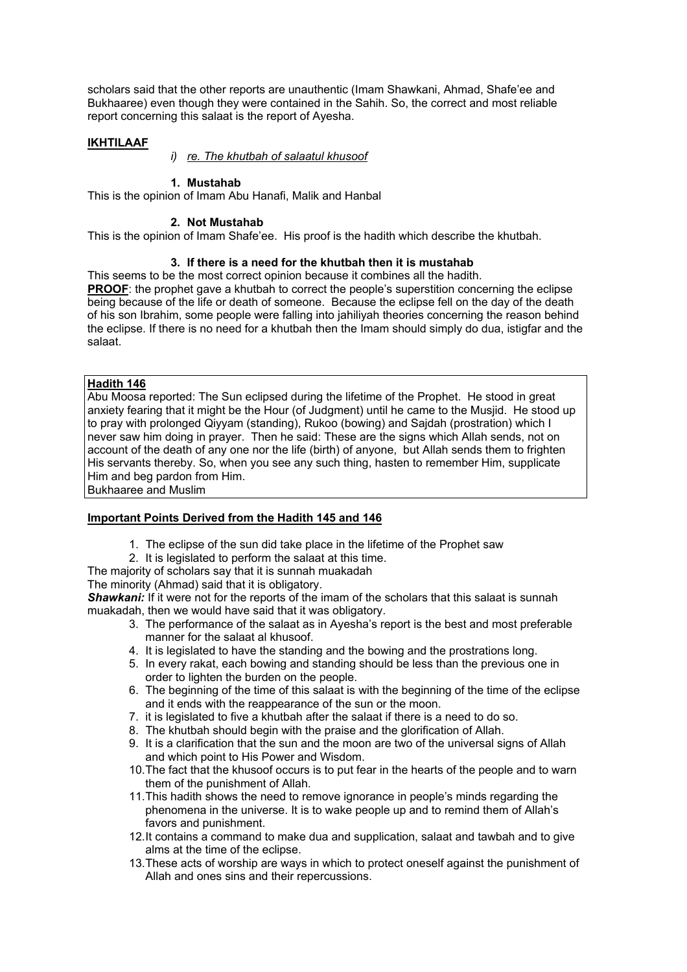scholars said that the other reports are unauthentic (Imam Shawkani, Ahmad, Shafe'ee and Bukhaaree) even though they were contained in the Sahih. So, the correct and most reliable report concerning this salaat is the report of Ayesha.

### **IKHTILAAF**

*i) re. The khutbah of salaatul khusoof*

#### **1. Mustahab**

This is the opinion of Imam Abu Hanafi, Malik and Hanbal

#### **2. Not Mustahab**

This is the opinion of Imam Shafe'ee. His proof is the hadith which describe the khutbah.

### **3. If there is a need for the khutbah then it is mustahab**

This seems to be the most correct opinion because it combines all the hadith. **PROOF:** the prophet gave a khutbah to correct the people's superstition concerning the eclipse being because of the life or death of someone. Because the eclipse fell on the day of the death of his son Ibrahim, some people were falling into jahiliyah theories concerning the reason behind the eclipse. If there is no need for a khutbah then the Imam should simply do dua, istigfar and the salaat.

### **Hadith 146**

Abu Moosa reported: The Sun eclipsed during the lifetime of the Prophet. He stood in great anxiety fearing that it might be the Hour (of Judgment) until he came to the Musjid. He stood up to pray with prolonged Qiyyam (standing), Rukoo (bowing) and Sajdah (prostration) which I never saw him doing in prayer. Then he said: These are the signs which Allah sends, not on account of the death of any one nor the life (birth) of anyone, but Allah sends them to frighten His servants thereby. So, when you see any such thing, hasten to remember Him, supplicate Him and beg pardon from Him.

Bukhaaree and Muslim

### **Important Points Derived from the Hadith 145 and 146**

- 1. The eclipse of the sun did take place in the lifetime of the Prophet saw
- 2. It is legislated to perform the salaat at this time.

The majority of scholars say that it is sunnah muakadah

The minority (Ahmad) said that it is obligatory.

**Shawkani:** If it were not for the reports of the imam of the scholars that this salaat is sunnah muakadah, then we would have said that it was obligatory.

- 3. The performance of the salaat as in Ayesha's report is the best and most preferable manner for the salaat al khusoof.
- 4. It is legislated to have the standing and the bowing and the prostrations long.
- 5. In every rakat, each bowing and standing should be less than the previous one in order to lighten the burden on the people.
- 6. The beginning of the time of this salaat is with the beginning of the time of the eclipse and it ends with the reappearance of the sun or the moon.
- 7. it is legislated to five a khutbah after the salaat if there is a need to do so.
- 8. The khutbah should begin with the praise and the glorification of Allah.
- 9. It is a clarification that the sun and the moon are two of the universal signs of Allah and which point to His Power and Wisdom.
- 10. The fact that the khusoof occurs is to put fear in the hearts of the people and to warn them of the punishment of Allah.
- 11. This hadith shows the need to remove ignorance in people's minds regarding the phenomena in the universe. It is to wake people up and to remind them of Allah's favors and punishment.
- 12. It contains a command to make dua and supplication, salaat and tawbah and to give alms at the time of the eclipse.
- 13. These acts of worship are ways in which to protect oneself against the punishment of Allah and ones sins and their repercussions.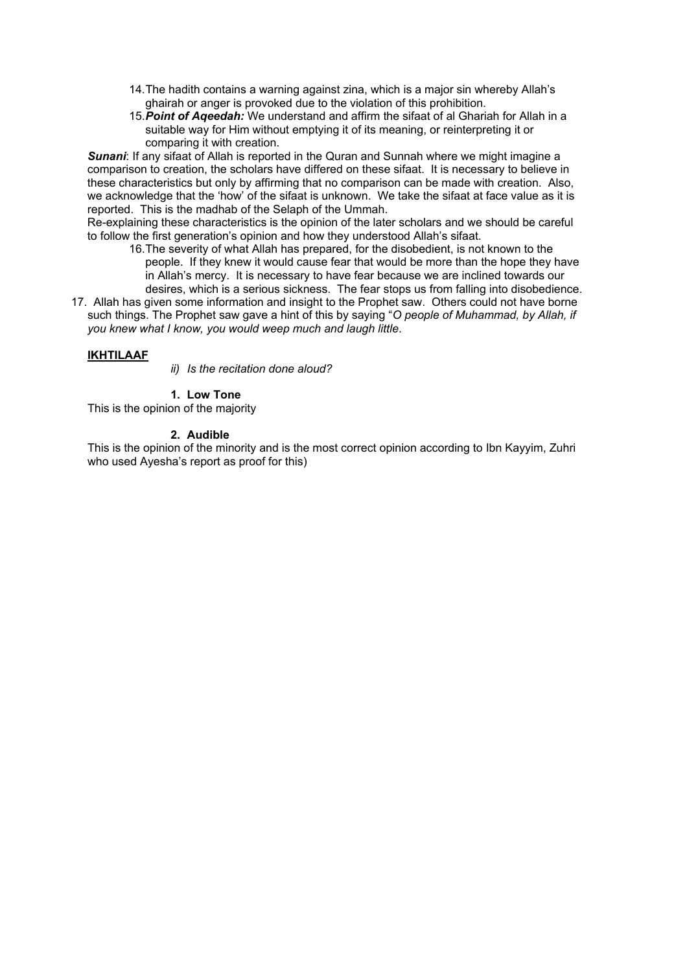- 14. The hadith contains a warning against zina, which is a major sin whereby Allah's ghairah or anger is provoked due to the violation of this prohibition.
- 15. *Point of Aqeedah:* We understand and affirm the sifaat of al Ghariah for Allah in a suitable way for Him without emptying it of its meaning, or reinterpreting it or comparing it with creation.

**Sunani:** If any sifaat of Allah is reported in the Quran and Sunnah where we might imagine a comparison to creation, the scholars have differed on these sifaat. It is necessary to believe in these characteristics but only by affirming that no comparison can be made with creation. Also, we acknowledge that the 'how' of the sifaat is unknown. We take the sifaat at face value as it is reported. This is the madhab of the Selaph of the Ummah.

Re-explaining these characteristics is the opinion of the later scholars and we should be careful to follow the first generation's opinion and how they understood Allah's sifaat.

- 16. The severity of what Allah has prepared, for the disobedient, is not known to the people. If they knew it would cause fear that would be more than the hope they have in Allah's mercy. It is necessary to have fear because we are inclined towards our desires, which is a serious sickness. The fear stops us from falling into disobedience.
- 17. Allah has given some information and insight to the Prophet saw. Others could not have borne such things. The Prophet saw gave a hint of this by saying "*O people of Muhammad, by Allah, if you knew what I know, you would weep much and laugh little*.

# **IKHTILAAF**

*ii) Is the recitation done aloud?* 

**1. Low Tone** 

This is the opinion of the majority

#### **2. Audible**

This is the opinion of the minority and is the most correct opinion according to Ibn Kayyim, Zuhri who used Ayesha's report as proof for this)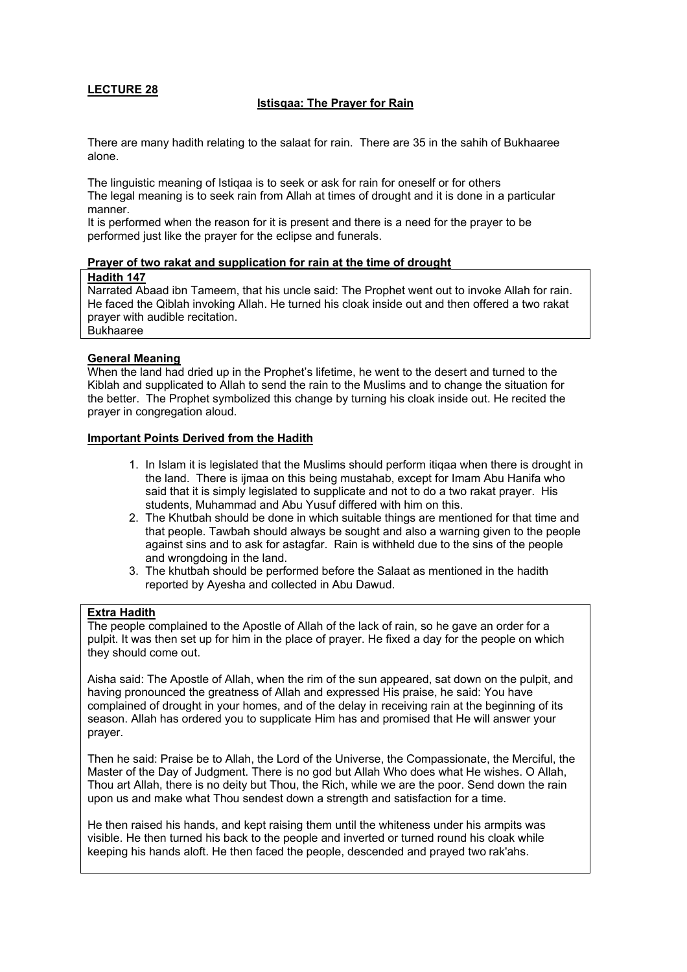### **Istisqaa: The Prayer for Rain**

There are many hadith relating to the salaat for rain. There are 35 in the sahih of Bukhaaree alone.

The linguistic meaning of Istiqaa is to seek or ask for rain for oneself or for others The legal meaning is to seek rain from Allah at times of drought and it is done in a particular manner.

It is performed when the reason for it is present and there is a need for the prayer to be performed just like the prayer for the eclipse and funerals.

#### **Prayer of two rakat and supplication for rain at the time of drought**

#### **Hadith 147**

Narrated Abaad ibn Tameem, that his uncle said: The Prophet went out to invoke Allah for rain. He faced the Qiblah invoking Allah. He turned his cloak inside out and then offered a two rakat prayer with audible recitation.

Bukhaaree

#### **General Meaning**

When the land had dried up in the Prophet's lifetime, he went to the desert and turned to the Kiblah and supplicated to Allah to send the rain to the Muslims and to change the situation for the better. The Prophet symbolized this change by turning his cloak inside out. He recited the prayer in congregation aloud.

#### **Important Points Derived from the Hadith**

- 1. In Islam it is legislated that the Muslims should perform itiqaa when there is drought in the land. There is ijmaa on this being mustahab, except for Imam Abu Hanifa who said that it is simply legislated to supplicate and not to do a two rakat prayer. His students, Muhammad and Abu Yusuf differed with him on this.
- 2. The Khutbah should be done in which suitable things are mentioned for that time and that people. Tawbah should always be sought and also a warning given to the people against sins and to ask for astagfar. Rain is withheld due to the sins of the people and wrongdoing in the land.
- 3. The khutbah should be performed before the Salaat as mentioned in the hadith reported by Ayesha and collected in Abu Dawud.

#### **Extra Hadith**

The people complained to the Apostle of Allah of the lack of rain, so he gave an order for a pulpit. It was then set up for him in the place of prayer. He fixed a day for the people on which they should come out.

Aisha said: The Apostle of Allah, when the rim of the sun appeared, sat down on the pulpit, and having pronounced the greatness of Allah and expressed His praise, he said: You have complained of drought in your homes, and of the delay in receiving rain at the beginning of its season. Allah has ordered you to supplicate Him has and promised that He will answer your prayer.

Then he said: Praise be to Allah, the Lord of the Universe, the Compassionate, the Merciful, the Master of the Day of Judgment. There is no god but Allah Who does what He wishes. O Allah, Thou art Allah, there is no deity but Thou, the Rich, while we are the poor. Send down the rain upon us and make what Thou sendest down a strength and satisfaction for a time.

He then raised his hands, and kept raising them until the whiteness under his armpits was visible. He then turned his back to the people and inverted or turned round his cloak while keeping his hands aloft. He then faced the people, descended and prayed two rak'ahs.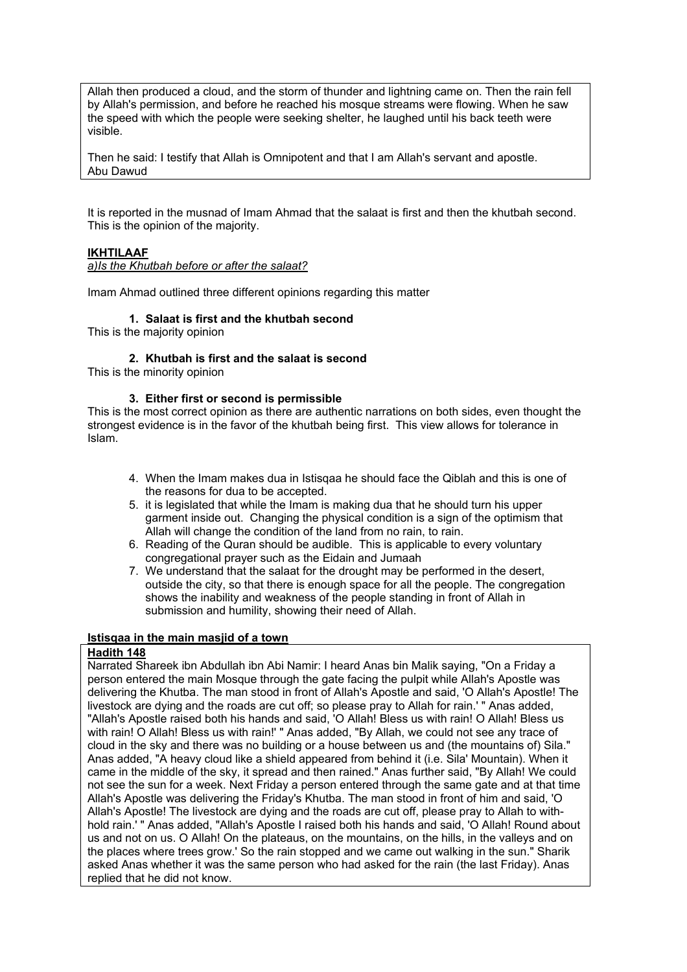Allah then produced a cloud, and the storm of thunder and lightning came on. Then the rain fell by Allah's permission, and before he reached his mosque streams were flowing. When he saw the speed with which the people were seeking shelter, he laughed until his back teeth were visible.

Then he said: I testify that Allah is Omnipotent and that I am Allah's servant and apostle. Abu Dawud

It is reported in the musnad of Imam Ahmad that the salaat is first and then the khutbah second. This is the opinion of the majority.

### **IKHTILAAF**

*a)Is the Khutbah before or after the salaat?*

Imam Ahmad outlined three different opinions regarding this matter

#### **1. Salaat is first and the khutbah second**

This is the majority opinion

#### **2. Khutbah is first and the salaat is second**

This is the minority opinion

#### **3. Either first or second is permissible**

This is the most correct opinion as there are authentic narrations on both sides, even thought the strongest evidence is in the favor of the khutbah being first. This view allows for tolerance in Islam.

- 4. When the Imam makes dua in Istisqaa he should face the Qiblah and this is one of the reasons for dua to be accepted.
- 5. it is legislated that while the Imam is making dua that he should turn his upper garment inside out. Changing the physical condition is a sign of the optimism that Allah will change the condition of the land from no rain, to rain.
- 6. Reading of the Quran should be audible. This is applicable to every voluntary congregational prayer such as the Eidain and Jumaah
- 7. We understand that the salaat for the drought may be performed in the desert, outside the city, so that there is enough space for all the people. The congregation shows the inability and weakness of the people standing in front of Allah in submission and humility, showing their need of Allah.

#### **Istisqaa in the main masjid of a town**

#### **Hadith 148**

Narrated Shareek ibn Abdullah ibn Abi Namir: I heard Anas bin Malik saying, "On a Friday a person entered the main Mosque through the gate facing the pulpit while Allah's Apostle was delivering the Khutba. The man stood in front of Allah's Apostle and said, 'O Allah's Apostle! The livestock are dying and the roads are cut off; so please pray to Allah for rain.' " Anas added, "Allah's Apostle raised both his hands and said, 'O Allah! Bless us with rain! O Allah! Bless us with rain! O Allah! Bless us with rain!' " Anas added, "By Allah, we could not see any trace of cloud in the sky and there was no building or a house between us and (the mountains of) Sila." Anas added, "A heavy cloud like a shield appeared from behind it (i.e. Sila' Mountain). When it came in the middle of the sky, it spread and then rained." Anas further said, "By Allah! We could not see the sun for a week. Next Friday a person entered through the same gate and at that time Allah's Apostle was delivering the Friday's Khutba. The man stood in front of him and said, 'O Allah's Apostle! The livestock are dying and the roads are cut off, please pray to Allah to withhold rain.' " Anas added, "Allah's Apostle I raised both his hands and said, 'O Allah! Round about us and not on us. O Allah! On the plateaus, on the mountains, on the hills, in the valleys and on the places where trees grow.' So the rain stopped and we came out walking in the sun." Sharik asked Anas whether it was the same person who had asked for the rain (the last Friday). Anas replied that he did not know.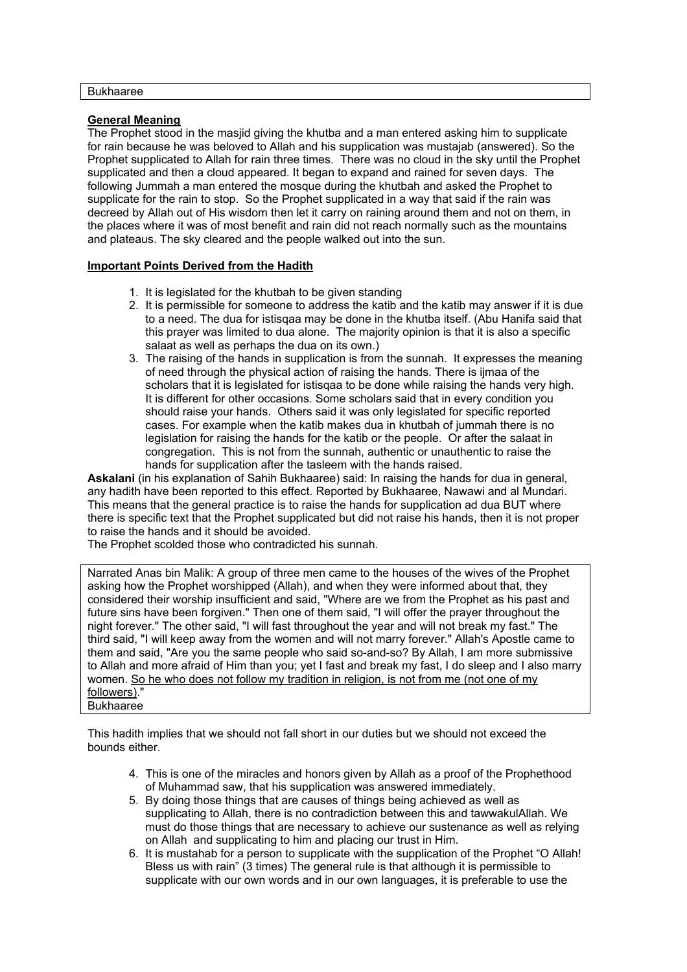### **General Meaning**

The Prophet stood in the masjid giving the khutba and a man entered asking him to supplicate for rain because he was beloved to Allah and his supplication was mustajab (answered). So the Prophet supplicated to Allah for rain three times. There was no cloud in the sky until the Prophet supplicated and then a cloud appeared. It began to expand and rained for seven days. The following Jummah a man entered the mosque during the khutbah and asked the Prophet to supplicate for the rain to stop. So the Prophet supplicated in a way that said if the rain was decreed by Allah out of His wisdom then let it carry on raining around them and not on them, in the places where it was of most benefit and rain did not reach normally such as the mountains and plateaus. The sky cleared and the people walked out into the sun.

#### **Important Points Derived from the Hadith**

- 1. It is legislated for the khutbah to be given standing
- 2. It is permissible for someone to address the katib and the katib may answer if it is due to a need. The dua for istisqaa may be done in the khutba itself. (Abu Hanifa said that this prayer was limited to dua alone. The majority opinion is that it is also a specific salaat as well as perhaps the dua on its own.)
- 3. The raising of the hands in supplication is from the sunnah. It expresses the meaning of need through the physical action of raising the hands. There is ijmaa of the scholars that it is legislated for istisqaa to be done while raising the hands very high. It is different for other occasions. Some scholars said that in every condition you should raise your hands. Others said it was only legislated for specific reported cases. For example when the katib makes dua in khutbah of jummah there is no legislation for raising the hands for the katib or the people. Or after the salaat in congregation. This is not from the sunnah, authentic or unauthentic to raise the hands for supplication after the tasleem with the hands raised.

**Askalani** (in his explanation of Sahih Bukhaaree) said: In raising the hands for dua in general, any hadith have been reported to this effect. Reported by Bukhaaree, Nawawi and al Mundari. This means that the general practice is to raise the hands for supplication ad dua BUT where there is specific text that the Prophet supplicated but did not raise his hands, then it is not proper to raise the hands and it should be avoided.

The Prophet scolded those who contradicted his sunnah.

Narrated Anas bin Malik: A group of three men came to the houses of the wives of the Prophet asking how the Prophet worshipped (Allah), and when they were informed about that, they considered their worship insufficient and said, "Where are we from the Prophet as his past and future sins have been forgiven." Then one of them said, "I will offer the prayer throughout the night forever." The other said, "I will fast throughout the year and will not break my fast." The third said, "I will keep away from the women and will not marry forever." Allah's Apostle came to them and said, "Are you the same people who said so-and-so? By Allah, I am more submissive to Allah and more afraid of Him than you; yet I fast and break my fast, I do sleep and I also marry women. So he who does not follow my tradition in religion, is not from me (not one of my followers). **Bukhaaree** 

This hadith implies that we should not fall short in our duties but we should not exceed the bounds either.

- 4. This is one of the miracles and honors given by Allah as a proof of the Prophethood of Muhammad saw, that his supplication was answered immediately.
- 5. By doing those things that are causes of things being achieved as well as supplicating to Allah, there is no contradiction between this and tawwakulAllah. We must do those things that are necessary to achieve our sustenance as well as relying on Allah and supplicating to him and placing our trust in Him.
- 6. It is mustahab for a person to supplicate with the supplication of the Prophet "O Allah! Bless us with rain" (3 times) The general rule is that although it is permissible to supplicate with our own words and in our own languages, it is preferable to use the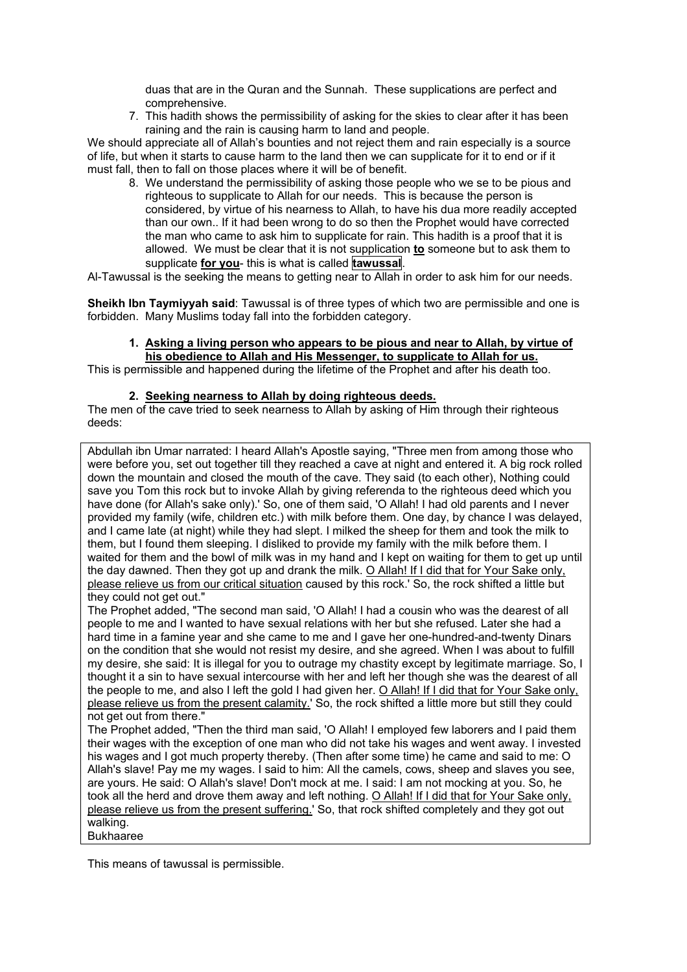duas that are in the Quran and the Sunnah. These supplications are perfect and comprehensive.

7. This hadith shows the permissibility of asking for the skies to clear after it has been raining and the rain is causing harm to land and people.

We should appreciate all of Allah's bounties and not reject them and rain especially is a source of life, but when it starts to cause harm to the land then we can supplicate for it to end or if it must fall, then to fall on those places where it will be of benefit.

8. We understand the permissibility of asking those people who we se to be pious and righteous to supplicate to Allah for our needs. This is because the person is considered, by virtue of his nearness to Allah, to have his dua more readily accepted than our own.. If it had been wrong to do so then the Prophet would have corrected the man who came to ask him to supplicate for rain. This hadith is a proof that it is allowed. We must be clear that it is not supplication **to** someone but to ask them to supplicate **for you**- this is what is called **tawussal**.

Al-Tawussal is the seeking the means to getting near to Allah in order to ask him for our needs.

**Sheikh Ibn Taymiyyah said**: Tawussal is of three types of which two are permissible and one is forbidden. Many Muslims today fall into the forbidden category.

### **1. Asking a living person who appears to be pious and near to Allah, by virtue of his obedience to Allah and His Messenger, to supplicate to Allah for us.**

This is permissible and happened during the lifetime of the Prophet and after his death too.

#### **2. Seeking nearness to Allah by doing righteous deeds.**

The men of the cave tried to seek nearness to Allah by asking of Him through their righteous deeds:

Abdullah ibn Umar narrated: I heard Allah's Apostle saying, "Three men from among those who were before you, set out together till they reached a cave at night and entered it. A big rock rolled down the mountain and closed the mouth of the cave. They said (to each other), Nothing could save you Tom this rock but to invoke Allah by giving referenda to the righteous deed which you have done (for Allah's sake only).' So, one of them said, 'O Allah! I had old parents and I never provided my family (wife, children etc.) with milk before them. One day, by chance I was delayed, and I came late (at night) while they had slept. I milked the sheep for them and took the milk to them, but I found them sleeping. I disliked to provide my family with the milk before them. I waited for them and the bowl of milk was in my hand and I kept on waiting for them to get up until the day dawned. Then they got up and drank the milk. O Allah! If I did that for Your Sake only, please relieve us from our critical situation caused by this rock.' So, the rock shifted a little but they could not get out."

The Prophet added, "The second man said, 'O Allah! I had a cousin who was the dearest of all people to me and I wanted to have sexual relations with her but she refused. Later she had a hard time in a famine year and she came to me and I gave her one-hundred-and-twenty Dinars on the condition that she would not resist my desire, and she agreed. When I was about to fulfill my desire, she said: It is illegal for you to outrage my chastity except by legitimate marriage. So, I thought it a sin to have sexual intercourse with her and left her though she was the dearest of all the people to me, and also I left the gold I had given her. O Allah! If I did that for Your Sake only, please relieve us from the present calamity.' So, the rock shifted a little more but still they could not get out from there."

The Prophet added, "Then the third man said, 'O Allah! I employed few laborers and I paid them their wages with the exception of one man who did not take his wages and went away. I invested his wages and I got much property thereby. (Then after some time) he came and said to me: O Allah's slave! Pay me my wages. I said to him: All the camels, cows, sheep and slaves you see, are yours. He said: O Allah's slave! Don't mock at me. I said: I am not mocking at you. So, he took all the herd and drove them away and left nothing. O Allah! If I did that for Your Sake only, please relieve us from the present suffering.' So, that rock shifted completely and they got out walking. Bukhaaree

This means of tawussal is permissible.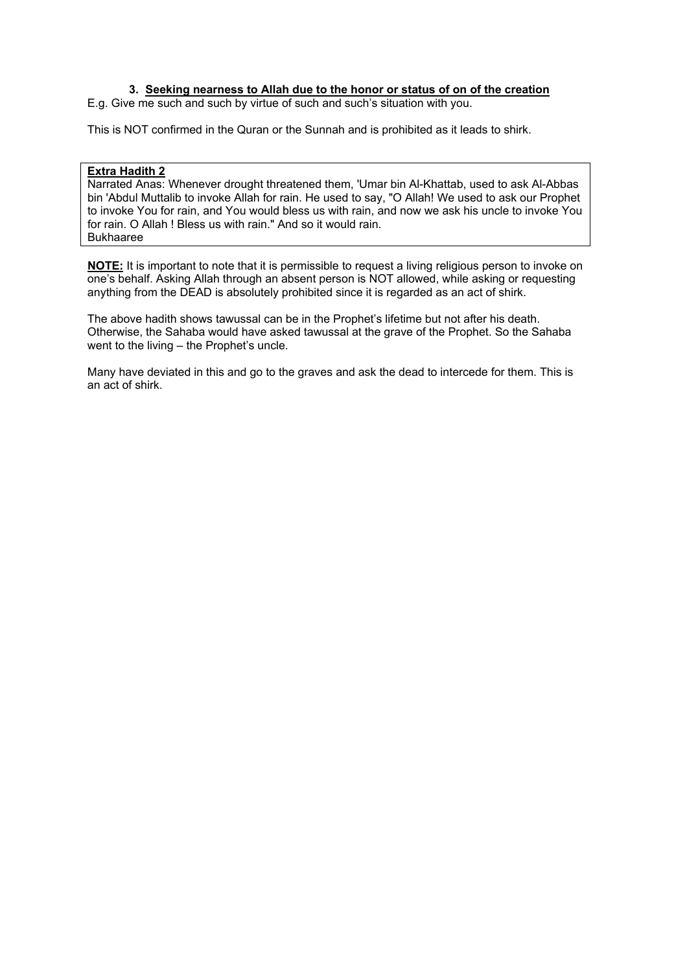### **3. Seeking nearness to Allah due to the honor or status of on of the creation**

E.g. Give me such and such by virtue of such and such's situation with you.

This is NOT confirmed in the Quran or the Sunnah and is prohibited as it leads to shirk.

### **Extra Hadith 2**

Narrated Anas: Whenever drought threatened them, 'Umar bin Al-Khattab, used to ask Al-Abbas bin 'Abdul Muttalib to invoke Allah for rain. He used to say, "O Allah! We used to ask our Prophet to invoke You for rain, and You would bless us with rain, and now we ask his uncle to invoke You for rain. O Allah ! Bless us with rain." And so it would rain. Bukhaaree

**NOTE:** It is important to note that it is permissible to request a living religious person to invoke on one's behalf. Asking Allah through an absent person is NOT allowed, while asking or requesting anything from the DEAD is absolutely prohibited since it is regarded as an act of shirk.

The above hadith shows tawussal can be in the Prophet's lifetime but not after his death. Otherwise, the Sahaba would have asked tawussal at the grave of the Prophet. So the Sahaba went to the living – the Prophet's uncle.

Many have deviated in this and go to the graves and ask the dead to intercede for them. This is an act of shirk.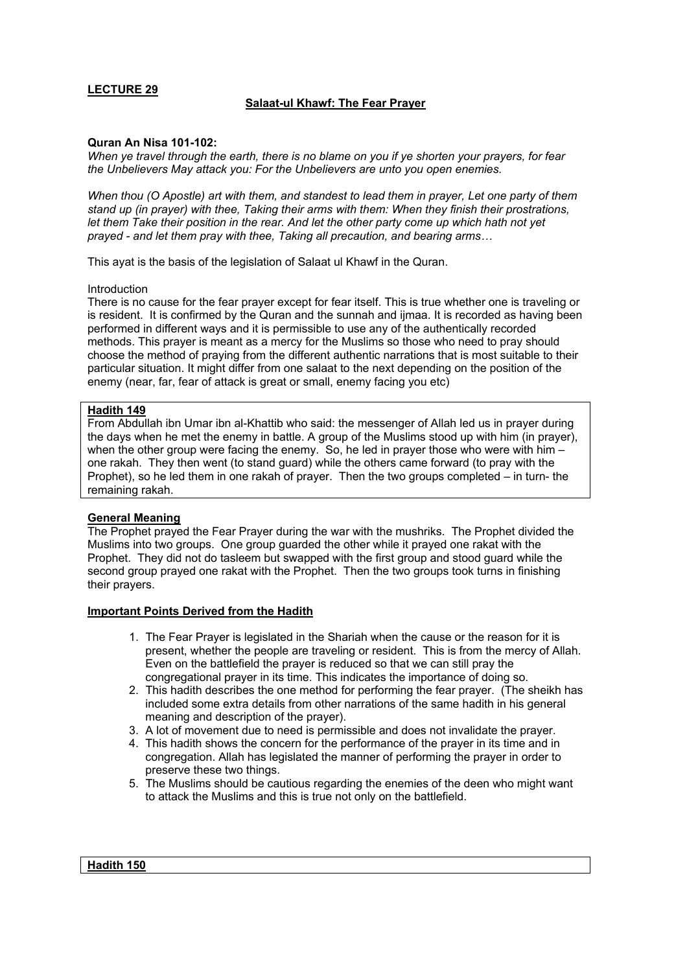### **Salaat-ul Khawf: The Fear Prayer**

#### **Quran An Nisa 101-102:**

*When ye travel through the earth, there is no blame on you if ye shorten your prayers, for fear the Unbelievers May attack you: For the Unbelievers are unto you open enemies.* 

*When thou (O Apostle) art with them, and standest to lead them in prayer, Let one party of them stand up (in prayer) with thee, Taking their arms with them: When they finish their prostrations, let them Take their position in the rear. And let the other party come up which hath not yet prayed - and let them pray with thee, Taking all precaution, and bearing arms…*

This ayat is the basis of the legislation of Salaat ul Khawf in the Quran.

#### Introduction

There is no cause for the fear prayer except for fear itself. This is true whether one is traveling or is resident. It is confirmed by the Quran and the sunnah and ijmaa. It is recorded as having been performed in different ways and it is permissible to use any of the authentically recorded methods. This prayer is meant as a mercy for the Muslims so those who need to pray should choose the method of praying from the different authentic narrations that is most suitable to their particular situation. It might differ from one salaat to the next depending on the position of the enemy (near, far, fear of attack is great or small, enemy facing you etc)

#### **Hadith 149**

From Abdullah ibn Umar ibn al-Khattib who said: the messenger of Allah led us in prayer during the days when he met the enemy in battle. A group of the Muslims stood up with him (in prayer), when the other group were facing the enemy. So, he led in prayer those who were with him – one rakah. They then went (to stand guard) while the others came forward (to pray with the Prophet), so he led them in one rakah of prayer. Then the two groups completed – in turn- the remaining rakah.

#### **General Meaning**

The Prophet prayed the Fear Prayer during the war with the mushriks. The Prophet divided the Muslims into two groups. One group guarded the other while it prayed one rakat with the Prophet. They did not do tasleem but swapped with the first group and stood guard while the second group prayed one rakat with the Prophet. Then the two groups took turns in finishing their prayers.

#### **Important Points Derived from the Hadith**

- 1. The Fear Prayer is legislated in the Shariah when the cause or the reason for it is present, whether the people are traveling or resident. This is from the mercy of Allah. Even on the battlefield the prayer is reduced so that we can still pray the congregational prayer in its time. This indicates the importance of doing so.
- 2. This hadith describes the one method for performing the fear prayer. (The sheikh has included some extra details from other narrations of the same hadith in his general meaning and description of the prayer).
- 3. A lot of movement due to need is permissible and does not invalidate the prayer.
- 4. This hadith shows the concern for the performance of the prayer in its time and in congregation. Allah has legislated the manner of performing the prayer in order to preserve these two things.
- 5. The Muslims should be cautious regarding the enemies of the deen who might want to attack the Muslims and this is true not only on the battlefield.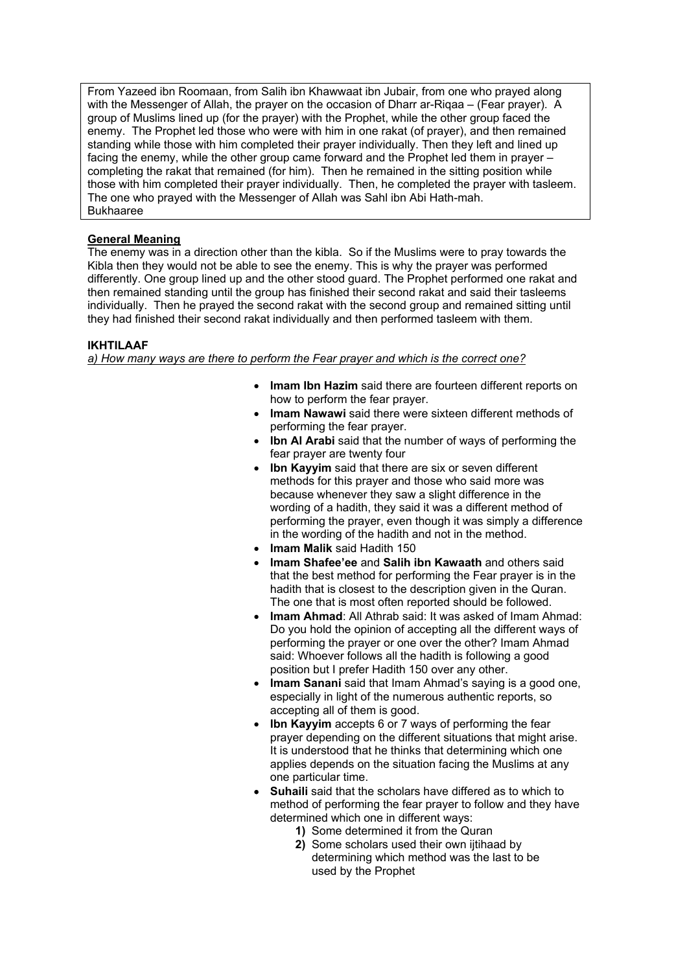From Yazeed ibn Roomaan, from Salih ibn Khawwaat ibn Jubair, from one who prayed along with the Messenger of Allah, the prayer on the occasion of Dharr ar-Riqaa – (Fear prayer). A group of Muslims lined up (for the prayer) with the Prophet, while the other group faced the enemy. The Prophet led those who were with him in one rakat (of prayer), and then remained standing while those with him completed their prayer individually. Then they left and lined up facing the enemy, while the other group came forward and the Prophet led them in prayer – completing the rakat that remained (for him). Then he remained in the sitting position while those with him completed their prayer individually. Then, he completed the prayer with tasleem. The one who prayed with the Messenger of Allah was Sahl ibn Abi Hath-mah. Bukhaaree

### **General Meaning**

The enemy was in a direction other than the kibla. So if the Muslims were to pray towards the Kibla then they would not be able to see the enemy. This is why the prayer was performed differently. One group lined up and the other stood guard. The Prophet performed one rakat and then remained standing until the group has finished their second rakat and said their tasleems individually. Then he prayed the second rakat with the second group and remained sitting until they had finished their second rakat individually and then performed tasleem with them.

### **IKHTILAAF**

*a) How many ways are there to perform the Fear prayer and which is the correct one?*

- **Imam Ibn Hazim** said there are fourteen different reports on how to perform the fear prayer.
- **Imam Nawawi** said there were sixteen different methods of performing the fear prayer.
- **Ibn AI Arabi** said that the number of ways of performing the fear prayer are twenty four
- **Ibn Kayyim** said that there are six or seven different methods for this prayer and those who said more was because whenever they saw a slight difference in the wording of a hadith, they said it was a different method of performing the prayer, even though it was simply a difference in the wording of the hadith and not in the method.
- **Imam Malik** said Hadith 150
- **Imam Shafee'ee** and **Salih ibn Kawaath** and others said that the best method for performing the Fear prayer is in the hadith that is closest to the description given in the Quran. The one that is most often reported should be followed.
- **Imam Ahmad:** All Athrab said: It was asked of Imam Ahmad: Do you hold the opinion of accepting all the different ways of performing the prayer or one over the other? Imam Ahmad said: Whoever follows all the hadith is following a good position but I prefer Hadith 150 over any other.
- **Imam Sanani** said that Imam Ahmad's saving is a good one. especially in light of the numerous authentic reports, so accepting all of them is good.
- **Ibn Kayyim** accepts 6 or 7 ways of performing the fear prayer depending on the different situations that might arise. It is understood that he thinks that determining which one applies depends on the situation facing the Muslims at any one particular time.
- • **Suhaili** said that the scholars have differed as to which to method of performing the fear prayer to follow and they have determined which one in different ways:
	- **1)** Some determined it from the Quran
	- **2)** Some scholars used their own ijtihaad by determining which method was the last to be used by the Prophet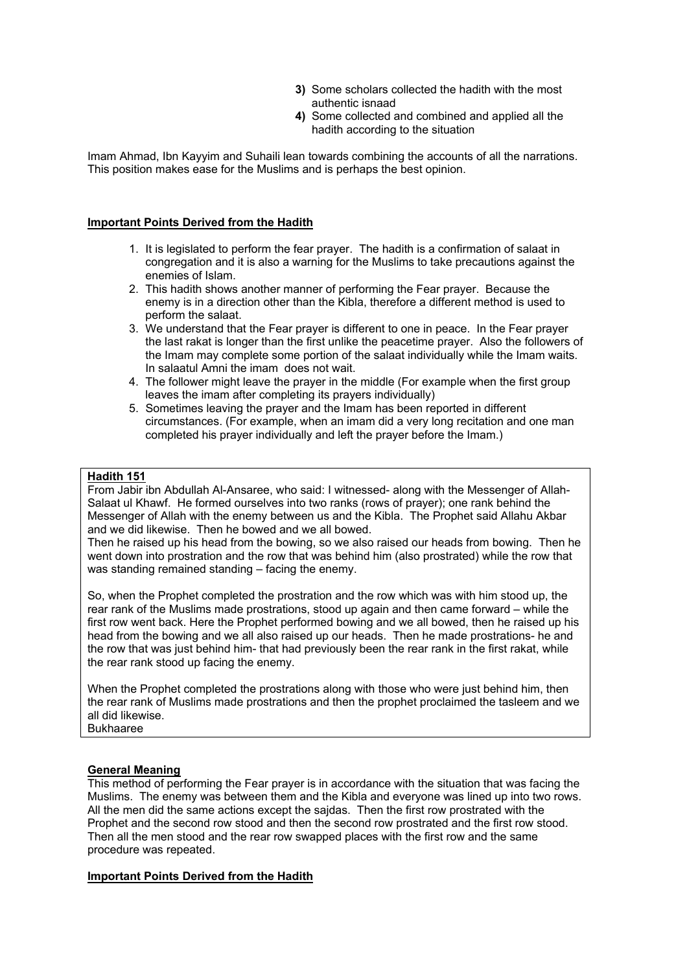- **3)** Some scholars collected the hadith with the most authentic isnaad
- **4)** Some collected and combined and applied all the hadith according to the situation

Imam Ahmad, Ibn Kayyim and Suhaili lean towards combining the accounts of all the narrations. This position makes ease for the Muslims and is perhaps the best opinion.

#### **Important Points Derived from the Hadith**

- 1. It is legislated to perform the fear prayer. The hadith is a confirmation of salaat in congregation and it is also a warning for the Muslims to take precautions against the enemies of Islam.
- 2. This hadith shows another manner of performing the Fear prayer. Because the enemy is in a direction other than the Kibla, therefore a different method is used to perform the salaat.
- 3. We understand that the Fear prayer is different to one in peace. In the Fear prayer the last rakat is longer than the first unlike the peacetime prayer. Also the followers of the Imam may complete some portion of the salaat individually while the Imam waits. In salaatul Amni the imam does not wait.
- 4. The follower might leave the prayer in the middle (For example when the first group leaves the imam after completing its prayers individually)
- 5. Sometimes leaving the prayer and the Imam has been reported in different circumstances. (For example, when an imam did a very long recitation and one man completed his prayer individually and left the prayer before the Imam.)

#### **Hadith 151**

From Jabir ibn Abdullah Al-Ansaree, who said: I witnessed- along with the Messenger of Allah-Salaat ul Khawf. He formed ourselves into two ranks (rows of prayer); one rank behind the Messenger of Allah with the enemy between us and the Kibla. The Prophet said Allahu Akbar and we did likewise. Then he bowed and we all bowed.

Then he raised up his head from the bowing, so we also raised our heads from bowing. Then he went down into prostration and the row that was behind him (also prostrated) while the row that was standing remained standing – facing the enemy.

So, when the Prophet completed the prostration and the row which was with him stood up, the rear rank of the Muslims made prostrations, stood up again and then came forward – while the first row went back. Here the Prophet performed bowing and we all bowed, then he raised up his head from the bowing and we all also raised up our heads. Then he made prostrations- he and the row that was just behind him- that had previously been the rear rank in the first rakat, while the rear rank stood up facing the enemy.

When the Prophet completed the prostrations along with those who were just behind him, then the rear rank of Muslims made prostrations and then the prophet proclaimed the tasleem and we all did likewise. Bukhaaree

#### **General Meaning**

This method of performing the Fear prayer is in accordance with the situation that was facing the Muslims. The enemy was between them and the Kibla and everyone was lined up into two rows. All the men did the same actions except the sajdas. Then the first row prostrated with the Prophet and the second row stood and then the second row prostrated and the first row stood. Then all the men stood and the rear row swapped places with the first row and the same procedure was repeated.

#### **Important Points Derived from the Hadith**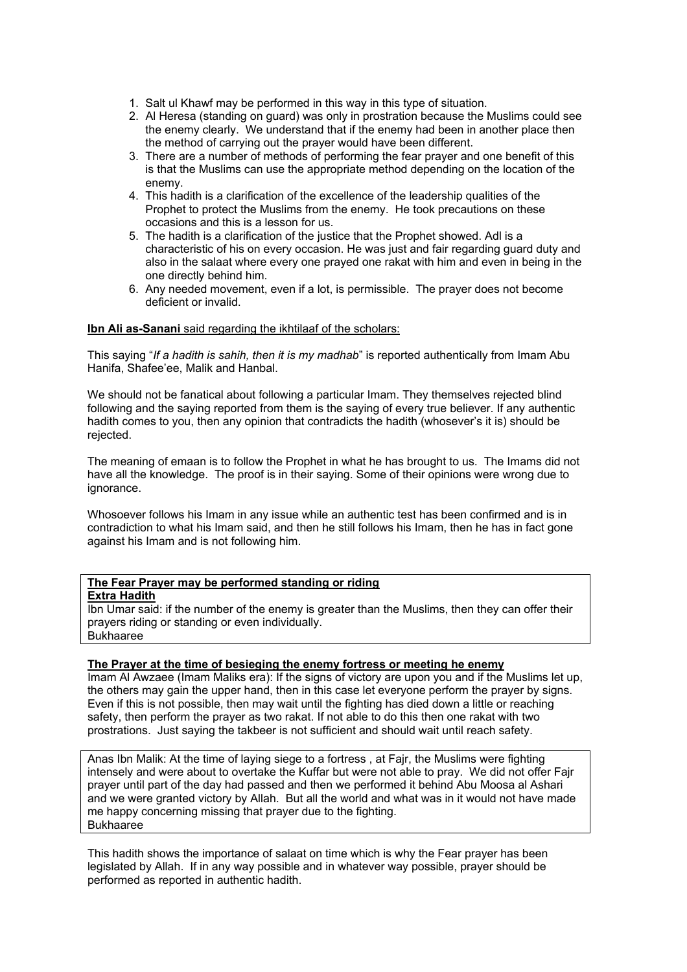- 1. Salt ul Khawf may be performed in this way in this type of situation.
- 2. Al Heresa (standing on guard) was only in prostration because the Muslims could see the enemy clearly. We understand that if the enemy had been in another place then the method of carrying out the prayer would have been different.
- 3. There are a number of methods of performing the fear prayer and one benefit of this is that the Muslims can use the appropriate method depending on the location of the enemy.
- 4. This hadith is a clarification of the excellence of the leadership qualities of the Prophet to protect the Muslims from the enemy. He took precautions on these occasions and this is a lesson for us.
- 5. The hadith is a clarification of the justice that the Prophet showed. Adl is a characteristic of his on every occasion. He was just and fair regarding guard duty and also in the salaat where every one prayed one rakat with him and even in being in the one directly behind him.
- 6. Any needed movement, even if a lot, is permissible. The prayer does not become deficient or invalid.

### **Ibn Ali as-Sanani** said regarding the ikhtilaaf of the scholars:

This saying "*If a hadith is sahih, then it is my madhab*" is reported authentically from Imam Abu Hanifa, Shafee'ee, Malik and Hanbal.

We should not be fanatical about following a particular Imam. They themselves rejected blind following and the saying reported from them is the saying of every true believer. If any authentic hadith comes to you, then any opinion that contradicts the hadith (whosever's it is) should be rejected.

The meaning of emaan is to follow the Prophet in what he has brought to us. The Imams did not have all the knowledge. The proof is in their saying. Some of their opinions were wrong due to ignorance.

Whosoever follows his Imam in any issue while an authentic test has been confirmed and is in contradiction to what his Imam said, and then he still follows his Imam, then he has in fact gone against his Imam and is not following him.

#### **The Fear Prayer may be performed standing or riding**

#### **Extra Hadith**

Ibn Umar said: if the number of the enemy is greater than the Muslims, then they can offer their prayers riding or standing or even individually. Bukhaaree

### **The Prayer at the time of besieging the enemy fortress or meeting he enemy**

Imam Al Awzaee (Imam Maliks era): If the signs of victory are upon you and if the Muslims let up, the others may gain the upper hand, then in this case let everyone perform the prayer by signs. Even if this is not possible, then may wait until the fighting has died down a little or reaching safety, then perform the prayer as two rakat. If not able to do this then one rakat with two prostrations. Just saying the takbeer is not sufficient and should wait until reach safety.

Anas Ibn Malik: At the time of laying siege to a fortress , at Fajr, the Muslims were fighting intensely and were about to overtake the Kuffar but were not able to pray. We did not offer Fajr prayer until part of the day had passed and then we performed it behind Abu Moosa al Ashari and we were granted victory by Allah. But all the world and what was in it would not have made me happy concerning missing that prayer due to the fighting. Bukhaaree

This hadith shows the importance of salaat on time which is why the Fear prayer has been legislated by Allah. If in any way possible and in whatever way possible, prayer should be performed as reported in authentic hadith.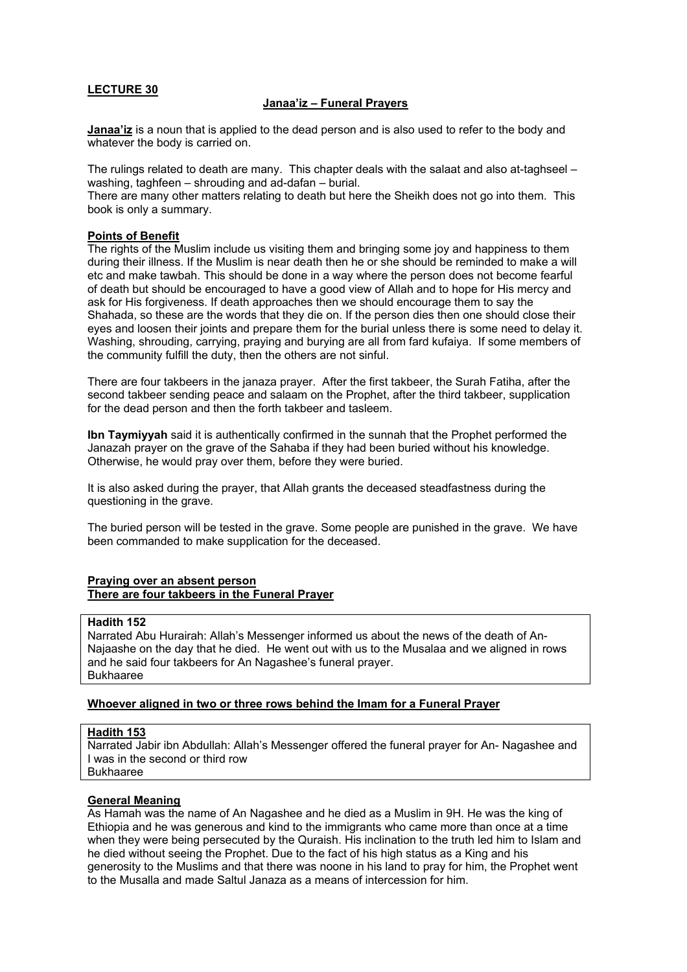#### **Janaa'iz – Funeral Prayers**

**Janaa'iz** is a noun that is applied to the dead person and is also used to refer to the body and whatever the body is carried on.

The rulings related to death are many. This chapter deals with the salaat and also at-taghseel – washing, taghfeen – shrouding and ad-dafan – burial.

There are many other matters relating to death but here the Sheikh does not go into them. This book is only a summary.

#### **Points of Benefit**

The rights of the Muslim include us visiting them and bringing some joy and happiness to them during their illness. If the Muslim is near death then he or she should be reminded to make a will etc and make tawbah. This should be done in a way where the person does not become fearful of death but should be encouraged to have a good view of Allah and to hope for His mercy and ask for His forgiveness. If death approaches then we should encourage them to say the Shahada, so these are the words that they die on. If the person dies then one should close their eyes and loosen their joints and prepare them for the burial unless there is some need to delay it. Washing, shrouding, carrying, praying and burying are all from fard kufaiya. If some members of the community fulfill the duty, then the others are not sinful.

There are four takbeers in the janaza prayer. After the first takbeer, the Surah Fatiha, after the second takbeer sending peace and salaam on the Prophet, after the third takbeer, supplication for the dead person and then the forth takbeer and tasleem.

**Ibn Taymiyyah** said it is authentically confirmed in the sunnah that the Prophet performed the Janazah prayer on the grave of the Sahaba if they had been buried without his knowledge. Otherwise, he would pray over them, before they were buried.

It is also asked during the prayer, that Allah grants the deceased steadfastness during the questioning in the grave.

The buried person will be tested in the grave. Some people are punished in the grave. We have been commanded to make supplication for the deceased.

#### **Praying over an absent person There are four takbeers in the Funeral Prayer**

#### **Hadith 152**

Narrated Abu Hurairah: Allah's Messenger informed us about the news of the death of An-Najaashe on the day that he died. He went out with us to the Musalaa and we aligned in rows and he said four takbeers for An Nagashee's funeral prayer. Bukhaaree

#### **Whoever aligned in two or three rows behind the Imam for a Funeral Prayer**

### **Hadith 153**

Narrated Jabir ibn Abdullah: Allah's Messenger offered the funeral prayer for An- Nagashee and I was in the second or third row Bukhaaree

#### **General Meaning**

As Hamah was the name of An Nagashee and he died as a Muslim in 9H. He was the king of Ethiopia and he was generous and kind to the immigrants who came more than once at a time when they were being persecuted by the Quraish. His inclination to the truth led him to Islam and he died without seeing the Prophet. Due to the fact of his high status as a King and his generosity to the Muslims and that there was noone in his land to pray for him, the Prophet went to the Musalla and made Saltul Janaza as a means of intercession for him.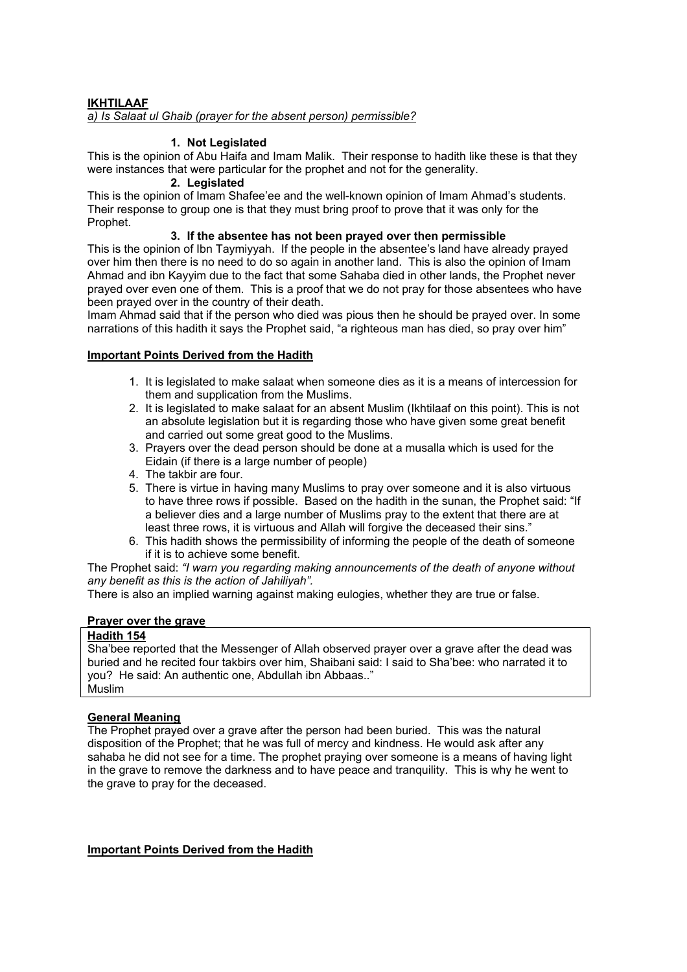### **IKHTILAAF** *a) Is Salaat ul Ghaib (prayer for the absent person) permissible?*

### **1. Not Legislated**

This is the opinion of Abu Haifa and Imam Malik. Their response to hadith like these is that they were instances that were particular for the prophet and not for the generality.

### **2. Legislated**

This is the opinion of Imam Shafee'ee and the well-known opinion of Imam Ahmad's students. Their response to group one is that they must bring proof to prove that it was only for the Prophet.

### **3. If the absentee has not been prayed over then permissible**

This is the opinion of Ibn Taymiyyah. If the people in the absentee's land have already prayed over him then there is no need to do so again in another land. This is also the opinion of Imam Ahmad and ibn Kayyim due to the fact that some Sahaba died in other lands, the Prophet never prayed over even one of them. This is a proof that we do not pray for those absentees who have been prayed over in the country of their death.

Imam Ahmad said that if the person who died was pious then he should be prayed over. In some narrations of this hadith it says the Prophet said, "a righteous man has died, so pray over him"

# **Important Points Derived from the Hadith**

- 1. It is legislated to make salaat when someone dies as it is a means of intercession for them and supplication from the Muslims.
- 2. It is legislated to make salaat for an absent Muslim (Ikhtilaaf on this point). This is not an absolute legislation but it is regarding those who have given some great benefit and carried out some great good to the Muslims.
- 3. Prayers over the dead person should be done at a musalla which is used for the Eidain (if there is a large number of people)
- 4. The takbir are four.
- 5. There is virtue in having many Muslims to pray over someone and it is also virtuous to have three rows if possible. Based on the hadith in the sunan, the Prophet said: "If a believer dies and a large number of Muslims pray to the extent that there are at least three rows, it is virtuous and Allah will forgive the deceased their sins."
- 6. This hadith shows the permissibility of informing the people of the death of someone if it is to achieve some benefit.

The Prophet said: *"I warn you regarding making announcements of the death of anyone without any benefit as this is the action of Jahiliyah".*

There is also an implied warning against making eulogies, whether they are true or false.

### **Prayer over the grave**

### **Hadith 154**

Sha'bee reported that the Messenger of Allah observed prayer over a grave after the dead was buried and he recited four takbirs over him, Shaibani said: I said to Sha'bee: who narrated it to you? He said: An authentic one, Abdullah ibn Abbaas.." Muslim

# **General Meaning**

The Prophet prayed over a grave after the person had been buried. This was the natural disposition of the Prophet; that he was full of mercy and kindness. He would ask after any sahaba he did not see for a time. The prophet praying over someone is a means of having light in the grave to remove the darkness and to have peace and tranquility. This is why he went to the grave to pray for the deceased.

### **Important Points Derived from the Hadith**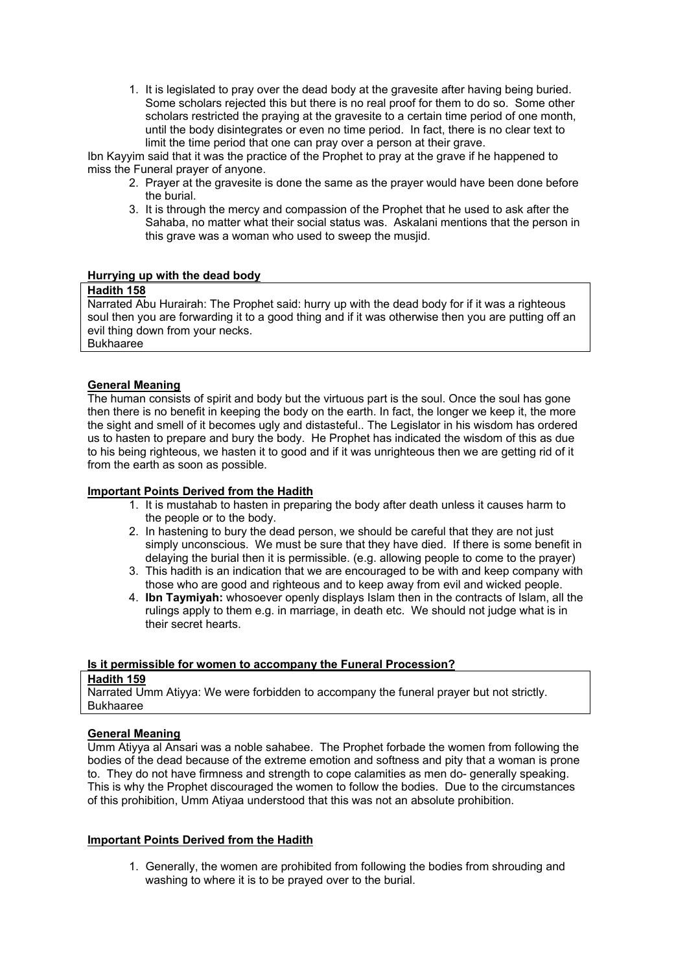1. It is legislated to pray over the dead body at the gravesite after having being buried. Some scholars rejected this but there is no real proof for them to do so. Some other scholars restricted the praying at the gravesite to a certain time period of one month, until the body disintegrates or even no time period. In fact, there is no clear text to limit the time period that one can pray over a person at their grave.

Ibn Kayyim said that it was the practice of the Prophet to pray at the grave if he happened to miss the Funeral prayer of anyone.

- 2. Prayer at the gravesite is done the same as the prayer would have been done before the burial.
- 3. It is through the mercy and compassion of the Prophet that he used to ask after the Sahaba, no matter what their social status was. Askalani mentions that the person in this grave was a woman who used to sweep the musjid.

#### **Hurrying up with the dead body**

#### **Hadith 158**

Narrated Abu Hurairah: The Prophet said: hurry up with the dead body for if it was a righteous soul then you are forwarding it to a good thing and if it was otherwise then you are putting off an evil thing down from your necks. Bukhaaree

### **General Meaning**

The human consists of spirit and body but the virtuous part is the soul. Once the soul has gone then there is no benefit in keeping the body on the earth. In fact, the longer we keep it, the more the sight and smell of it becomes ugly and distasteful.. The Legislator in his wisdom has ordered us to hasten to prepare and bury the body. He Prophet has indicated the wisdom of this as due to his being righteous, we hasten it to good and if it was unrighteous then we are getting rid of it from the earth as soon as possible.

### **Important Points Derived from the Hadith**

- 1. It is mustahab to hasten in preparing the body after death unless it causes harm to the people or to the body.
- 2. In hastening to bury the dead person, we should be careful that they are not just simply unconscious. We must be sure that they have died. If there is some benefit in delaying the burial then it is permissible. (e.g. allowing people to come to the prayer)
- 3. This hadith is an indication that we are encouraged to be with and keep company with those who are good and righteous and to keep away from evil and wicked people.
- 4. **Ibn Taymiyah:** whosoever openly displays Islam then in the contracts of Islam, all the rulings apply to them e.g. in marriage, in death etc. We should not judge what is in their secret hearts.

### **Is it permissible for women to accompany the Funeral Procession?**

#### **Hadith 159**

Narrated Umm Atiyya: We were forbidden to accompany the funeral prayer but not strictly. Bukhaaree

### **General Meaning**

Umm Atiyya al Ansari was a noble sahabee. The Prophet forbade the women from following the bodies of the dead because of the extreme emotion and softness and pity that a woman is prone to. They do not have firmness and strength to cope calamities as men do- generally speaking. This is why the Prophet discouraged the women to follow the bodies. Due to the circumstances of this prohibition, Umm Atiyaa understood that this was not an absolute prohibition.

#### **Important Points Derived from the Hadith**

1. Generally, the women are prohibited from following the bodies from shrouding and washing to where it is to be prayed over to the burial.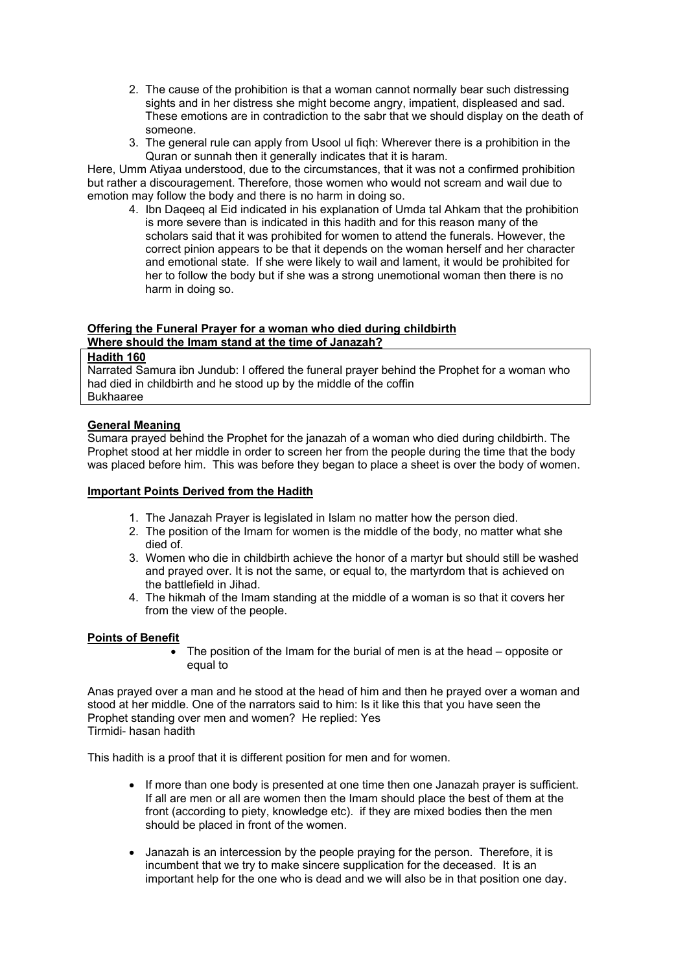- 2. The cause of the prohibition is that a woman cannot normally bear such distressing sights and in her distress she might become angry, impatient, displeased and sad. These emotions are in contradiction to the sabr that we should display on the death of someone.
- 3. The general rule can apply from Usool ul fiqh: Wherever there is a prohibition in the Quran or sunnah then it generally indicates that it is haram.

Here, Umm Atiyaa understood, due to the circumstances, that it was not a confirmed prohibition but rather a discouragement. Therefore, those women who would not scream and wail due to emotion may follow the body and there is no harm in doing so.

4. Ibn Daqeeq al Eid indicated in his explanation of Umda tal Ahkam that the prohibition is more severe than is indicated in this hadith and for this reason many of the scholars said that it was prohibited for women to attend the funerals. However, the correct pinion appears to be that it depends on the woman herself and her character and emotional state. If she were likely to wail and lament, it would be prohibited for her to follow the body but if she was a strong unemotional woman then there is no harm in doing so.

# **Offering the Funeral Prayer for a woman who died during childbirth Where should the Imam stand at the time of Janazah?**

# **Hadith 160**

Narrated Samura ibn Jundub: I offered the funeral prayer behind the Prophet for a woman who had died in childbirth and he stood up by the middle of the coffin Bukhaaree

# **General Meaning**

Sumara prayed behind the Prophet for the janazah of a woman who died during childbirth. The Prophet stood at her middle in order to screen her from the people during the time that the body was placed before him. This was before they began to place a sheet is over the body of women.

### **Important Points Derived from the Hadith**

- 1. The Janazah Prayer is legislated in Islam no matter how the person died.
- 2. The position of the Imam for women is the middle of the body, no matter what she died of.
- 3. Women who die in childbirth achieve the honor of a martyr but should still be washed and prayed over. It is not the same, or equal to, the martyrdom that is achieved on the battlefield in Jihad.
- 4. The hikmah of the Imam standing at the middle of a woman is so that it covers her from the view of the people.

# **Points of Benefit**

• The position of the Imam for the burial of men is at the head – opposite or equal to

Anas prayed over a man and he stood at the head of him and then he prayed over a woman and stood at her middle. One of the narrators said to him: Is it like this that you have seen the Prophet standing over men and women? He replied: Yes Tirmidi- hasan hadith

This hadith is a proof that it is different position for men and for women.

- If more than one body is presented at one time then one Janazah prayer is sufficient. If all are men or all are women then the Imam should place the best of them at the front (according to piety, knowledge etc). if they are mixed bodies then the men should be placed in front of the women.
- Janazah is an intercession by the people praying for the person. Therefore, it is incumbent that we try to make sincere supplication for the deceased. It is an important help for the one who is dead and we will also be in that position one day.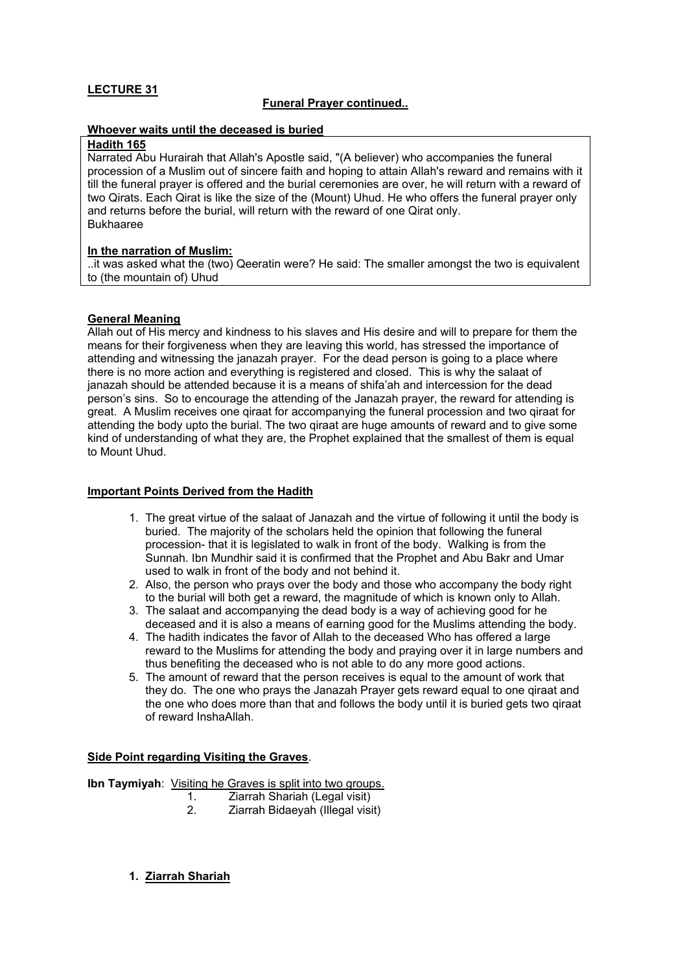### **Funeral Prayer continued..**

#### **Whoever waits until the deceased is buried**

#### **Hadith 165**

Narrated Abu Hurairah that Allah's Apostle said, "(A believer) who accompanies the funeral procession of a Muslim out of sincere faith and hoping to attain Allah's reward and remains with it till the funeral prayer is offered and the burial ceremonies are over, he will return with a reward of two Qirats. Each Qirat is like the size of the (Mount) Uhud. He who offers the funeral prayer only and returns before the burial, will return with the reward of one Qirat only. Bukhaaree

### **In the narration of Muslim:**

..it was asked what the (two) Qeeratin were? He said: The smaller amongst the two is equivalent to (the mountain of) Uhud

### **General Meaning**

Allah out of His mercy and kindness to his slaves and His desire and will to prepare for them the means for their forgiveness when they are leaving this world, has stressed the importance of attending and witnessing the janazah prayer. For the dead person is going to a place where there is no more action and everything is registered and closed. This is why the salaat of janazah should be attended because it is a means of shifa'ah and intercession for the dead person's sins. So to encourage the attending of the Janazah prayer, the reward for attending is great. A Muslim receives one qiraat for accompanying the funeral procession and two qiraat for attending the body upto the burial. The two qiraat are huge amounts of reward and to give some kind of understanding of what they are, the Prophet explained that the smallest of them is equal to Mount Uhud.

### **Important Points Derived from the Hadith**

- 1. The great virtue of the salaat of Janazah and the virtue of following it until the body is buried. The majority of the scholars held the opinion that following the funeral procession- that it is legislated to walk in front of the body. Walking is from the Sunnah. Ibn Mundhir said it is confirmed that the Prophet and Abu Bakr and Umar used to walk in front of the body and not behind it.
- 2. Also, the person who prays over the body and those who accompany the body right to the burial will both get a reward, the magnitude of which is known only to Allah.
- 3. The salaat and accompanying the dead body is a way of achieving good for he deceased and it is also a means of earning good for the Muslims attending the body.
- 4. The hadith indicates the favor of Allah to the deceased Who has offered a large reward to the Muslims for attending the body and praying over it in large numbers and thus benefiting the deceased who is not able to do any more good actions.
- 5. The amount of reward that the person receives is equal to the amount of work that they do. The one who prays the Janazah Prayer gets reward equal to one qiraat and the one who does more than that and follows the body until it is buried gets two qiraat of reward InshaAllah.

### **Side Point regarding Visiting the Graves**.

**Ibn Taymiyah:** Visiting he Graves is split into two groups.

- 1. Ziarrah Shariah (Legal visit)
- 2. Ziarrah Bidaeyah (Illegal visit)

### **1. Ziarrah Shariah**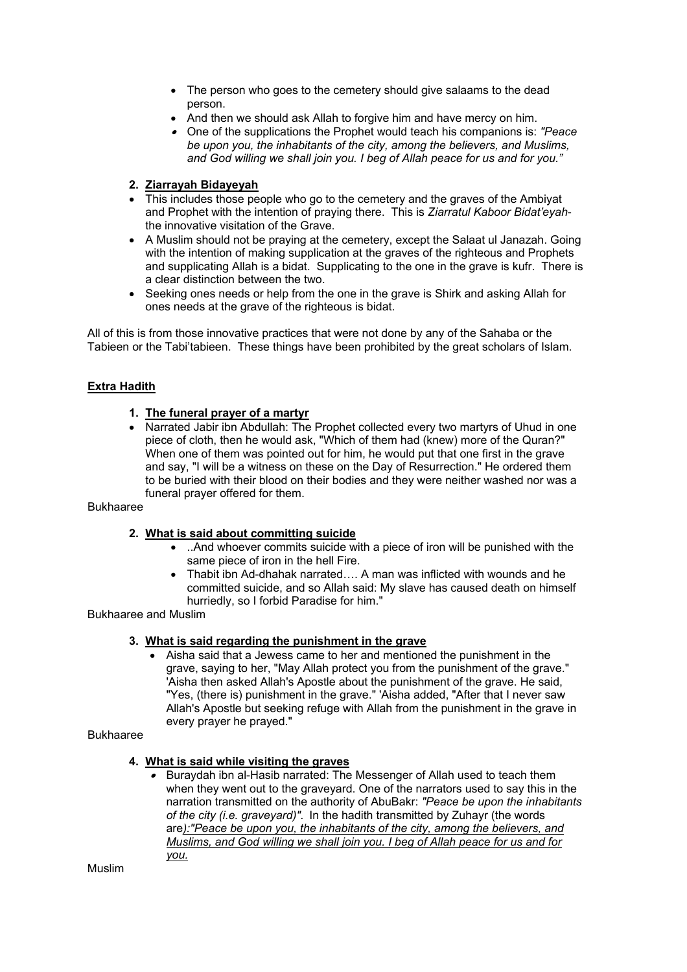- The person who goes to the cemetery should give salaams to the dead person.
- And then we should ask Allah to forgive him and have mercy on him.
- One of the supplications the Prophet would teach his companions is: *"Peace be upon you, the inhabitants of the city, among the believers, and Muslims, and God willing we shall join you. I beg of Allah peace for us and for you."*

### **2. Ziarrayah Bidayeyah**

- This includes those people who go to the cemetery and the graves of the Ambiyat and Prophet with the intention of praying there. This is *Ziarratul Kaboor Bidat'eyah*the innovative visitation of the Grave.
- A Muslim should not be praying at the cemetery, except the Salaat ul Janazah. Going with the intention of making supplication at the graves of the righteous and Prophets and supplicating Allah is a bidat. Supplicating to the one in the grave is kufr. There is a clear distinction between the two.
- Seeking ones needs or help from the one in the grave is Shirk and asking Allah for ones needs at the grave of the righteous is bidat.

All of this is from those innovative practices that were not done by any of the Sahaba or the Tabieen or the Tabi'tabieen. These things have been prohibited by the great scholars of Islam.

### **Extra Hadith**

#### **1. The funeral prayer of a martyr**

• Narrated Jabir ibn Abdullah: The Prophet collected every two martyrs of Uhud in one piece of cloth, then he would ask, "Which of them had (knew) more of the Quran?" When one of them was pointed out for him, he would put that one first in the grave and say, "I will be a witness on these on the Day of Resurrection." He ordered them to be buried with their blood on their bodies and they were neither washed nor was a funeral prayer offered for them.

#### Bukhaaree

#### **2. What is said about committing suicide**

- ..And whoever commits suicide with a piece of iron will be punished with the same piece of iron in the hell Fire.
- Thabit ibn Ad-dhahak narrated…. A man was inflicted with wounds and he committed suicide, and so Allah said: My slave has caused death on himself hurriedly, so I forbid Paradise for him."

Bukhaaree and Muslim

#### **3. What is said regarding the punishment in the grave**

• Aisha said that a Jewess came to her and mentioned the punishment in the grave, saying to her, "May Allah protect you from the punishment of the grave." 'Aisha then asked Allah's Apostle about the punishment of the grave. He said, "Yes, (there is) punishment in the grave." 'Aisha added, "After that I never saw Allah's Apostle but seeking refuge with Allah from the punishment in the grave in every prayer he prayed."

#### Bukhaaree

#### **4. What is said while visiting the graves**

• Buraydah ibn al-Hasib narrated: The Messenger of Allah used to teach them when they went out to the graveyard. One of the narrators used to say this in the narration transmitted on the authority of AbuBakr: *"Peace be upon the inhabitants of the city (i.e. graveyard)".* In the hadith transmitted by Zuhayr (the words are*):"Peace be upon you, the inhabitants of the city, among the believers, and Muslims, and God willing we shall join you. I beg of Allah peace for us and for you.*

Muslim